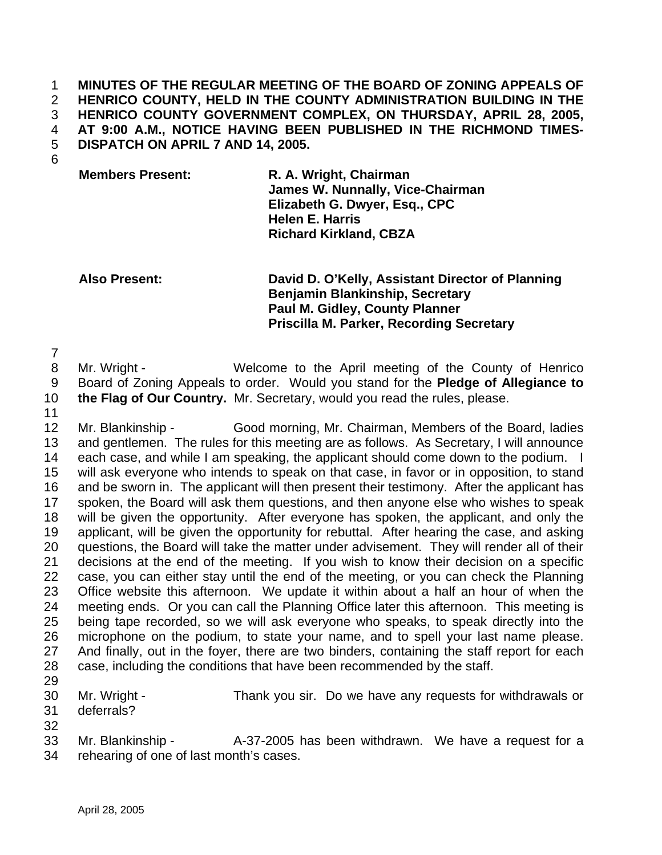**MINUTES OF THE REGULAR MEETING OF THE BOARD OF ZONING APPEALS OF HENRICO COUNTY, HELD IN THE COUNTY ADMINISTRATION BUILDING IN THE HENRICO COUNTY GOVERNMENT COMPLEX, ON THURSDAY, APRIL 28, 2005, AT 9:00 A.M., NOTICE HAVING BEEN PUBLISHED IN THE RICHMOND TIMES-DISPATCH ON APRIL 7 AND 14, 2005.**

**Members Present: R. A. Wright, Chairman James W. Nunnally, Vice-Chairman Elizabeth G. Dwyer, Esq., CPC Helen E. Harris Richard Kirkland, CBZA** 

**Also Present: David D. O'Kelly, Assistant Director of Planning Benjamin Blankinship, Secretary Paul M. Gidley, County Planner Priscilla M. Parker, Recording Secretary**

 Mr. Wright - Welcome to the April meeting of the County of Henrico Board of Zoning Appeals to order. Would you stand for the **Pledge of Allegiance to**

- **the Flag of Our Country.** Mr. Secretary, would you read the rules, please.
- Mr. Blankinship Good morning, Mr. Chairman, Members of the Board, ladies and gentlemen. The rules for this meeting are as follows. As Secretary, I will announce 14 each case, and while I am speaking, the applicant should come down to the podium. I will ask everyone who intends to speak on that case, in favor or in opposition, to stand and be sworn in. The applicant will then present their testimony. After the applicant has spoken, the Board will ask them questions, and then anyone else who wishes to speak will be given the opportunity. After everyone has spoken, the applicant, and only the applicant, will be given the opportunity for rebuttal. After hearing the case, and asking questions, the Board will take the matter under advisement. They will render all of their decisions at the end of the meeting. If you wish to know their decision on a specific case, you can either stay until the end of the meeting, or you can check the Planning Office website this afternoon. We update it within about a half an hour of when the meeting ends. Or you can call the Planning Office later this afternoon. This meeting is being tape recorded, so we will ask everyone who speaks, to speak directly into the microphone on the podium, to state your name, and to spell your last name please. 27 And finally, out in the foyer, there are two binders, containing the staff report for each case, including the conditions that have been recommended by the staff.
- 
- Mr. Wright Thank you sir. Do we have any requests for withdrawals or deferrals?
- 

33 Mr. Blankinship - A-37-2005 has been withdrawn. We have a request for a rehearing of one of last month's cases.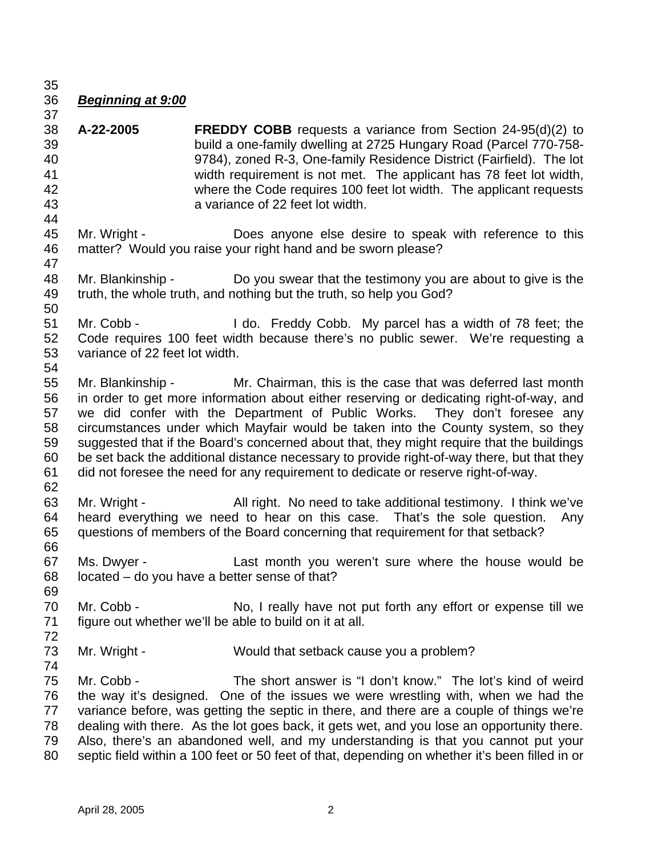## *Beginning at 9:00*

- **A-22-2005 FREDDY COBB** requests a variance from Section 24-95(d)(2) to build a one-family dwelling at 2725 Hungary Road (Parcel 770-758- 9784), zoned R-3, One-family Residence District (Fairfield). The lot width requirement is not met. The applicant has 78 feet lot width, where the Code requires 100 feet lot width. The applicant requests a variance of 22 feet lot width.
- Mr. Wright Does anyone else desire to speak with reference to this matter? Would you raise your right hand and be sworn please?
- Mr. Blankinship Do you swear that the testimony you are about to give is the truth, the whole truth, and nothing but the truth, so help you God?
- Mr. Cobb I do. Freddy Cobb. My parcel has a width of 78 feet; the Code requires 100 feet width because there's no public sewer. We're requesting a variance of 22 feet lot width.
- Mr. Blankinship Mr. Chairman, this is the case that was deferred last month in order to get more information about either reserving or dedicating right-of-way, and we did confer with the Department of Public Works. They don't foresee any circumstances under which Mayfair would be taken into the County system, so they suggested that if the Board's concerned about that, they might require that the buildings be set back the additional distance necessary to provide right-of-way there, but that they did not foresee the need for any requirement to dedicate or reserve right-of-way.
- Mr. Wright - All right. No need to take additional testimony. I think we've heard everything we need to hear on this case. That's the sole question. Any questions of members of the Board concerning that requirement for that setback?
- 

- Ms. Dwyer Last month you weren't sure where the house would be located – do you have a better sense of that?
- 70 Mr. Cobb No, I really have not put forth any effort or expense till we figure out whether we'll be able to build on it at all.
- Mr. Wright Would that setback cause you a problem?
- 

- 
- Mr. Cobb The short answer is "I don't know." The lot's kind of weird the way it's designed. One of the issues we were wrestling with, when we had the variance before, was getting the septic in there, and there are a couple of things we're dealing with there. As the lot goes back, it gets wet, and you lose an opportunity there. Also, there's an abandoned well, and my understanding is that you cannot put your septic field within a 100 feet or 50 feet of that, depending on whether it's been filled in or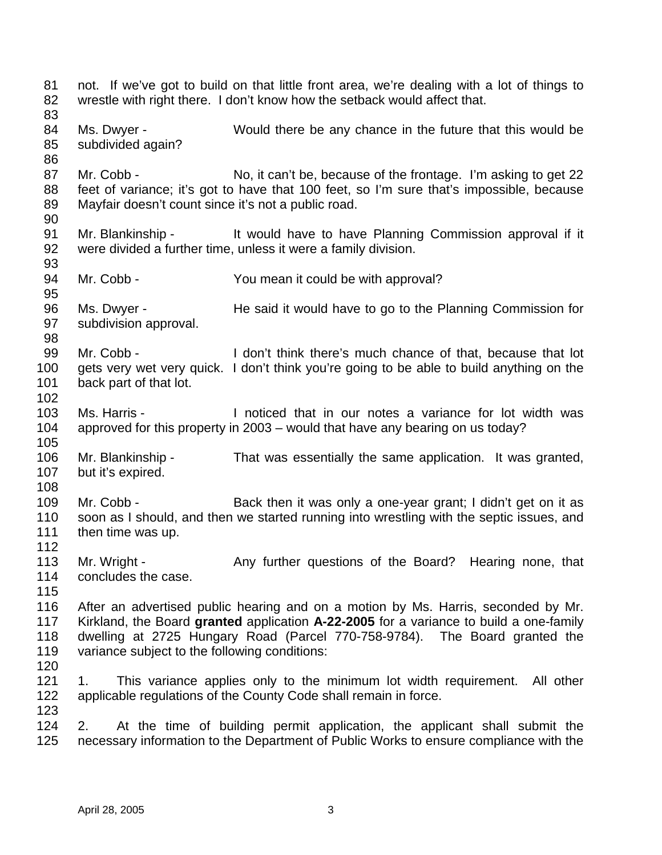not. If we've got to build on that little front area, we're dealing with a lot of things to wrestle with right there. I don't know how the setback would affect that. Ms. Dwyer - Would there be any chance in the future that this would be subdivided again? 87 Mr. Cobb - No, it can't be, because of the frontage. I'm asking to get 22 feet of variance; it's got to have that 100 feet, so I'm sure that's impossible, because Mayfair doesn't count since it's not a public road. 91 Mr. Blankinship - It would have to have Planning Commission approval if it were divided a further time, unless it were a family division. 94 Mr. Cobb - You mean it could be with approval? Ms. Dwyer - He said it would have to go to the Planning Commission for subdivision approval. Mr. Cobb - I don't think there's much chance of that, because that lot gets very wet very quick. I don't think you're going to be able to build anything on the back part of that lot. Ms. Harris - I noticed that in our notes a variance for lot width was approved for this property in 2003 – would that have any bearing on us today? Mr. Blankinship - That was essentially the same application. It was granted, but it's expired. 109 Mr. Cobb - Back then it was only a one-year grant; I didn't get on it as soon as I should, and then we started running into wrestling with the septic issues, and then time was up. 113 Mr. Wright - Any further questions of the Board? Hearing none, that concludes the case. After an advertised public hearing and on a motion by Ms. Harris, seconded by Mr. Kirkland, the Board **granted** application **A-22-2005** for a variance to build a one-family dwelling at 2725 Hungary Road (Parcel 770-758-9784). The Board granted the variance subject to the following conditions: 1. This variance applies only to the minimum lot width requirement. All other applicable regulations of the County Code shall remain in force. 2. At the time of building permit application, the applicant shall submit the necessary information to the Department of Public Works to ensure compliance with the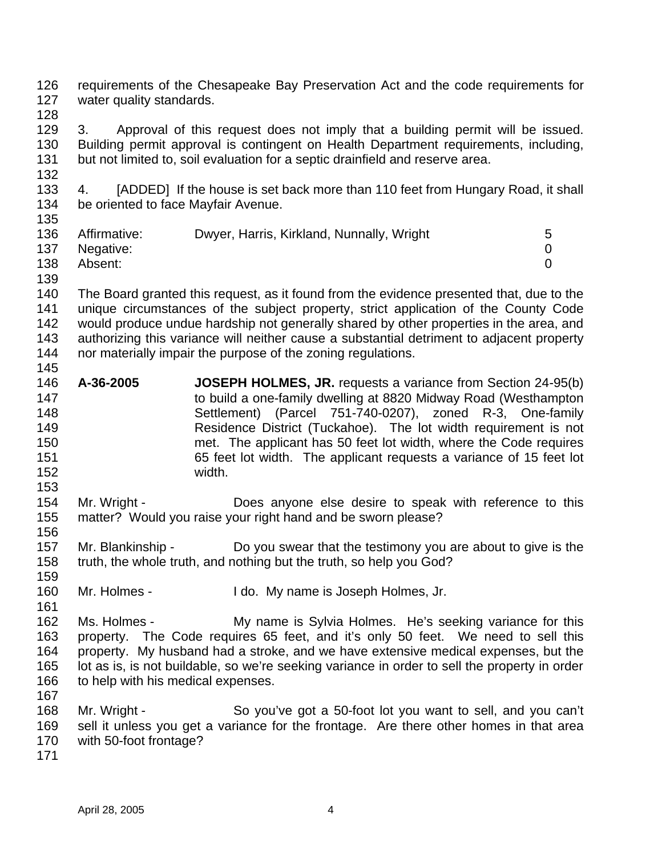requirements of the Chesapeake Bay Preservation Act and the code requirements for water quality standards.

 3. Approval of this request does not imply that a building permit will be issued. Building permit approval is contingent on Health Department requirements, including, but not limited to, soil evaluation for a septic drainfield and reserve area. 

 4. [ADDED] If the house is set back more than 110 feet from Hungary Road, it shall be oriented to face Mayfair Avenue. 

| 136 | Affirmative: | Dwyer, Harris, Kirkland, Nunnally, Wright | 5 |
|-----|--------------|-------------------------------------------|---|
|     |              |                                           |   |
| 137 | Negative:    |                                           |   |
| 138 | Absent:      |                                           |   |

 The Board granted this request, as it found from the evidence presented that, due to the unique circumstances of the subject property, strict application of the County Code would produce undue hardship not generally shared by other properties in the area, and authorizing this variance will neither cause a substantial detriment to adjacent property nor materially impair the purpose of the zoning regulations. 

- **A-36-2005 JOSEPH HOLMES, JR.** requests a variance from Section 24-95(b) to build a one-family dwelling at 8820 Midway Road (Westhampton Settlement) (Parcel 751-740-0207), zoned R-3, One-family Residence District (Tuckahoe). The lot width requirement is not met. The applicant has 50 feet lot width, where the Code requires 65 feet lot width. The applicant requests a variance of 15 feet lot width.
- Mr. Wright - Does anyone else desire to speak with reference to this matter? Would you raise your right hand and be sworn please?
- Mr. Blankinship Do you swear that the testimony you are about to give is the truth, the whole truth, and nothing but the truth, so help you God?
- Mr. Holmes I do. My name is Joseph Holmes, Jr.
- Ms. Holmes My name is Sylvia Holmes. He's seeking variance for this property. The Code requires 65 feet, and it's only 50 feet. We need to sell this property. My husband had a stroke, and we have extensive medical expenses, but the lot as is, is not buildable, so we're seeking variance in order to sell the property in order 166 to help with his medical expenses.
- Mr. Wright So you've got a 50-foot lot you want to sell, and you can't sell it unless you get a variance for the frontage. Are there other homes in that area with 50-foot frontage?
-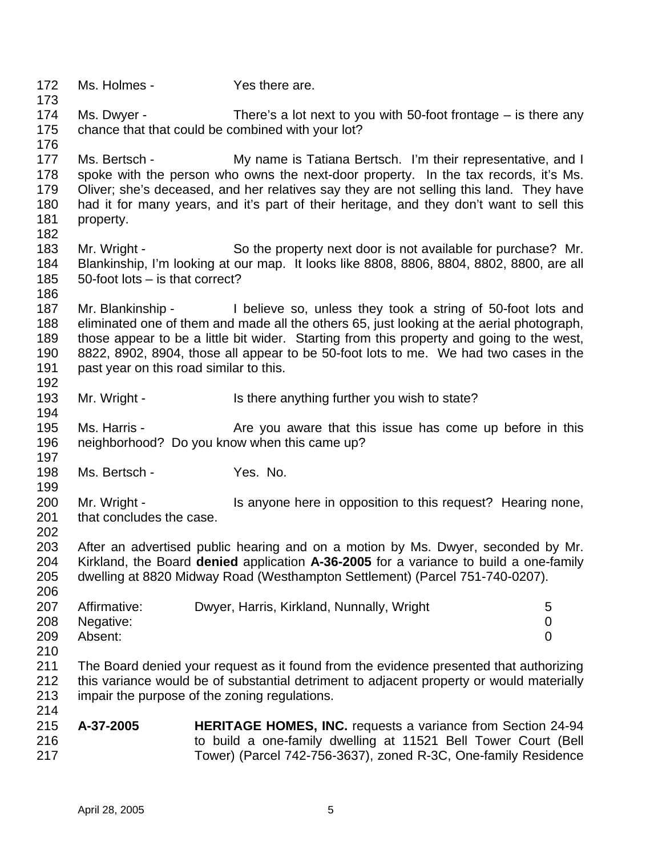172 Ms. Holmes - Yes there are. Ms. Dwyer - There's a lot next to you with 50-foot frontage – is there any chance that that could be combined with your lot? 177 Ms. Bertsch - My name is Tatiana Bertsch. I'm their representative, and I spoke with the person who owns the next-door property. In the tax records, it's Ms. Oliver; she's deceased, and her relatives say they are not selling this land. They have had it for many years, and it's part of their heritage, and they don't want to sell this property. 183 Mr. Wright - So the property next door is not available for purchase? Mr. Blankinship, I'm looking at our map. It looks like 8808, 8806, 8804, 8802, 8800, are all 50-foot lots – is that correct? Mr. Blankinship - I believe so, unless they took a string of 50-foot lots and eliminated one of them and made all the others 65, just looking at the aerial photograph, those appear to be a little bit wider. Starting from this property and going to the west, 8822, 8902, 8904, those all appear to be 50-foot lots to me. We had two cases in the past year on this road similar to this. 193 Mr. Wright - Is there anything further you wish to state? 195 Ms. Harris - Are you aware that this issue has come up before in this neighborhood? Do you know when this came up? 198 Ms. Bertsch - Yes. No. 200 Mr. Wright - Is anyone here in opposition to this request? Hearing none, 201 that concludes the case. After an advertised public hearing and on a motion by Ms. Dwyer, seconded by Mr. Kirkland, the Board **denied** application **A-36-2005** for a variance to build a one-family dwelling at 8820 Midway Road (Westhampton Settlement) (Parcel 751-740-0207). 207 Affirmative: Dwyer, Harris, Kirkland, Nunnally, Wright 5 Negative: 0 Absent: 0 The Board denied your request as it found from the evidence presented that authorizing this variance would be of substantial detriment to adjacent property or would materially impair the purpose of the zoning regulations. **A-37-2005 HERITAGE HOMES, INC.** requests a variance from Section 24-94 to build a one-family dwelling at 11521 Bell Tower Court (Bell Tower) (Parcel 742-756-3637), zoned R-3C, One-family Residence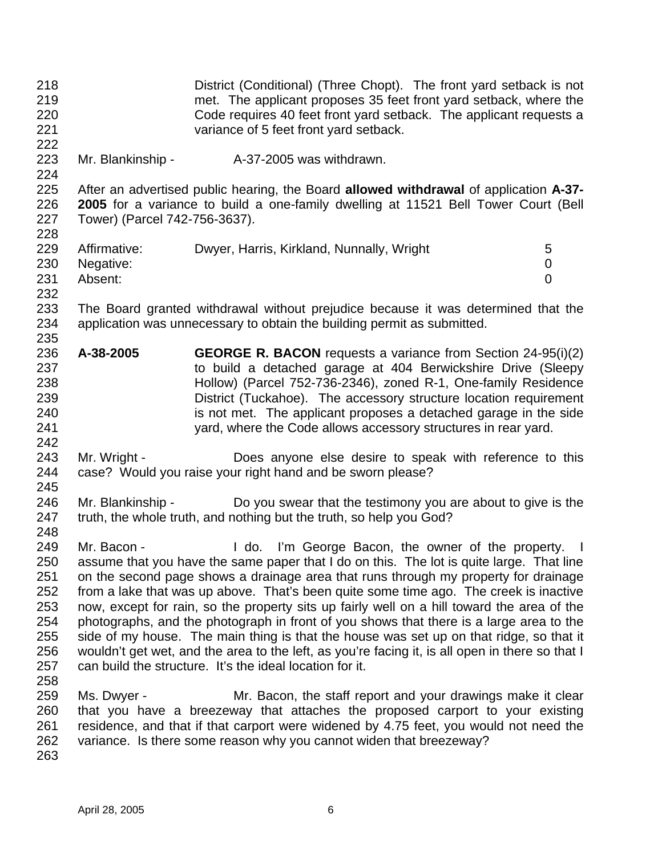District (Conditional) (Three Chopt). The front yard setback is not met. The applicant proposes 35 feet front yard setback, where the Code requires 40 feet front yard setback. The applicant requests a variance of 5 feet front yard setback. Mr. Blankinship - A-37-2005 was withdrawn. After an advertised public hearing, the Board **allowed withdrawal** of application **A-37- 2005** for a variance to build a one-family dwelling at 11521 Bell Tower Court (Bell Tower) (Parcel 742-756-3637). 229 Affirmative: Dwyer, Harris, Kirkland, Nunnally, Wright 5 Negative: 0 Absent: 0 The Board granted withdrawal without prejudice because it was determined that the application was unnecessary to obtain the building permit as submitted. **A-38-2005 GEORGE R. BACON** requests a variance from Section 24-95(i)(2) to build a detached garage at 404 Berwickshire Drive (Sleepy Hollow) (Parcel 752-736-2346), zoned R-1, One-family Residence District (Tuckahoe). The accessory structure location requirement is not met. The applicant proposes a detached garage in the side yard, where the Code allows accessory structures in rear yard. Mr. Wright - Does anyone else desire to speak with reference to this case? Would you raise your right hand and be sworn please? Mr. Blankinship - Do you swear that the testimony you are about to give is the truth, the whole truth, and nothing but the truth, so help you God? 249 Mr. Bacon - I do. I'm George Bacon, the owner of the property. I assume that you have the same paper that I do on this. The lot is quite large. That line on the second page shows a drainage area that runs through my property for drainage from a lake that was up above. That's been quite some time ago. The creek is inactive now, except for rain, so the property sits up fairly well on a hill toward the area of the photographs, and the photograph in front of you shows that there is a large area to the side of my house. The main thing is that the house was set up on that ridge, so that it wouldn't get wet, and the area to the left, as you're facing it, is all open in there so that I can build the structure. It's the ideal location for it. Ms. Dwyer - Mr. Bacon, the staff report and your drawings make it clear that you have a breezeway that attaches the proposed carport to your existing residence, and that if that carport were widened by 4.75 feet, you would not need the variance. Is there some reason why you cannot widen that breezeway?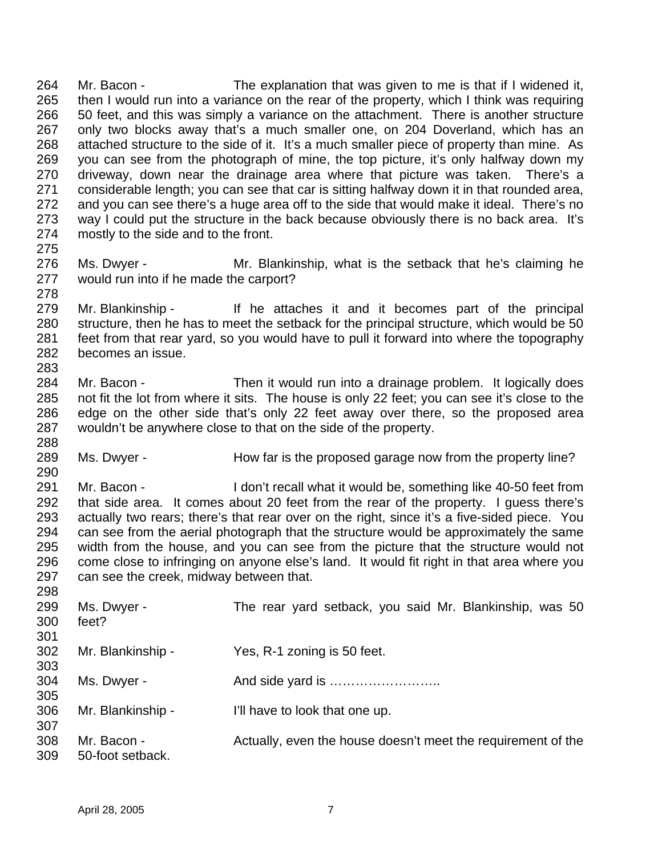Mr. Bacon - The explanation that was given to me is that if I widened it, then I would run into a variance on the rear of the property, which I think was requiring 50 feet, and this was simply a variance on the attachment. There is another structure only two blocks away that's a much smaller one, on 204 Doverland, which has an attached structure to the side of it. It's a much smaller piece of property than mine. As you can see from the photograph of mine, the top picture, it's only halfway down my driveway, down near the drainage area where that picture was taken. There's a considerable length; you can see that car is sitting halfway down it in that rounded area, and you can see there's a huge area off to the side that would make it ideal. There's no way I could put the structure in the back because obviously there is no back area. It's mostly to the side and to the front. 

- Ms. Dwyer Mr. Blankinship, what is the setback that he's claiming he would run into if he made the carport?
- Mr. Blankinship If he attaches it and it becomes part of the principal structure, then he has to meet the setback for the principal structure, which would be 50 feet from that rear yard, so you would have to pull it forward into where the topography becomes an issue.
- Mr. Bacon Then it would run into a drainage problem. It logically does not fit the lot from where it sits. The house is only 22 feet; you can see it's close to the edge on the other side that's only 22 feet away over there, so the proposed area wouldn't be anywhere close to that on the side of the property.
- 289 Ms. Dwyer How far is the proposed garage now from the property line?
- Mr. Bacon I don't recall what it would be, something like 40-50 feet from that side area. It comes about 20 feet from the rear of the property. I guess there's actually two rears; there's that rear over on the right, since it's a five-sided piece. You can see from the aerial photograph that the structure would be approximately the same width from the house, and you can see from the picture that the structure would not come close to infringing on anyone else's land. It would fit right in that area where you can see the creek, midway between that.

| 298 |                   |                                                              |
|-----|-------------------|--------------------------------------------------------------|
| 299 | Ms. Dwyer -       | The rear yard setback, you said Mr. Blankinship, was 50      |
| 300 | feet?             |                                                              |
| 301 |                   |                                                              |
| 302 | Mr. Blankinship - | Yes, R-1 zoning is 50 feet.                                  |
| 303 |                   |                                                              |
| 304 | Ms. Dwyer -       |                                                              |
| 305 |                   |                                                              |
| 306 | Mr. Blankinship - | I'll have to look that one up.                               |
| 307 |                   |                                                              |
| 308 | Mr. Bacon -       | Actually, even the house doesn't meet the requirement of the |
| 309 | 50-foot setback.  |                                                              |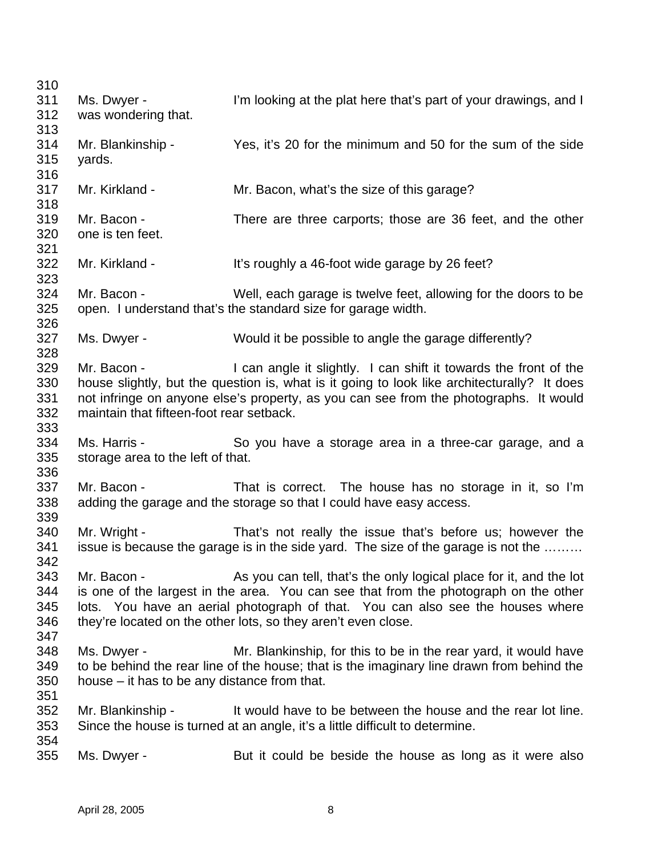| 310 |                                              |                                                                                             |
|-----|----------------------------------------------|---------------------------------------------------------------------------------------------|
| 311 | Ms. Dwyer -                                  | I'm looking at the plat here that's part of your drawings, and I                            |
| 312 | was wondering that.                          |                                                                                             |
| 313 |                                              |                                                                                             |
| 314 | Mr. Blankinship -                            | Yes, it's 20 for the minimum and 50 for the sum of the side                                 |
| 315 | yards.                                       |                                                                                             |
| 316 |                                              |                                                                                             |
| 317 | Mr. Kirkland -                               | Mr. Bacon, what's the size of this garage?                                                  |
| 318 |                                              |                                                                                             |
| 319 | Mr. Bacon -                                  | There are three carports; those are 36 feet, and the other                                  |
| 320 | one is ten feet.                             |                                                                                             |
| 321 |                                              |                                                                                             |
| 322 | Mr. Kirkland -                               | It's roughly a 46-foot wide garage by 26 feet?                                              |
| 323 |                                              |                                                                                             |
| 324 | Mr. Bacon -                                  | Well, each garage is twelve feet, allowing for the doors to be                              |
| 325 |                                              | open. I understand that's the standard size for garage width.                               |
| 326 |                                              |                                                                                             |
| 327 | Ms. Dwyer -                                  | Would it be possible to angle the garage differently?                                       |
| 328 |                                              |                                                                                             |
| 329 | Mr. Bacon -                                  | I can angle it slightly. I can shift it towards the front of the                            |
| 330 |                                              | house slightly, but the question is, what is it going to look like architecturally? It does |
| 331 |                                              | not infringe on anyone else's property, as you can see from the photographs. It would       |
| 332 | maintain that fifteen-foot rear setback.     |                                                                                             |
| 333 |                                              |                                                                                             |
| 334 | Ms. Harris -                                 | So you have a storage area in a three-car garage, and a                                     |
| 335 | storage area to the left of that.            |                                                                                             |
| 336 |                                              |                                                                                             |
| 337 | Mr. Bacon -                                  | That is correct. The house has no storage in it, so I'm                                     |
| 338 |                                              | adding the garage and the storage so that I could have easy access.                         |
| 339 |                                              |                                                                                             |
| 340 | Mr. Wright -                                 | That's not really the issue that's before us; however the                                   |
| 341 |                                              | issue is because the garage is in the side yard. The size of the garage is not the          |
| 342 |                                              |                                                                                             |
| 343 | Mr. Bacon -                                  | As you can tell, that's the only logical place for it, and the lot                          |
| 344 |                                              | is one of the largest in the area. You can see that from the photograph on the other        |
| 345 |                                              | lots. You have an aerial photograph of that. You can also see the houses where              |
| 346 |                                              | they're located on the other lots, so they aren't even close.                               |
| 347 |                                              |                                                                                             |
| 348 | Ms. Dwyer -                                  | Mr. Blankinship, for this to be in the rear yard, it would have                             |
| 349 |                                              | to be behind the rear line of the house; that is the imaginary line drawn from behind the   |
| 350 | house – it has to be any distance from that. |                                                                                             |
| 351 |                                              |                                                                                             |
| 352 | Mr. Blankinship -                            | It would have to be between the house and the rear lot line.                                |
| 353 |                                              | Since the house is turned at an angle, it's a little difficult to determine.                |
| 354 |                                              |                                                                                             |
| 355 | Ms. Dwyer -                                  | But it could be beside the house as long as it were also                                    |
|     |                                              |                                                                                             |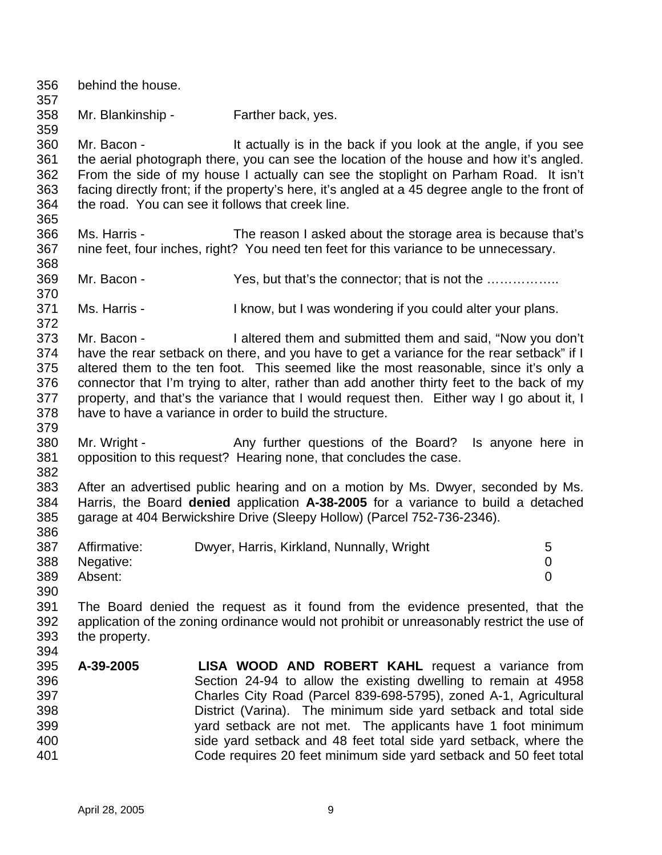behind the house. Mr. Blankinship - Farther back, yes. Mr. Bacon - It actually is in the back if you look at the angle, if you see the aerial photograph there, you can see the location of the house and how it's angled. From the side of my house I actually can see the stoplight on Parham Road. It isn't facing directly front; if the property's here, it's angled at a 45 degree angle to the front of the road. You can see it follows that creek line. Ms. Harris - The reason I asked about the storage area is because that's nine feet, four inches, right? You need ten feet for this variance to be unnecessary. 369 Mr. Bacon - Yes, but that's the connector; that is not the ................. Ms. Harris - I know, but I was wondering if you could alter your plans. Mr. Bacon - I altered them and submitted them and said, "Now you don't 374 have the rear setback on there, and you have to get a variance for the rear setback" if I altered them to the ten foot. This seemed like the most reasonable, since it's only a connector that I'm trying to alter, rather than add another thirty feet to the back of my property, and that's the variance that I would request then. Either way I go about it, I have to have a variance in order to build the structure. 380 Mr. Wright - Any further questions of the Board? Is anyone here in opposition to this request? Hearing none, that concludes the case. After an advertised public hearing and on a motion by Ms. Dwyer, seconded by Ms. Harris, the Board **denied** application **A-38-2005** for a variance to build a detached garage at 404 Berwickshire Drive (Sleepy Hollow) (Parcel 752-736-2346). 387 Affirmative: Dwyer, Harris, Kirkland, Nunnally, Wright 5 Negative: 0 Absent: 0 The Board denied the request as it found from the evidence presented, that the application of the zoning ordinance would not prohibit or unreasonably restrict the use of the property. **A-39-2005 LISA WOOD AND ROBERT KAHL** request a variance from Section 24-94 to allow the existing dwelling to remain at 4958 Charles City Road (Parcel 839-698-5795), zoned A-1, Agricultural District (Varina). The minimum side yard setback and total side yard setback are not met. The applicants have 1 foot minimum side yard setback and 48 feet total side yard setback, where the Code requires 20 feet minimum side yard setback and 50 feet total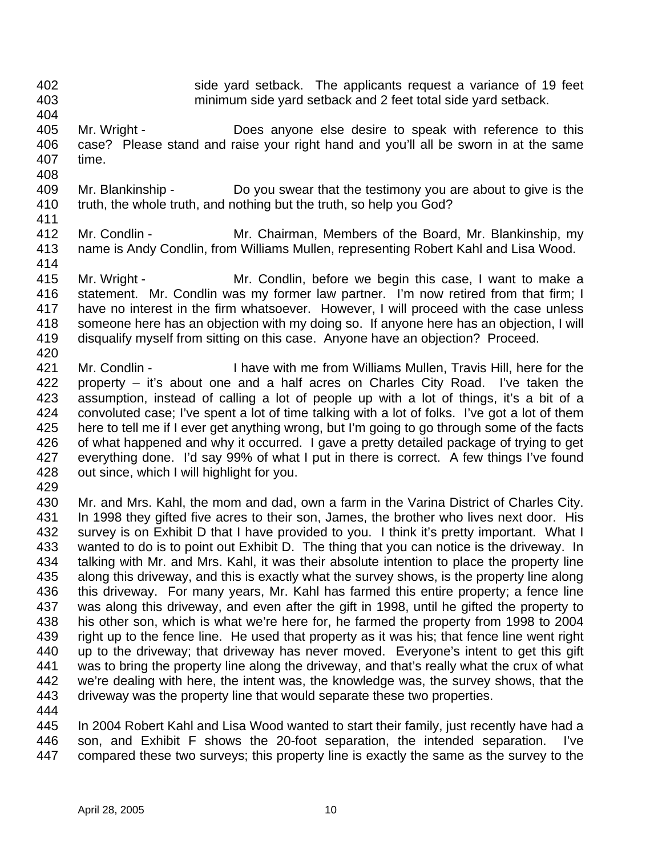- side yard setback. The applicants request a variance of 19 feet
- 

minimum side yard setback and 2 feet total side yard setback.

- Mr. Wright Does anyone else desire to speak with reference to this case? Please stand and raise your right hand and you'll all be sworn in at the same time.
- Mr. Blankinship Do you swear that the testimony you are about to give is the truth, the whole truth, and nothing but the truth, so help you God?
- 
- Mr. Condlin Mr. Chairman, Members of the Board, Mr. Blankinship, my name is Andy Condlin, from Williams Mullen, representing Robert Kahl and Lisa Wood.
- Mr. Wright Mr. Condlin, before we begin this case, I want to make a statement. Mr. Condlin was my former law partner. I'm now retired from that firm; I have no interest in the firm whatsoever. However, I will proceed with the case unless someone here has an objection with my doing so. If anyone here has an objection, I will disqualify myself from sitting on this case. Anyone have an objection? Proceed.
- Mr. Condlin I have with me from Williams Mullen, Travis Hill, here for the property – it's about one and a half acres on Charles City Road. I've taken the assumption, instead of calling a lot of people up with a lot of things, it's a bit of a convoluted case; I've spent a lot of time talking with a lot of folks. I've got a lot of them here to tell me if I ever get anything wrong, but I'm going to go through some of the facts of what happened and why it occurred. I gave a pretty detailed package of trying to get everything done. I'd say 99% of what I put in there is correct. A few things I've found out since, which I will highlight for you.
- 

 Mr. and Mrs. Kahl, the mom and dad, own a farm in the Varina District of Charles City. 431 In 1998 they gifted five acres to their son, James, the brother who lives next door. His 432 survey is on Exhibit D that I have provided to you. I think it's pretty important. What I wanted to do is to point out Exhibit D. The thing that you can notice is the driveway. In talking with Mr. and Mrs. Kahl, it was their absolute intention to place the property line along this driveway, and this is exactly what the survey shows, is the property line along this driveway. For many years, Mr. Kahl has farmed this entire property; a fence line was along this driveway, and even after the gift in 1998, until he gifted the property to his other son, which is what we're here for, he farmed the property from 1998 to 2004 right up to the fence line. He used that property as it was his; that fence line went right up to the driveway; that driveway has never moved. Everyone's intent to get this gift was to bring the property line along the driveway, and that's really what the crux of what we're dealing with here, the intent was, the knowledge was, the survey shows, that the driveway was the property line that would separate these two properties. 

 In 2004 Robert Kahl and Lisa Wood wanted to start their family, just recently have had a son, and Exhibit F shows the 20-foot separation, the intended separation. I've compared these two surveys; this property line is exactly the same as the survey to the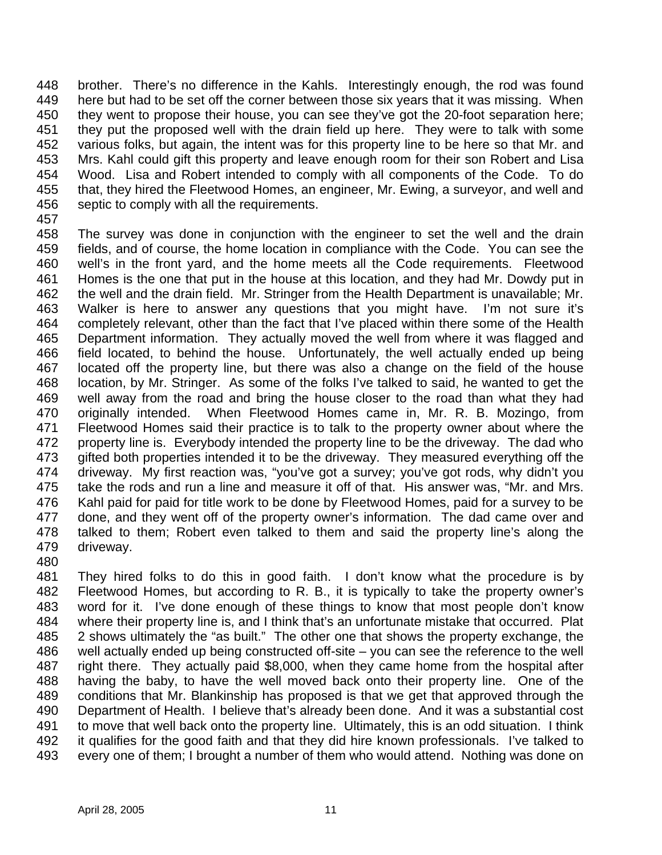brother. There's no difference in the Kahls. Interestingly enough, the rod was found 449 here but had to be set off the corner between those six years that it was missing. When they went to propose their house, you can see they've got the 20-foot separation here; they put the proposed well with the drain field up here. They were to talk with some various folks, but again, the intent was for this property line to be here so that Mr. and Mrs. Kahl could gift this property and leave enough room for their son Robert and Lisa Wood. Lisa and Robert intended to comply with all components of the Code. To do that, they hired the Fleetwood Homes, an engineer, Mr. Ewing, a surveyor, and well and septic to comply with all the requirements.

 The survey was done in conjunction with the engineer to set the well and the drain fields, and of course, the home location in compliance with the Code. You can see the well's in the front yard, and the home meets all the Code requirements. Fleetwood Homes is the one that put in the house at this location, and they had Mr. Dowdy put in the well and the drain field. Mr. Stringer from the Health Department is unavailable; Mr. Walker is here to answer any questions that you might have. I'm not sure it's completely relevant, other than the fact that I've placed within there some of the Health Department information. They actually moved the well from where it was flagged and field located, to behind the house. Unfortunately, the well actually ended up being located off the property line, but there was also a change on the field of the house location, by Mr. Stringer. As some of the folks I've talked to said, he wanted to get the well away from the road and bring the house closer to the road than what they had originally intended. When Fleetwood Homes came in, Mr. R. B. Mozingo, from Fleetwood Homes said their practice is to talk to the property owner about where the property line is. Everybody intended the property line to be the driveway. The dad who gifted both properties intended it to be the driveway. They measured everything off the driveway. My first reaction was, "you've got a survey; you've got rods, why didn't you take the rods and run a line and measure it off of that. His answer was, "Mr. and Mrs. Kahl paid for paid for title work to be done by Fleetwood Homes, paid for a survey to be done, and they went off of the property owner's information. The dad came over and talked to them; Robert even talked to them and said the property line's along the driveway.

 They hired folks to do this in good faith. I don't know what the procedure is by Fleetwood Homes, but according to R. B., it is typically to take the property owner's word for it. I've done enough of these things to know that most people don't know where their property line is, and I think that's an unfortunate mistake that occurred. Plat 2 shows ultimately the "as built." The other one that shows the property exchange, the well actually ended up being constructed off-site – you can see the reference to the well right there. They actually paid \$8,000, when they came home from the hospital after having the baby, to have the well moved back onto their property line. One of the conditions that Mr. Blankinship has proposed is that we get that approved through the Department of Health. I believe that's already been done. And it was a substantial cost to move that well back onto the property line. Ultimately, this is an odd situation. I think 492 it qualifies for the good faith and that they did hire known professionals. I've talked to every one of them; I brought a number of them who would attend. Nothing was done on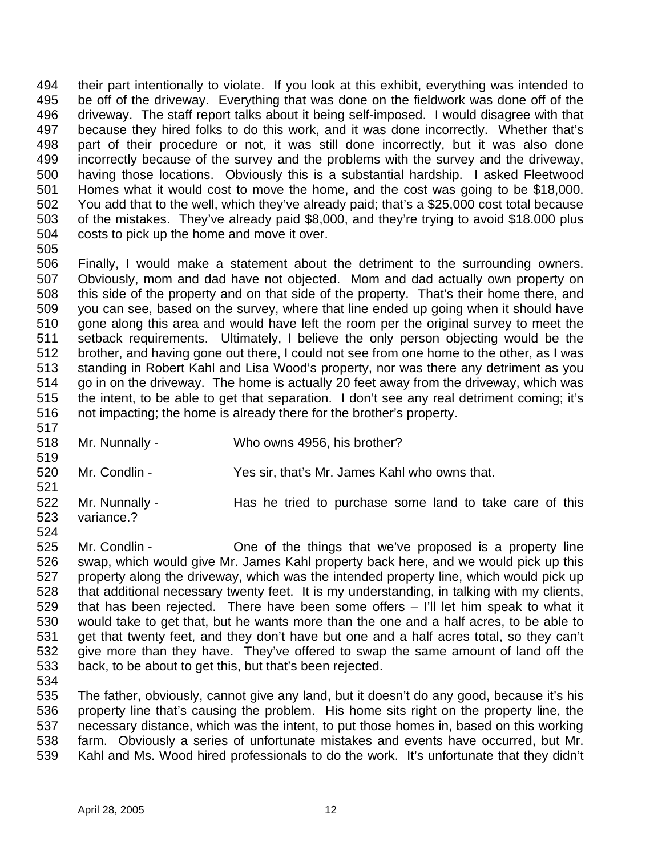their part intentionally to violate. If you look at this exhibit, everything was intended to be off of the driveway. Everything that was done on the fieldwork was done off of the driveway. The staff report talks about it being self-imposed. I would disagree with that because they hired folks to do this work, and it was done incorrectly. Whether that's part of their procedure or not, it was still done incorrectly, but it was also done incorrectly because of the survey and the problems with the survey and the driveway, having those locations. Obviously this is a substantial hardship. I asked Fleetwood Homes what it would cost to move the home, and the cost was going to be \$18,000. You add that to the well, which they've already paid; that's a \$25,000 cost total because of the mistakes. They've already paid \$8,000, and they're trying to avoid \$18.000 plus costs to pick up the home and move it over. 

- Finally, I would make a statement about the detriment to the surrounding owners. Obviously, mom and dad have not objected. Mom and dad actually own property on this side of the property and on that side of the property. That's their home there, and you can see, based on the survey, where that line ended up going when it should have gone along this area and would have left the room per the original survey to meet the setback requirements. Ultimately, I believe the only person objecting would be the brother, and having gone out there, I could not see from one home to the other, as I was standing in Robert Kahl and Lisa Wood's property, nor was there any detriment as you go in on the driveway. The home is actually 20 feet away from the driveway, which was the intent, to be able to get that separation. I don't see any real detriment coming; it's not impacting; the home is already there for the brother's property.
- Mr. Nunnally Who owns 4956, his brother?
- Mr. Condlin - Yes sir, that's Mr. James Kahl who owns that.
- 522 Mr. Nunnally - Has he tried to purchase some land to take care of this variance.?
- Mr. Condlin One of the things that we've proposed is a property line swap, which would give Mr. James Kahl property back here, and we would pick up this property along the driveway, which was the intended property line, which would pick up that additional necessary twenty feet. It is my understanding, in talking with my clients, that has been rejected. There have been some offers – I'll let him speak to what it would take to get that, but he wants more than the one and a half acres, to be able to get that twenty feet, and they don't have but one and a half acres total, so they can't give more than they have. They've offered to swap the same amount of land off the back, to be about to get this, but that's been rejected.
- The father, obviously, cannot give any land, but it doesn't do any good, because it's his property line that's causing the problem. His home sits right on the property line, the necessary distance, which was the intent, to put those homes in, based on this working farm. Obviously a series of unfortunate mistakes and events have occurred, but Mr. Kahl and Ms. Wood hired professionals to do the work. It's unfortunate that they didn't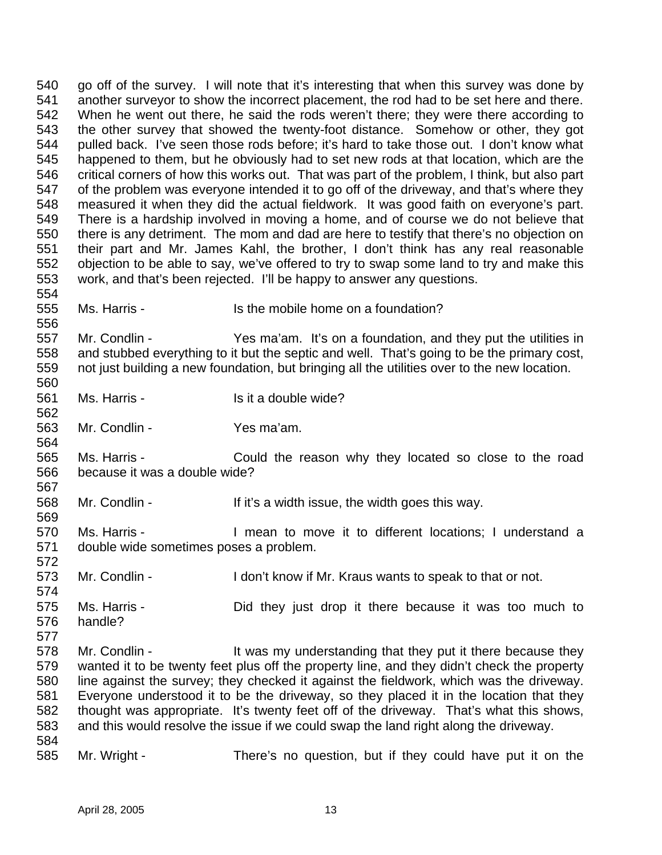go off of the survey. I will note that it's interesting that when this survey was done by another surveyor to show the incorrect placement, the rod had to be set here and there. When he went out there, he said the rods weren't there; they were there according to the other survey that showed the twenty-foot distance. Somehow or other, they got pulled back. I've seen those rods before; it's hard to take those out. I don't know what happened to them, but he obviously had to set new rods at that location, which are the critical corners of how this works out. That was part of the problem, I think, but also part of the problem was everyone intended it to go off of the driveway, and that's where they measured it when they did the actual fieldwork. It was good faith on everyone's part. There is a hardship involved in moving a home, and of course we do not believe that there is any detriment. The mom and dad are here to testify that there's no objection on their part and Mr. James Kahl, the brother, I don't think has any real reasonable objection to be able to say, we've offered to try to swap some land to try and make this work, and that's been rejected. I'll be happy to answer any questions. Ms. Harris - Is the mobile home on a foundation? Mr. Condlin - Yes ma'am. It's on a foundation, and they put the utilities in and stubbed everything to it but the septic and well. That's going to be the primary cost, not just building a new foundation, but bringing all the utilities over to the new location. 561 Ms. Harris - Is it a double wide? Mr. Condlin - Yes ma'am. Ms. Harris - Could the reason why they located so close to the road because it was a double wide? Mr. Condlin - If it's a width issue, the width goes this way. Ms. Harris - I mean to move it to different locations; I understand a double wide sometimes poses a problem. 573 Mr. Condlin - I don't know if Mr. Kraus wants to speak to that or not. Ms. Harris - Did they just drop it there because it was too much to handle? 578 Mr. Condlin - It was my understanding that they put it there because they wanted it to be twenty feet plus off the property line, and they didn't check the property line against the survey; they checked it against the fieldwork, which was the driveway. Everyone understood it to be the driveway, so they placed it in the location that they thought was appropriate. It's twenty feet off of the driveway. That's what this shows, and this would resolve the issue if we could swap the land right along the driveway. Mr. Wright - There's no question, but if they could have put it on the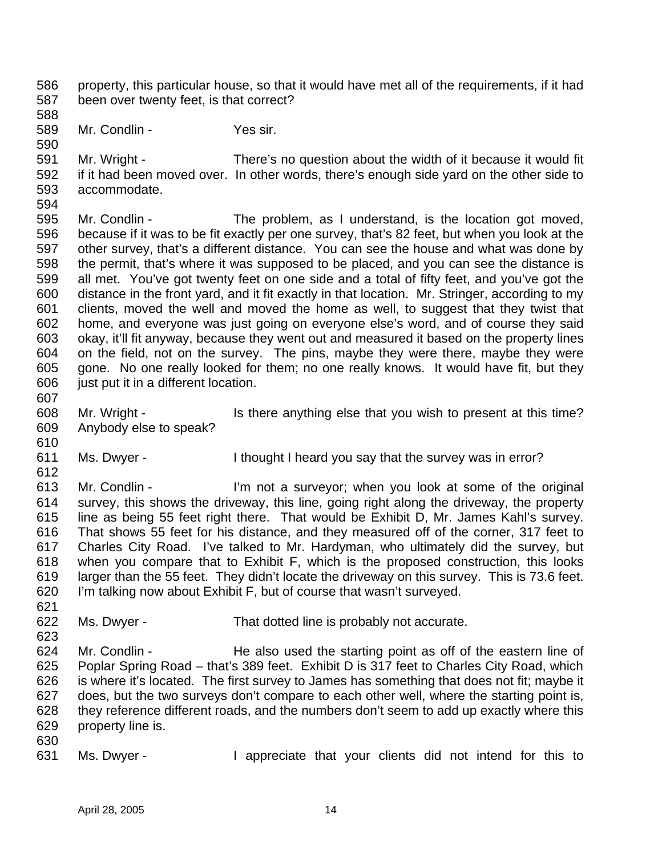property, this particular house, so that it would have met all of the requirements, if it had been over twenty feet, is that correct?

- Mr. Condlin - Yes sir.
- 

 Mr. Wright - There's no question about the width of it because it would fit if it had been moved over. In other words, there's enough side yard on the other side to accommodate. 

 Mr. Condlin - The problem, as I understand, is the location got moved, because if it was to be fit exactly per one survey, that's 82 feet, but when you look at the other survey, that's a different distance. You can see the house and what was done by the permit, that's where it was supposed to be placed, and you can see the distance is all met. You've got twenty feet on one side and a total of fifty feet, and you've got the distance in the front yard, and it fit exactly in that location. Mr. Stringer, according to my clients, moved the well and moved the home as well, to suggest that they twist that home, and everyone was just going on everyone else's word, and of course they said okay, it'll fit anyway, because they went out and measured it based on the property lines on the field, not on the survey. The pins, maybe they were there, maybe they were gone. No one really looked for them; no one really knows. It would have fit, but they just put it in a different location.

- 608 Mr. Wright Is there anything else that you wish to present at this time? Anybody else to speak?
- Ms. Dwyer I thought I heard you say that the survey was in error?

 Mr. Condlin - I'm not a surveyor; when you look at some of the original survey, this shows the driveway, this line, going right along the driveway, the property line as being 55 feet right there. That would be Exhibit D, Mr. James Kahl's survey. That shows 55 feet for his distance, and they measured off of the corner, 317 feet to Charles City Road. I've talked to Mr. Hardyman, who ultimately did the survey, but when you compare that to Exhibit F, which is the proposed construction, this looks larger than the 55 feet. They didn't locate the driveway on this survey. This is 73.6 feet. I'm talking now about Exhibit F, but of course that wasn't surveyed.

Ms. Dwyer - That dotted line is probably not accurate.

 Mr. Condlin - He also used the starting point as off of the eastern line of Poplar Spring Road – that's 389 feet. Exhibit D is 317 feet to Charles City Road, which is where it's located. The first survey to James has something that does not fit; maybe it does, but the two surveys don't compare to each other well, where the starting point is, they reference different roads, and the numbers don't seem to add up exactly where this property line is.

Ms. Dwyer - I appreciate that your clients did not intend for this to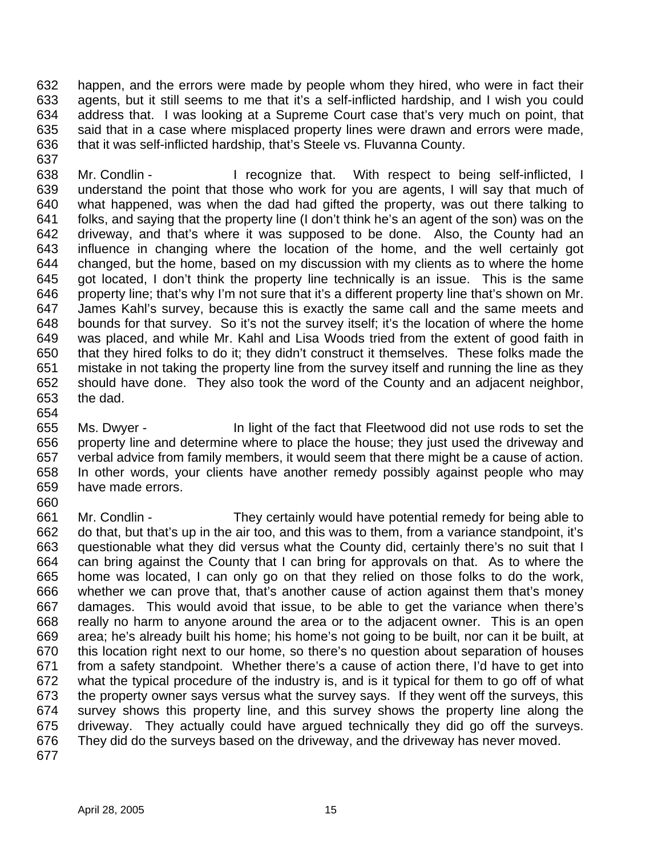happen, and the errors were made by people whom they hired, who were in fact their agents, but it still seems to me that it's a self-inflicted hardship, and I wish you could address that. I was looking at a Supreme Court case that's very much on point, that said that in a case where misplaced property lines were drawn and errors were made, that it was self-inflicted hardship, that's Steele vs. Fluvanna County.

638 Mr. Condlin - I recognize that. With respect to being self-inflicted, I understand the point that those who work for you are agents, I will say that much of what happened, was when the dad had gifted the property, was out there talking to folks, and saying that the property line (I don't think he's an agent of the son) was on the driveway, and that's where it was supposed to be done. Also, the County had an influence in changing where the location of the home, and the well certainly got changed, but the home, based on my discussion with my clients as to where the home got located, I don't think the property line technically is an issue. This is the same property line; that's why I'm not sure that it's a different property line that's shown on Mr. James Kahl's survey, because this is exactly the same call and the same meets and bounds for that survey. So it's not the survey itself; it's the location of where the home was placed, and while Mr. Kahl and Lisa Woods tried from the extent of good faith in that they hired folks to do it; they didn't construct it themselves. These folks made the mistake in not taking the property line from the survey itself and running the line as they should have done. They also took the word of the County and an adjacent neighbor, the dad.

 Ms. Dwyer - In light of the fact that Fleetwood did not use rods to set the property line and determine where to place the house; they just used the driveway and verbal advice from family members, it would seem that there might be a cause of action. In other words, your clients have another remedy possibly against people who may have made errors.

- 
- Mr. Condlin They certainly would have potential remedy for being able to do that, but that's up in the air too, and this was to them, from a variance standpoint, it's questionable what they did versus what the County did, certainly there's no suit that I can bring against the County that I can bring for approvals on that. As to where the home was located, I can only go on that they relied on those folks to do the work, whether we can prove that, that's another cause of action against them that's money damages. This would avoid that issue, to be able to get the variance when there's really no harm to anyone around the area or to the adjacent owner. This is an open area; he's already built his home; his home's not going to be built, nor can it be built, at this location right next to our home, so there's no question about separation of houses from a safety standpoint. Whether there's a cause of action there, I'd have to get into what the typical procedure of the industry is, and is it typical for them to go off of what the property owner says versus what the survey says. If they went off the surveys, this survey shows this property line, and this survey shows the property line along the driveway. They actually could have argued technically they did go off the surveys. They did do the surveys based on the driveway, and the driveway has never moved.
-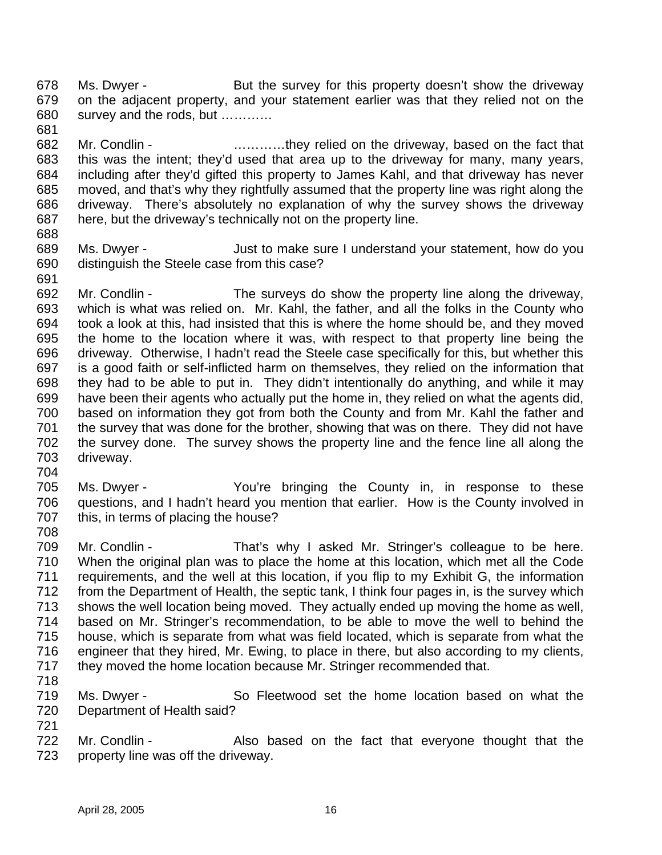678 Ms. Dwyer - But the survey for this property doesn't show the driveway on the adjacent property, and your statement earlier was that they relied not on the survey and the rods, but …………

- Mr. Condlin …………they relied on the driveway, based on the fact that this was the intent; they'd used that area up to the driveway for many, many years, including after they'd gifted this property to James Kahl, and that driveway has never moved, and that's why they rightfully assumed that the property line was right along the driveway. There's absolutely no explanation of why the survey shows the driveway here, but the driveway's technically not on the property line.
- 

- Ms. Dwyer Just to make sure I understand your statement, how do you distinguish the Steele case from this case?
- Mr. Condlin The surveys do show the property line along the driveway, which is what was relied on. Mr. Kahl, the father, and all the folks in the County who took a look at this, had insisted that this is where the home should be, and they moved the home to the location where it was, with respect to that property line being the driveway. Otherwise, I hadn't read the Steele case specifically for this, but whether this is a good faith or self-inflicted harm on themselves, they relied on the information that they had to be able to put in. They didn't intentionally do anything, and while it may have been their agents who actually put the home in, they relied on what the agents did, based on information they got from both the County and from Mr. Kahl the father and the survey that was done for the brother, showing that was on there. They did not have the survey done. The survey shows the property line and the fence line all along the driveway.
- Ms. Dwyer You're bringing the County in, in response to these questions, and I hadn't heard you mention that earlier. How is the County involved in this, in terms of placing the house?
- Mr. Condlin That's why I asked Mr. Stringer's colleague to be here. When the original plan was to place the home at this location, which met all the Code requirements, and the well at this location, if you flip to my Exhibit G, the information from the Department of Health, the septic tank, I think four pages in, is the survey which shows the well location being moved. They actually ended up moving the home as well, based on Mr. Stringer's recommendation, to be able to move the well to behind the house, which is separate from what was field located, which is separate from what the engineer that they hired, Mr. Ewing, to place in there, but also according to my clients, they moved the home location because Mr. Stringer recommended that.
- 

- Ms. Dwyer So Fleetwood set the home location based on what the Department of Health said?
- 722 Mr. Condlin Also based on the fact that everyone thought that the property line was off the driveway.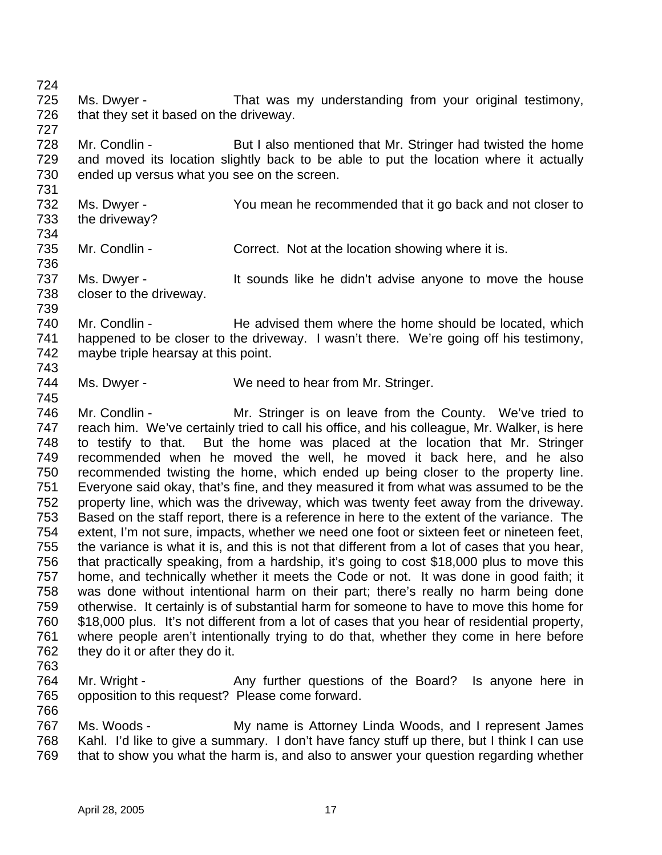Ms. Dwyer - That was my understanding from your original testimony, 726 that they set it based on the driveway. 728 Mr. Condlin - But I also mentioned that Mr. Stringer had twisted the home and moved its location slightly back to be able to put the location where it actually ended up versus what you see on the screen. Ms. Dwyer - You mean he recommended that it go back and not closer to the driveway? 

- 735 Mr. Condlin Correct. Not at the location showing where it is.
- 737 Ms. Dwyer It sounds like he didn't advise anyone to move the house closer to the driveway.

 Mr. Condlin - He advised them where the home should be located, which happened to be closer to the driveway. I wasn't there. We're going off his testimony, maybe triple hearsay at this point. 

744 Ms. Dwyer - We need to hear from Mr. Stringer.

 Mr. Condlin - Mr. Stringer is on leave from the County. We've tried to reach him. We've certainly tried to call his office, and his colleague, Mr. Walker, is here to testify to that. But the home was placed at the location that Mr. Stringer recommended when he moved the well, he moved it back here, and he also recommended twisting the home, which ended up being closer to the property line. Everyone said okay, that's fine, and they measured it from what was assumed to be the property line, which was the driveway, which was twenty feet away from the driveway. Based on the staff report, there is a reference in here to the extent of the variance. The extent, I'm not sure, impacts, whether we need one foot or sixteen feet or nineteen feet, the variance is what it is, and this is not that different from a lot of cases that you hear, that practically speaking, from a hardship, it's going to cost \$18,000 plus to move this home, and technically whether it meets the Code or not. It was done in good faith; it was done without intentional harm on their part; there's really no harm being done otherwise. It certainly is of substantial harm for someone to have to move this home for \$18,000 plus. It's not different from a lot of cases that you hear of residential property, where people aren't intentionally trying to do that, whether they come in here before 762 they do it or after they do it.

764 Mr. Wright - Any further questions of the Board? Is anyone here in opposition to this request? Please come forward.

 Ms. Woods - My name is Attorney Linda Woods, and I represent James Kahl. I'd like to give a summary. I don't have fancy stuff up there, but I think I can use that to show you what the harm is, and also to answer your question regarding whether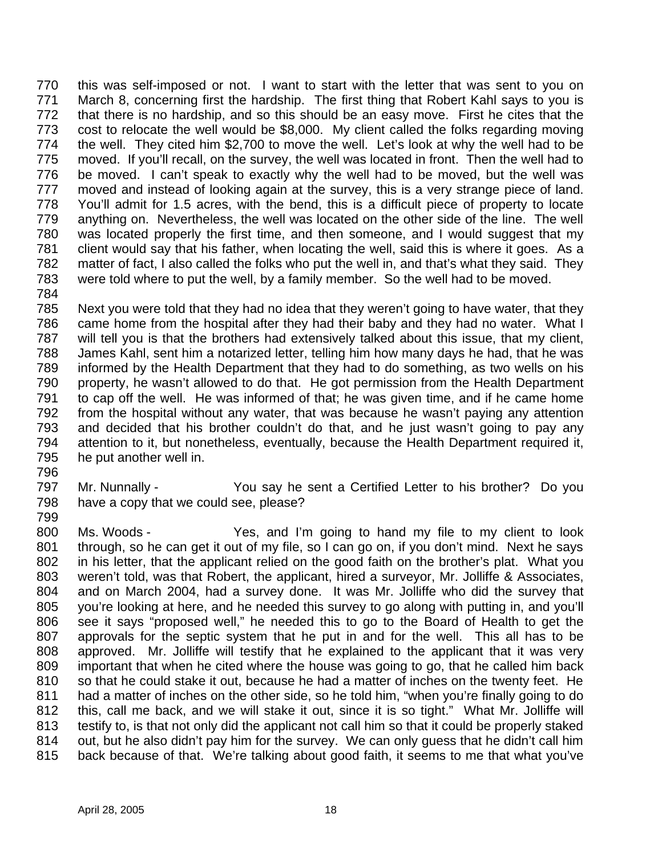this was self-imposed or not. I want to start with the letter that was sent to you on March 8, concerning first the hardship. The first thing that Robert Kahl says to you is that there is no hardship, and so this should be an easy move. First he cites that the cost to relocate the well would be \$8,000. My client called the folks regarding moving the well. They cited him \$2,700 to move the well. Let's look at why the well had to be moved. If you'll recall, on the survey, the well was located in front. Then the well had to be moved. I can't speak to exactly why the well had to be moved, but the well was moved and instead of looking again at the survey, this is a very strange piece of land. You'll admit for 1.5 acres, with the bend, this is a difficult piece of property to locate anything on. Nevertheless, the well was located on the other side of the line. The well was located properly the first time, and then someone, and I would suggest that my 781 client would say that his father, when locating the well, said this is where it goes. As a matter of fact, I also called the folks who put the well in, and that's what they said. They were told where to put the well, by a family member. So the well had to be moved.

 Next you were told that they had no idea that they weren't going to have water, that they came home from the hospital after they had their baby and they had no water. What I will tell you is that the brothers had extensively talked about this issue, that my client, James Kahl, sent him a notarized letter, telling him how many days he had, that he was informed by the Health Department that they had to do something, as two wells on his property, he wasn't allowed to do that. He got permission from the Health Department to cap off the well. He was informed of that; he was given time, and if he came home from the hospital without any water, that was because he wasn't paying any attention and decided that his brother couldn't do that, and he just wasn't going to pay any attention to it, but nonetheless, eventually, because the Health Department required it, he put another well in.

 Mr. Nunnally - You say he sent a Certified Letter to his brother? Do you have a copy that we could see, please? 

 Ms. Woods - Yes, and I'm going to hand my file to my client to look 801 through, so he can get it out of my file, so I can go on, if you don't mind. Next he says in his letter, that the applicant relied on the good faith on the brother's plat. What you weren't told, was that Robert, the applicant, hired a surveyor, Mr. Jolliffe & Associates, and on March 2004, had a survey done. It was Mr. Jolliffe who did the survey that you're looking at here, and he needed this survey to go along with putting in, and you'll see it says "proposed well," he needed this to go to the Board of Health to get the approvals for the septic system that he put in and for the well. This all has to be approved. Mr. Jolliffe will testify that he explained to the applicant that it was very important that when he cited where the house was going to go, that he called him back so that he could stake it out, because he had a matter of inches on the twenty feet. He 811 had a matter of inches on the other side, so he told him, "when you're finally going to do this, call me back, and we will stake it out, since it is so tight." What Mr. Jolliffe will testify to, is that not only did the applicant not call him so that it could be properly staked out, but he also didn't pay him for the survey. We can only guess that he didn't call him back because of that. We're talking about good faith, it seems to me that what you've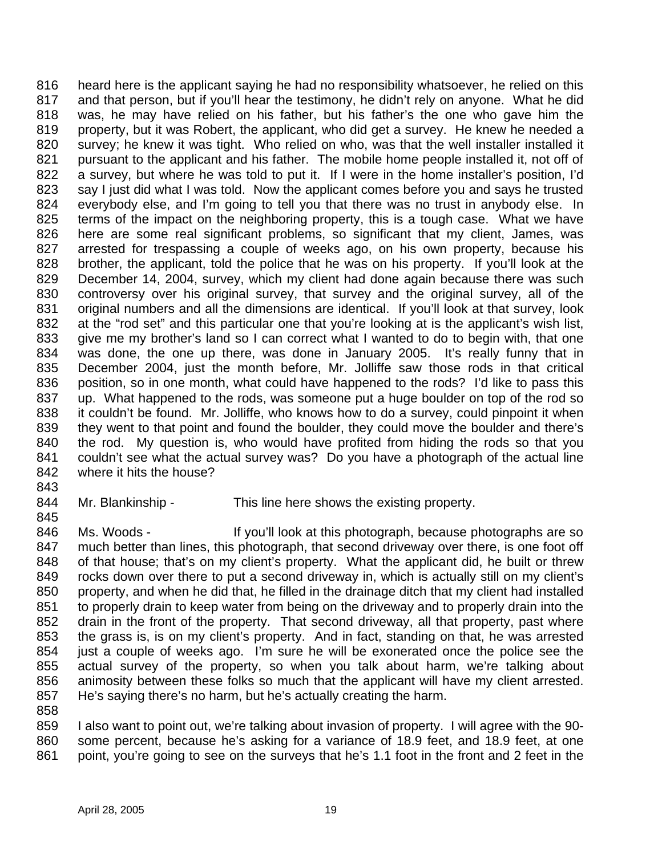heard here is the applicant saying he had no responsibility whatsoever, he relied on this and that person, but if you'll hear the testimony, he didn't rely on anyone. What he did was, he may have relied on his father, but his father's the one who gave him the property, but it was Robert, the applicant, who did get a survey. He knew he needed a survey; he knew it was tight. Who relied on who, was that the well installer installed it 821 pursuant to the applicant and his father. The mobile home people installed it, not off of 822 a survey, but where he was told to put it. If I were in the home installer's position, I'd say I just did what I was told. Now the applicant comes before you and says he trusted everybody else, and I'm going to tell you that there was no trust in anybody else. In terms of the impact on the neighboring property, this is a tough case. What we have here are some real significant problems, so significant that my client, James, was arrested for trespassing a couple of weeks ago, on his own property, because his brother, the applicant, told the police that he was on his property. If you'll look at the December 14, 2004, survey, which my client had done again because there was such controversy over his original survey, that survey and the original survey, all of the original numbers and all the dimensions are identical. If you'll look at that survey, look at the "rod set" and this particular one that you're looking at is the applicant's wish list, give me my brother's land so I can correct what I wanted to do to begin with, that one was done, the one up there, was done in January 2005. It's really funny that in December 2004, just the month before, Mr. Jolliffe saw those rods in that critical position, so in one month, what could have happened to the rods? I'd like to pass this up. What happened to the rods, was someone put a huge boulder on top of the rod so it couldn't be found. Mr. Jolliffe, who knows how to do a survey, could pinpoint it when they went to that point and found the boulder, they could move the boulder and there's the rod. My question is, who would have profited from hiding the rods so that you couldn't see what the actual survey was? Do you have a photograph of the actual line where it hits the house?

844 Mr. Blankinship - This line here shows the existing property.

846 Ms. Woods - If you'll look at this photograph, because photographs are so 847 much better than lines, this photograph, that second driveway over there, is one foot off of that house; that's on my client's property. What the applicant did, he built or threw rocks down over there to put a second driveway in, which is actually still on my client's property, and when he did that, he filled in the drainage ditch that my client had installed 851 to properly drain to keep water from being on the driveway and to properly drain into the drain in the front of the property. That second driveway, all that property, past where the grass is, is on my client's property. And in fact, standing on that, he was arrested just a couple of weeks ago. I'm sure he will be exonerated once the police see the actual survey of the property, so when you talk about harm, we're talking about animosity between these folks so much that the applicant will have my client arrested. He's saying there's no harm, but he's actually creating the harm.

 I also want to point out, we're talking about invasion of property. I will agree with the 90- some percent, because he's asking for a variance of 18.9 feet, and 18.9 feet, at one point, you're going to see on the surveys that he's 1.1 foot in the front and 2 feet in the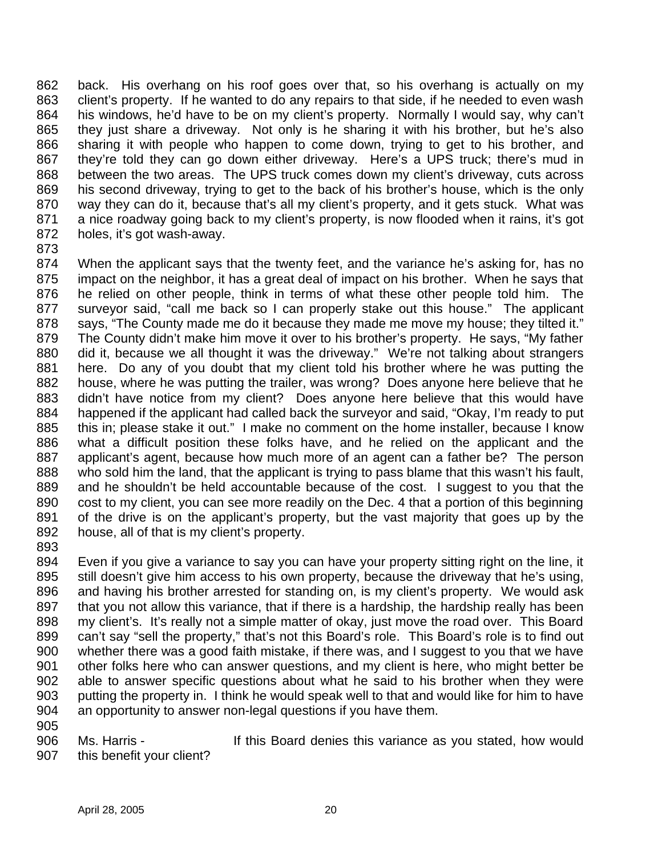back. His overhang on his roof goes over that, so his overhang is actually on my 863 client's property. If he wanted to do any repairs to that side, if he needed to even wash his windows, he'd have to be on my client's property. Normally I would say, why can't they just share a driveway. Not only is he sharing it with his brother, but he's also sharing it with people who happen to come down, trying to get to his brother, and they're told they can go down either driveway. Here's a UPS truck; there's mud in between the two areas. The UPS truck comes down my client's driveway, cuts across his second driveway, trying to get to the back of his brother's house, which is the only way they can do it, because that's all my client's property, and it gets stuck. What was a nice roadway going back to my client's property, is now flooded when it rains, it's got holes, it's got wash-away.

 When the applicant says that the twenty feet, and the variance he's asking for, has no impact on the neighbor, it has a great deal of impact on his brother. When he says that he relied on other people, think in terms of what these other people told him. The surveyor said, "call me back so I can properly stake out this house." The applicant 878 says, "The County made me do it because they made me move my house; they tilted it." The County didn't make him move it over to his brother's property. He says, "My father did it, because we all thought it was the driveway." We're not talking about strangers here. Do any of you doubt that my client told his brother where he was putting the house, where he was putting the trailer, was wrong? Does anyone here believe that he didn't have notice from my client? Does anyone here believe that this would have happened if the applicant had called back the surveyor and said, "Okay, I'm ready to put this in; please stake it out." I make no comment on the home installer, because I know what a difficult position these folks have, and he relied on the applicant and the applicant's agent, because how much more of an agent can a father be? The person who sold him the land, that the applicant is trying to pass blame that this wasn't his fault, and he shouldn't be held accountable because of the cost. I suggest to you that the 890 cost to my client, you can see more readily on the Dec. 4 that a portion of this beginning of the drive is on the applicant's property, but the vast majority that goes up by the house, all of that is my client's property.

 Even if you give a variance to say you can have your property sitting right on the line, it still doesn't give him access to his own property, because the driveway that he's using, and having his brother arrested for standing on, is my client's property. We would ask 897 that you not allow this variance, that if there is a hardship, the hardship really has been my client's. It's really not a simple matter of okay, just move the road over. This Board can't say "sell the property," that's not this Board's role. This Board's role is to find out whether there was a good faith mistake, if there was, and I suggest to you that we have other folks here who can answer questions, and my client is here, who might better be able to answer specific questions about what he said to his brother when they were putting the property in. I think he would speak well to that and would like for him to have an opportunity to answer non-legal questions if you have them.

 Ms. Harris - If this Board denies this variance as you stated, how would 907 this benefit your client?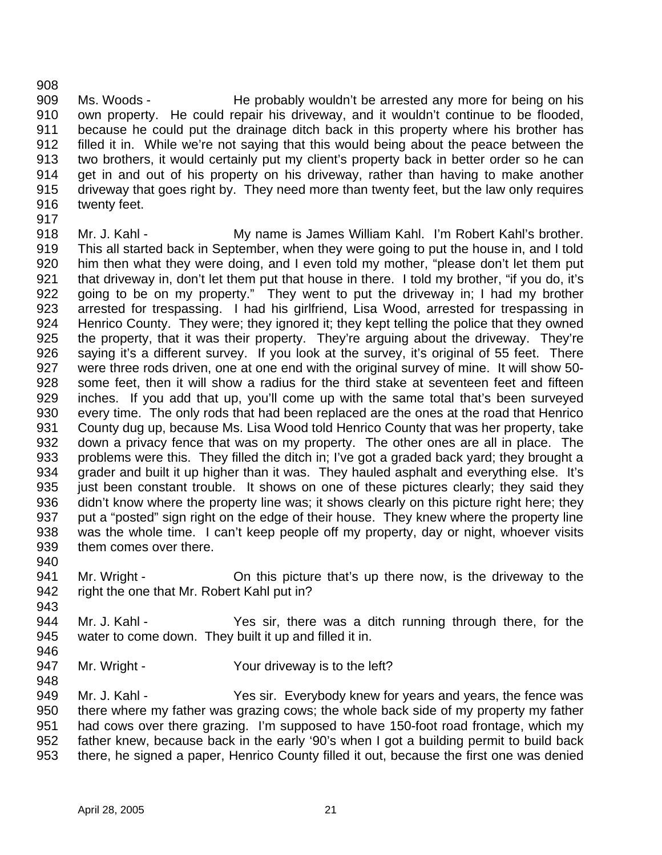909 Ms. Woods - He probably wouldn't be arrested any more for being on his own property. He could repair his driveway, and it wouldn't continue to be flooded, because he could put the drainage ditch back in this property where his brother has filled it in. While we're not saying that this would being about the peace between the two brothers, it would certainly put my client's property back in better order so he can get in and out of his property on his driveway, rather than having to make another driveway that goes right by. They need more than twenty feet, but the law only requires twenty feet. 

 Mr. J. Kahl - My name is James William Kahl. I'm Robert Kahl's brother. This all started back in September, when they were going to put the house in, and I told him then what they were doing, and I even told my mother, "please don't let them put 921 that driveway in, don't let them put that house in there. I told my brother, "if you do, it's 922 going to be on my property." They went to put the driveway in; I had my brother arrested for trespassing. I had his girlfriend, Lisa Wood, arrested for trespassing in Henrico County. They were; they ignored it; they kept telling the police that they owned the property, that it was their property. They're arguing about the driveway. They're saying it's a different survey. If you look at the survey, it's original of 55 feet. There were three rods driven, one at one end with the original survey of mine. It will show 50- some feet, then it will show a radius for the third stake at seventeen feet and fifteen inches. If you add that up, you'll come up with the same total that's been surveyed every time. The only rods that had been replaced are the ones at the road that Henrico County dug up, because Ms. Lisa Wood told Henrico County that was her property, take down a privacy fence that was on my property. The other ones are all in place. The problems were this. They filled the ditch in; I've got a graded back yard; they brought a grader and built it up higher than it was. They hauled asphalt and everything else. It's 935 just been constant trouble. It shows on one of these pictures clearly; they said they 936 didn't know where the property line was; it shows clearly on this picture right here; they put a "posted" sign right on the edge of their house. They knew where the property line was the whole time. I can't keep people off my property, day or night, whoever visits them comes over there.

- Mr. Wright On this picture that's up there now, is the driveway to the right the one that Mr. Robert Kahl put in?
- Mr. J. Kahl Yes sir, there was a ditch running through there, for the water to come down. They built it up and filled it in.
- 

947 Mr. Wright - Your driveway is to the left?

 Mr. J. Kahl - Yes sir. Everybody knew for years and years, the fence was there where my father was grazing cows; the whole back side of my property my father had cows over there grazing. I'm supposed to have 150-foot road frontage, which my father knew, because back in the early '90's when I got a building permit to build back there, he signed a paper, Henrico County filled it out, because the first one was denied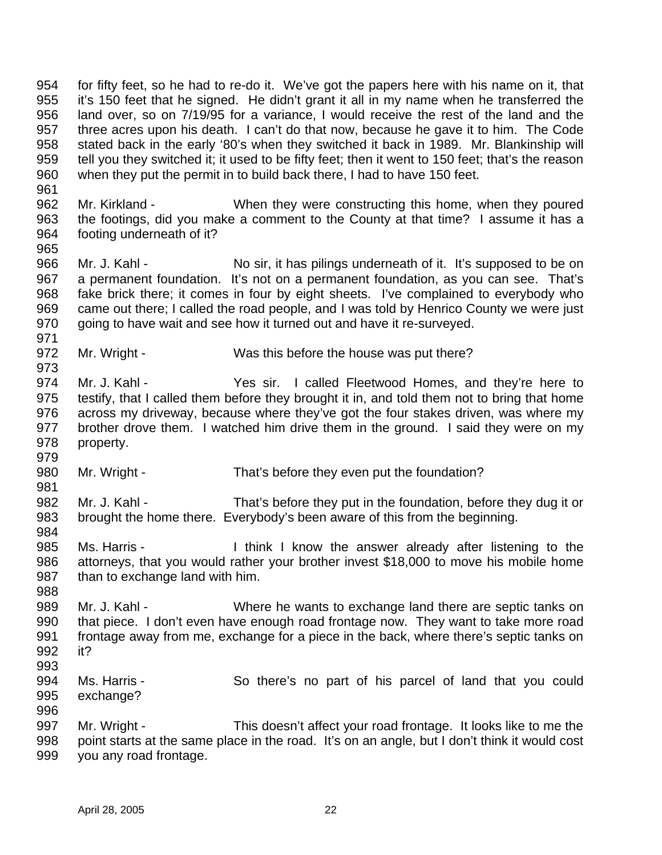for fifty feet, so he had to re-do it. We've got the papers here with his name on it, that it's 150 feet that he signed. He didn't grant it all in my name when he transferred the land over, so on 7/19/95 for a variance, I would receive the rest of the land and the three acres upon his death. I can't do that now, because he gave it to him. The Code stated back in the early '80's when they switched it back in 1989. Mr. Blankinship will tell you they switched it; it used to be fifty feet; then it went to 150 feet; that's the reason when they put the permit in to build back there, I had to have 150 feet.

- 962 Mr. Kirkland When they were constructing this home, when they poured the footings, did you make a comment to the County at that time? I assume it has a footing underneath of it?
- Mr. J. Kahl No sir, it has pilings underneath of it. It's supposed to be on a permanent foundation. It's not on a permanent foundation, as you can see. That's fake brick there; it comes in four by eight sheets. I've complained to everybody who came out there; I called the road people, and I was told by Henrico County we were just going to have wait and see how it turned out and have it re-surveyed.
- 972 Mr. Wright Was this before the house was put there?
- 974 Mr. J. Kahl Yes sir. I called Fleetwood Homes, and they're here to testify, that I called them before they brought it in, and told them not to bring that home across my driveway, because where they've got the four stakes driven, was where my brother drove them. I watched him drive them in the ground. I said they were on my property.
- 980 Mr. Wright That's before they even put the foundation?
- Mr. J. Kahl - That's before they put in the foundation, before they dug it or brought the home there. Everybody's been aware of this from the beginning.
- 985 Ms. Harris I think I know the answer already after listening to the attorneys, that you would rather your brother invest \$18,000 to move his mobile home than to exchange land with him.
- 989 Mr. J. Kahl Where he wants to exchange land there are septic tanks on that piece. I don't even have enough road frontage now. They want to take more road frontage away from me, exchange for a piece in the back, where there's septic tanks on it?
- Ms. Harris So there's no part of his parcel of land that you could exchange?
- Mr. Wright - This doesn't affect your road frontage. It looks like to me the point starts at the same place in the road. It's on an angle, but I don't think it would cost you any road frontage.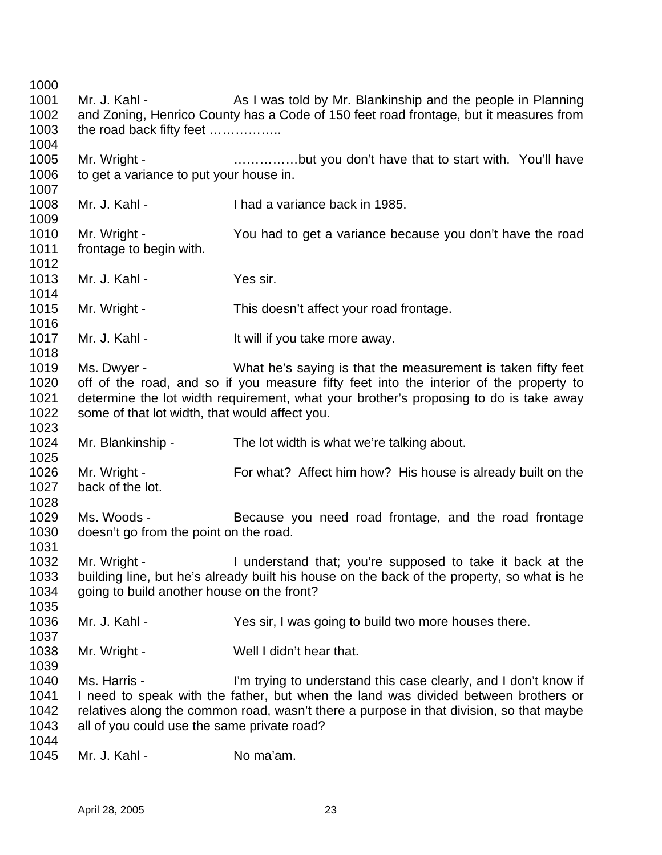1001 Mr. J. Kahl - As I was told by Mr. Blankinship and the people in Planning and Zoning, Henrico County has a Code of 150 feet road frontage, but it measures from 1003 the road back fifty feet ................ 1005 Mr. Wright - **Exam a maturation** controlled that to start with. You'll have 1006 to get a variance to put your house in. Mr. J. Kahl - I had a variance back in 1985. Mr. Wright - You had to get a variance because you don't have the road frontage to begin with. Mr. J. Kahl - Yes sir. 1015 Mr. Wright - This doesn't affect your road frontage. 1017 Mr. J. Kahl - It will if you take more away. Ms. Dwyer - What he's saying is that the measurement is taken fifty feet off of the road, and so if you measure fifty feet into the interior of the property to determine the lot width requirement, what your brother's proposing to do is take away some of that lot width, that would affect you. Mr. Blankinship - The lot width is what we're talking about. Mr. Wright - For what? Affect him how? His house is already built on the back of the lot. Ms. Woods - Because you need road frontage, and the road frontage doesn't go from the point on the road. Mr. Wright - I understand that; you're supposed to take it back at the building line, but he's already built his house on the back of the property, so what is he going to build another house on the front? 1036 Mr. J. Kahl - Yes sir, I was going to build two more houses there. 1038 Mr. Wright - Well I didn't hear that. Ms. Harris - I'm trying to understand this case clearly, and I don't know if I need to speak with the father, but when the land was divided between brothers or relatives along the common road, wasn't there a purpose in that division, so that maybe all of you could use the same private road? 1045 Mr. J. Kahl - No ma'am.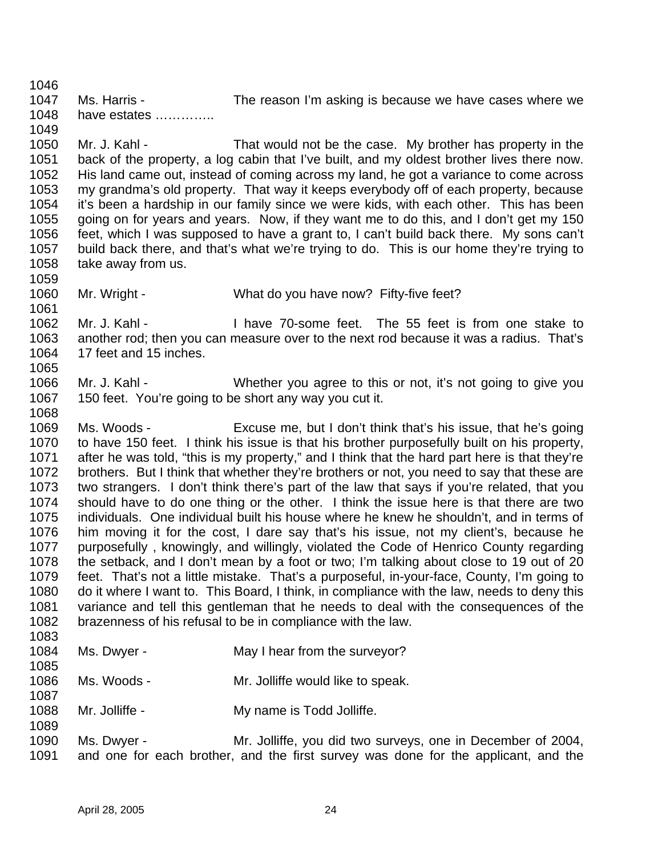1047 Ms. Harris - The reason I'm asking is because we have cases where we have estates ………….. 

 Mr. J. Kahl - That would not be the case. My brother has property in the back of the property, a log cabin that I've built, and my oldest brother lives there now. His land came out, instead of coming across my land, he got a variance to come across my grandma's old property. That way it keeps everybody off of each property, because it's been a hardship in our family since we were kids, with each other. This has been going on for years and years. Now, if they want me to do this, and I don't get my 150 feet, which I was supposed to have a grant to, I can't build back there. My sons can't build back there, and that's what we're trying to do. This is our home they're trying to take away from us.

Mr. Wright - What do you have now? Fifty-five feet?

 Mr. J. Kahl - I have 70-some feet. The 55 feet is from one stake to another rod; then you can measure over to the next rod because it was a radius. That's 17 feet and 15 inches. 

 Mr. J. Kahl - Whether you agree to this or not, it's not going to give you 150 feet. You're going to be short any way you cut it.

 Ms. Woods - Excuse me, but I don't think that's his issue, that he's going to have 150 feet. I think his issue is that his brother purposefully built on his property, after he was told, "this is my property," and I think that the hard part here is that they're brothers. But I think that whether they're brothers or not, you need to say that these are two strangers. I don't think there's part of the law that says if you're related, that you should have to do one thing or the other. I think the issue here is that there are two individuals. One individual built his house where he knew he shouldn't, and in terms of him moving it for the cost, I dare say that's his issue, not my client's, because he purposefully , knowingly, and willingly, violated the Code of Henrico County regarding the setback, and I don't mean by a foot or two; I'm talking about close to 19 out of 20 feet. That's not a little mistake. That's a purposeful, in-your-face, County, I'm going to do it where I want to. This Board, I think, in compliance with the law, needs to deny this variance and tell this gentleman that he needs to deal with the consequences of the brazenness of his refusal to be in compliance with the law. 

| 1084<br>1085 | Ms. Dwyer -    | May I hear from the surveyor?     |
|--------------|----------------|-----------------------------------|
| 1086         | Ms. Woods -    | Mr. Jolliffe would like to speak. |
| 1087<br>1088 | Mr. Jolliffe - | My name is Todd Jolliffe.         |

 Ms. Dwyer - Mr. Jolliffe, you did two surveys, one in December of 2004, and one for each brother, and the first survey was done for the applicant, and the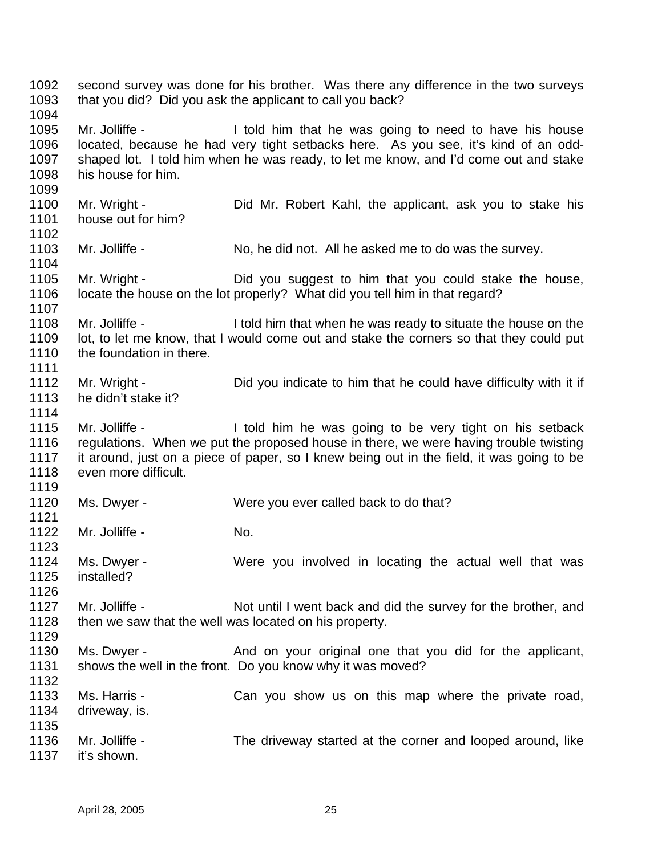second survey was done for his brother. Was there any difference in the two surveys that you did? Did you ask the applicant to call you back? 1095 Mr. Jolliffe - I told him that he was going to need to have his house located, because he had very tight setbacks here. As you see, it's kind of an odd- shaped lot. I told him when he was ready, to let me know, and I'd come out and stake his house for him. Mr. Wright - Did Mr. Robert Kahl, the applicant, ask you to stake his house out for him? 1103 Mr. Jolliffe - No, he did not. All he asked me to do was the survey. Mr. Wright - Did you suggest to him that you could stake the house, locate the house on the lot properly? What did you tell him in that regard? 1108 Mr. Jolliffe - I told him that when he was ready to situate the house on the lot, to let me know, that I would come out and stake the corners so that they could put 1110 the foundation in there. 1112 Mr. Wright - Did you indicate to him that he could have difficulty with it if he didn't stake it? 1115 Mr. Jolliffe - I told him he was going to be very tight on his setback regulations. When we put the proposed house in there, we were having trouble twisting it around, just on a piece of paper, so I knew being out in the field, it was going to be even more difficult. Ms. Dwyer - Were you ever called back to do that? 1122 Mr. Jolliffe - No. Ms. Dwyer - Were you involved in locating the actual well that was installed? 1127 Mr. Jolliffe - Not until I went back and did the survey for the brother, and 1128 then we saw that the well was located on his property. 1130 Ms. Dwyer - And on your original one that you did for the applicant, 1131 shows the well in the front. Do you know why it was moved? 1133 Ms. Harris - Can you show us on this map where the private road, driveway, is. Mr. Jolliffe - The driveway started at the corner and looped around, like it's shown.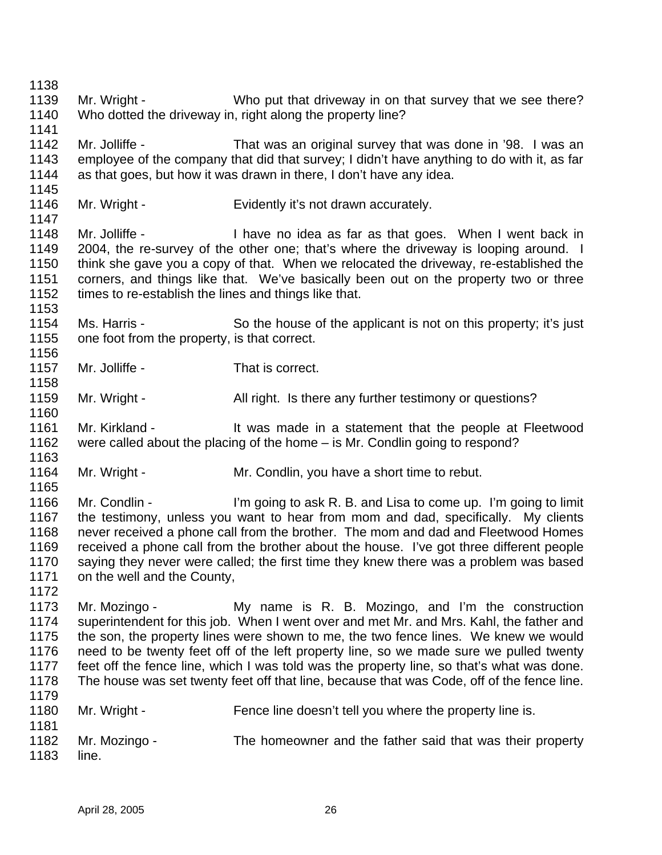1139 Mr. Wright - Who put that driveway in on that survey that we see there? Who dotted the driveway in, right along the property line? Mr. Jolliffe - That was an original survey that was done in '98. I was an employee of the company that did that survey; I didn't have anything to do with it, as far as that goes, but how it was drawn in there, I don't have any idea. Mr. Wright - Evidently it's not drawn accurately. 1148 Mr. Jolliffe - I have no idea as far as that goes. When I went back in 2004, the re-survey of the other one; that's where the driveway is looping around. I think she gave you a copy of that. When we relocated the driveway, re-established the corners, and things like that. We've basically been out on the property two or three 1152 times to re-establish the lines and things like that. Ms. Harris - So the house of the applicant is not on this property; it's just 1155 one foot from the property, is that correct. Mr. Jolliffe - That is correct. 1159 Mr. Wright - All right. Is there any further testimony or questions? 1161 Mr. Kirkland - It was made in a statement that the people at Fleetwood were called about the placing of the home – is Mr. Condlin going to respond? 1164 Mr. Wright - Mr. Condlin, you have a short time to rebut. Mr. Condlin - I'm going to ask R. B. and Lisa to come up. I'm going to limit the testimony, unless you want to hear from mom and dad, specifically. My clients never received a phone call from the brother. The mom and dad and Fleetwood Homes received a phone call from the brother about the house. I've got three different people saying they never were called; the first time they knew there was a problem was based on the well and the County, Mr. Mozingo - My name is R. B. Mozingo, and I'm the construction superintendent for this job. When I went over and met Mr. and Mrs. Kahl, the father and the son, the property lines were shown to me, the two fence lines. We knew we would need to be twenty feet off of the left property line, so we made sure we pulled twenty feet off the fence line, which I was told was the property line, so that's what was done. The house was set twenty feet off that line, because that was Code, off of the fence line. 1180 Mr. Wright - Fence line doesn't tell you where the property line is. Mr. Mozingo - The homeowner and the father said that was their property line.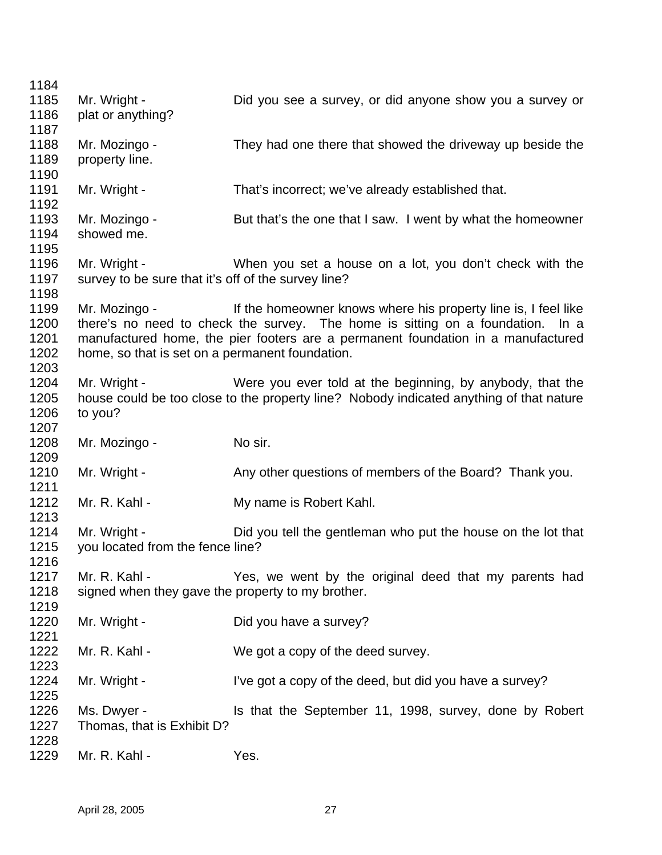| 1184 |                                                     |                                                                                         |
|------|-----------------------------------------------------|-----------------------------------------------------------------------------------------|
| 1185 | Mr. Wright -                                        | Did you see a survey, or did anyone show you a survey or                                |
| 1186 | plat or anything?                                   |                                                                                         |
| 1187 |                                                     |                                                                                         |
| 1188 | Mr. Mozingo -                                       | They had one there that showed the driveway up beside the                               |
| 1189 | property line.                                      |                                                                                         |
| 1190 |                                                     |                                                                                         |
| 1191 | Mr. Wright -                                        | That's incorrect; we've already established that.                                       |
| 1192 |                                                     |                                                                                         |
| 1193 | Mr. Mozingo -                                       | But that's the one that I saw. I went by what the homeowner                             |
| 1194 | showed me.                                          |                                                                                         |
| 1195 |                                                     |                                                                                         |
| 1196 | Mr. Wright -                                        | When you set a house on a lot, you don't check with the                                 |
| 1197 | survey to be sure that it's off of the survey line? |                                                                                         |
| 1198 |                                                     |                                                                                         |
| 1199 | Mr. Mozingo -                                       | If the homeowner knows where his property line is, I feel like                          |
| 1200 |                                                     | there's no need to check the survey. The home is sitting on a foundation. In a          |
| 1201 |                                                     | manufactured home, the pier footers are a permanent foundation in a manufactured        |
| 1202 | home, so that is set on a permanent foundation.     |                                                                                         |
| 1203 |                                                     |                                                                                         |
| 1204 | Mr. Wright -                                        | Were you ever told at the beginning, by anybody, that the                               |
| 1205 |                                                     | house could be too close to the property line? Nobody indicated anything of that nature |
| 1206 | to you?                                             |                                                                                         |
| 1207 |                                                     |                                                                                         |
| 1208 | Mr. Mozingo -                                       | No sir.                                                                                 |
| 1209 |                                                     |                                                                                         |
| 1210 | Mr. Wright -                                        | Any other questions of members of the Board? Thank you.                                 |
| 1211 |                                                     |                                                                                         |
| 1212 | Mr. R. Kahl -                                       | My name is Robert Kahl.                                                                 |
| 1213 |                                                     |                                                                                         |
| 1214 | Mr. Wright -                                        | Did you tell the gentleman who put the house on the lot that                            |
| 1215 | you located from the fence line?                    |                                                                                         |
| 1216 |                                                     |                                                                                         |
| 1217 | Mr. R. Kahl -                                       | Yes, we went by the original deed that my parents had                                   |
| 1218 | signed when they gave the property to my brother.   |                                                                                         |
| 1219 |                                                     |                                                                                         |
| 1220 | Mr. Wright -                                        | Did you have a survey?                                                                  |
| 1221 |                                                     |                                                                                         |
| 1222 | Mr. R. Kahl -                                       | We got a copy of the deed survey.                                                       |
| 1223 |                                                     |                                                                                         |
| 1224 | Mr. Wright -                                        | I've got a copy of the deed, but did you have a survey?                                 |
| 1225 |                                                     |                                                                                         |
| 1226 | Ms. Dwyer -                                         | Is that the September 11, 1998, survey, done by Robert                                  |
| 1227 | Thomas, that is Exhibit D?                          |                                                                                         |
| 1228 |                                                     |                                                                                         |
| 1229 | Mr. R. Kahl -                                       | Yes.                                                                                    |
|      |                                                     |                                                                                         |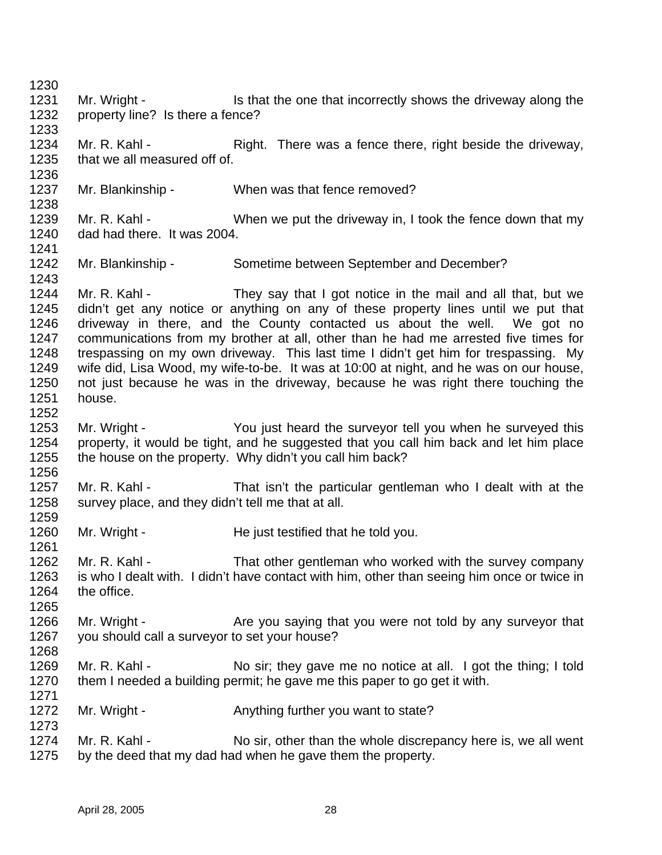1231 Mr. Wright - Is that the one that incorrectly shows the driveway along the property line? Is there a fence? 1234 Mr. R. Kahl - Right. There was a fence there, right beside the driveway, that we all measured off of. Mr. Blankinship - When was that fence removed? 1239 Mr. R. Kahl - When we put the driveway in, I took the fence down that my dad had there. It was 2004. Mr. Blankinship - Sometime between September and December? 1244 Mr. R. Kahl - They say that I got notice in the mail and all that, but we didn't get any notice or anything on any of these property lines until we put that driveway in there, and the County contacted us about the well. We got no communications from my brother at all, other than he had me arrested five times for trespassing on my own driveway. This last time I didn't get him for trespassing. My wife did, Lisa Wood, my wife-to-be. It was at 10:00 at night, and he was on our house, not just because he was in the driveway, because he was right there touching the house. Mr. Wright - You just heard the surveyor tell you when he surveyed this property, it would be tight, and he suggested that you call him back and let him place the house on the property. Why didn't you call him back? Mr. R. Kahl - That isn't the particular gentleman who I dealt with at the survey place, and they didn't tell me that at all. 1260 Mr. Wright - He just testified that he told you. 1262 Mr. R. Kahl - That other gentleman who worked with the survey company is who I dealt with. I didn't have contact with him, other than seeing him once or twice in the office. 1266 Mr. Wright - Are you saying that you were not told by any surveyor that you should call a surveyor to set your house? 1269 Mr. R. Kahl - No sir; they gave me no notice at all. I got the thing; I told them I needed a building permit; he gave me this paper to go get it with. 1272 Mr. Wright - Anything further you want to state? 1274 Mr. R. Kahl - No sir, other than the whole discrepancy here is, we all went by the deed that my dad had when he gave them the property.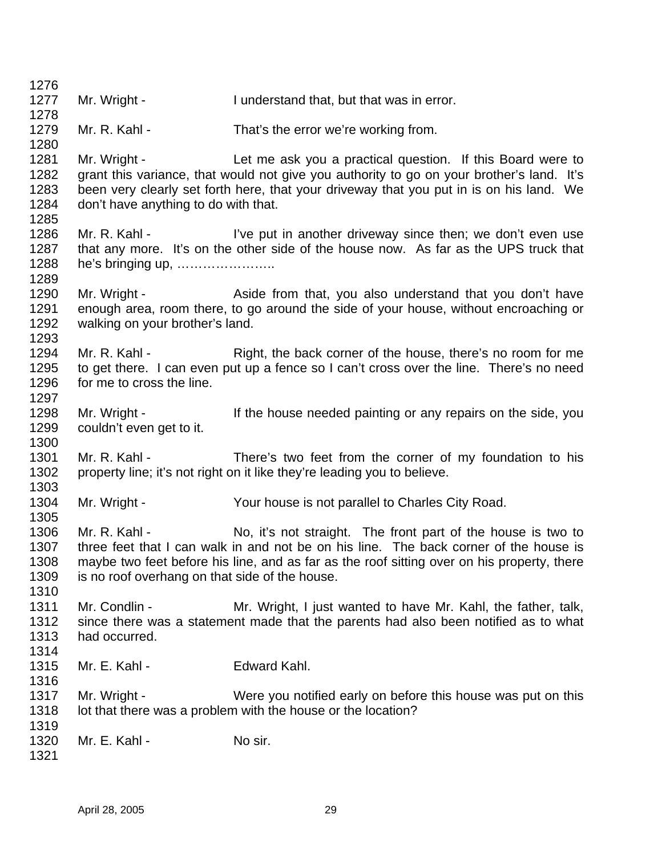1277 Mr. Wright - I understand that, but that was in error. 1279 Mr. R. Kahl - That's the error we're working from. 1281 Mr. Wright - Let me ask you a practical question. If this Board were to grant this variance, that would not give you authority to go on your brother's land. It's been very clearly set forth here, that your driveway that you put in is on his land. We don't have anything to do with that. 1286 Mr. R. Kahl - I've put in another driveway since then; we don't even use that any more. It's on the other side of the house now. As far as the UPS truck that he's bringing up, ………………….. 1290 Mr. Wright - Aside from that, you also understand that you don't have enough area, room there, to go around the side of your house, without encroaching or walking on your brother's land. 1294 Mr. R. Kahl - Right, the back corner of the house, there's no room for me to get there. I can even put up a fence so I can't cross over the line. There's no need for me to cross the line. 1298 Mr. Wright - If the house needed painting or any repairs on the side, you couldn't even get to it. 1301 Mr. R. Kahl - There's two feet from the corner of my foundation to his property line; it's not right on it like they're leading you to believe. Mr. Wright - Your house is not parallel to Charles City Road. 1306 Mr. R. Kahl - No, it's not straight. The front part of the house is two to three feet that I can walk in and not be on his line. The back corner of the house is maybe two feet before his line, and as far as the roof sitting over on his property, there is no roof overhang on that side of the house. 1311 Mr. Condlin - Mr. Wright, I just wanted to have Mr. Kahl, the father, talk, since there was a statement made that the parents had also been notified as to what had occurred. Mr. E. Kahl - Edward Kahl. 1317 Mr. Wright - Were you notified early on before this house was put on this 1318 lot that there was a problem with the house or the location? Mr. E. Kahl - No sir.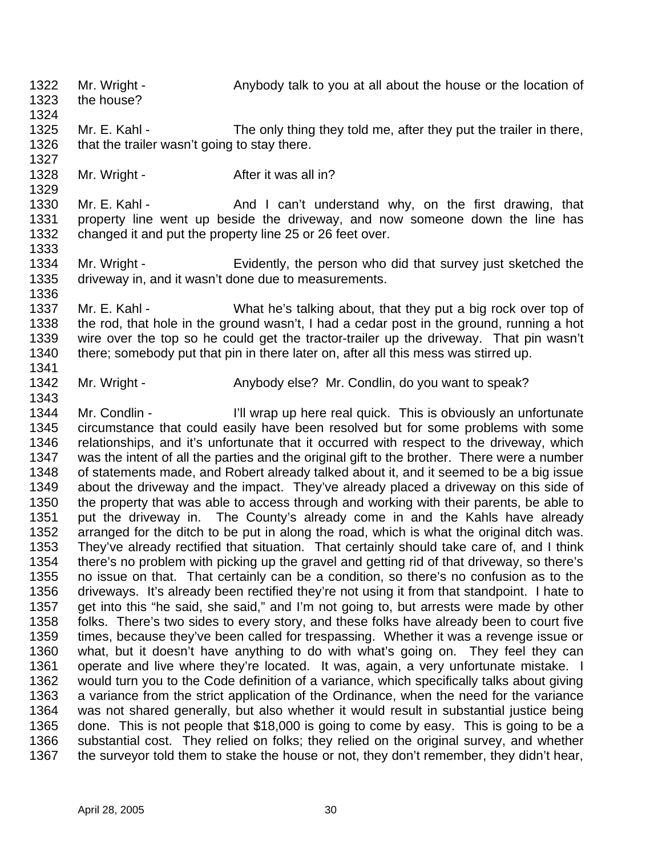Mr. Wright - Anybody talk to you at all about the house or the location of the house? 1325 Mr. E. Kahl - The only thing they told me, after they put the trailer in there, 1326 that the trailer wasn't going to stay there. 1328 Mr. Wright - After it was all in? 1330 Mr. E. Kahl - And I can't understand why, on the first drawing, that property line went up beside the driveway, and now someone down the line has changed it and put the property line 25 or 26 feet over. Mr. Wright - Evidently, the person who did that survey just sketched the driveway in, and it wasn't done due to measurements. Mr. E. Kahl - What he's talking about, that they put a big rock over top of the rod, that hole in the ground wasn't, I had a cedar post in the ground, running a hot wire over the top so he could get the tractor-trailer up the driveway. That pin wasn't 1340 there; somebody put that pin in there later on, after all this mess was stirred up. 1342 Mr. Wright - Anybody else? Mr. Condlin, do you want to speak? Mr. Condlin - I'll wrap up here real quick. This is obviously an unfortunate circumstance that could easily have been resolved but for some problems with some relationships, and it's unfortunate that it occurred with respect to the driveway, which was the intent of all the parties and the original gift to the brother. There were a number of statements made, and Robert already talked about it, and it seemed to be a big issue about the driveway and the impact. They've already placed a driveway on this side of the property that was able to access through and working with their parents, be able to put the driveway in. The County's already come in and the Kahls have already arranged for the ditch to be put in along the road, which is what the original ditch was. They've already rectified that situation. That certainly should take care of, and I think there's no problem with picking up the gravel and getting rid of that driveway, so there's no issue on that. That certainly can be a condition, so there's no confusion as to the driveways. It's already been rectified they're not using it from that standpoint. I hate to get into this "he said, she said," and I'm not going to, but arrests were made by other folks. There's two sides to every story, and these folks have already been to court five times, because they've been called for trespassing. Whether it was a revenge issue or what, but it doesn't have anything to do with what's going on. They feel they can operate and live where they're located. It was, again, a very unfortunate mistake. I would turn you to the Code definition of a variance, which specifically talks about giving 1363 a variance from the strict application of the Ordinance, when the need for the variance was not shared generally, but also whether it would result in substantial justice being done. This is not people that \$18,000 is going to come by easy. This is going to be a substantial cost. They relied on folks; they relied on the original survey, and whether 1367 the surveyor told them to stake the house or not, they don't remember, they didn't hear,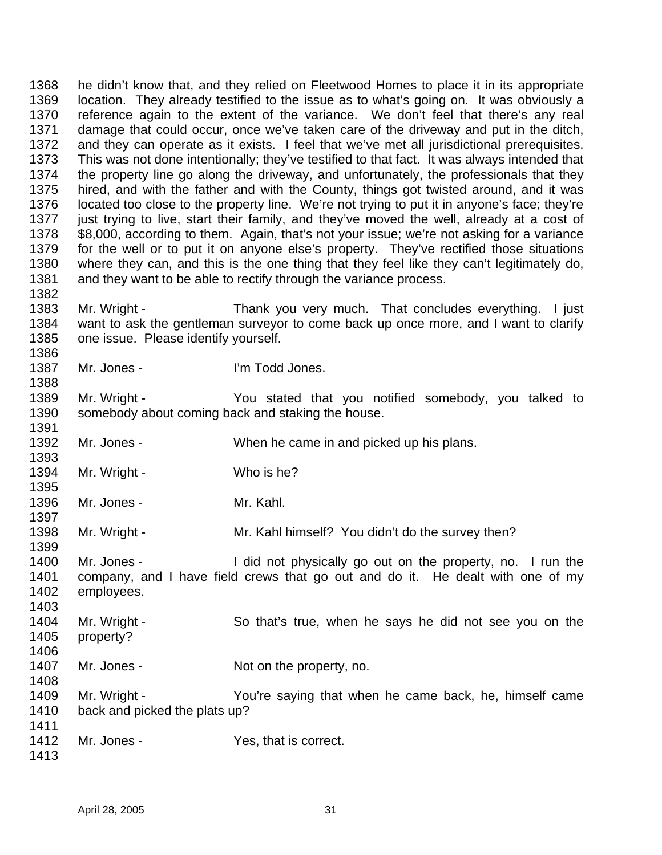he didn't know that, and they relied on Fleetwood Homes to place it in its appropriate location. They already testified to the issue as to what's going on. It was obviously a reference again to the extent of the variance. We don't feel that there's any real damage that could occur, once we've taken care of the driveway and put in the ditch, and they can operate as it exists. I feel that we've met all jurisdictional prerequisites. This was not done intentionally; they've testified to that fact. It was always intended that the property line go along the driveway, and unfortunately, the professionals that they hired, and with the father and with the County, things got twisted around, and it was located too close to the property line. We're not trying to put it in anyone's face; they're just trying to live, start their family, and they've moved the well, already at a cost of \$8,000, according to them. Again, that's not your issue; we're not asking for a variance for the well or to put it on anyone else's property. They've rectified those situations where they can, and this is the one thing that they feel like they can't legitimately do, and they want to be able to rectify through the variance process. 

- Mr. Wright Thank you very much. That concludes everything. I just want to ask the gentleman surveyor to come back up once more, and I want to clarify one issue. Please identify yourself.
- Mr. Jones I'm Todd Jones.

 Mr. Wright - You stated that you notified somebody, you talked to somebody about coming back and staking the house. 

Mr. Jones - When he came in and picked up his plans.

- 1394 Mr. Wright Who is he?
- Mr. Jones Mr. Kahl.

1398 Mr. Wright - Mr. Kahl himself? You didn't do the survey then?

 Mr. Jones - I did not physically go out on the property, no. I run the company, and I have field crews that go out and do it. He dealt with one of my employees. 

- Mr. Wright So that's true, when he says he did not see you on the property?
- 

- 1407 Mr. Jones Not on the property, no.
- Mr. Wright You're saying that when he came back, he, himself came back and picked the plats up?
- 1412 Mr. Jones Yes, that is correct.
-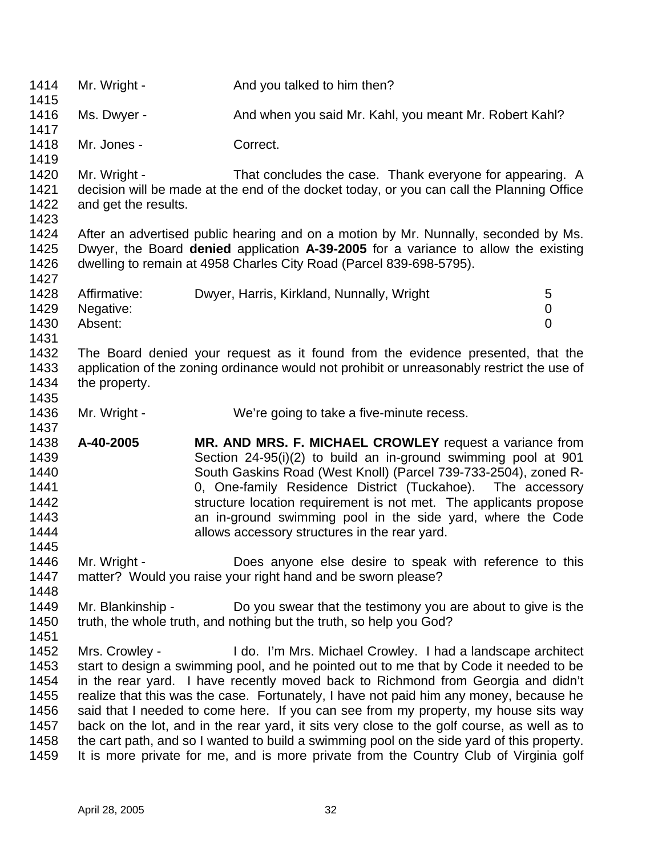1414 Mr. Wright - And you talked to him then? 1416 Ms. Dwyer - And when you said Mr. Kahl, you meant Mr. Robert Kahl? Mr. Jones - Correct. 1420 Mr. Wright - That concludes the case. Thank everyone for appearing. A decision will be made at the end of the docket today, or you can call the Planning Office and get the results. After an advertised public hearing and on a motion by Mr. Nunnally, seconded by Ms. Dwyer, the Board **denied** application **A-39-2005** for a variance to allow the existing dwelling to remain at 4958 Charles City Road (Parcel 839-698-5795). 1428 Affirmative: Dwyer, Harris, Kirkland, Nunnally, Wright 5 Negative: 0 Absent: 0 The Board denied your request as it found from the evidence presented, that the application of the zoning ordinance would not prohibit or unreasonably restrict the use of the property. 1436 Mr. Wright - We're going to take a five-minute recess. **A-40-2005 MR. AND MRS. F. MICHAEL CROWLEY** request a variance from Section 24-95(i)(2) to build an in-ground swimming pool at 901 South Gaskins Road (West Knoll) (Parcel 739-733-2504), zoned R- 0, One-family Residence District (Tuckahoe). The accessory structure location requirement is not met. The applicants propose an in-ground swimming pool in the side yard, where the Code **allows accessory structures in the rear yard.**  1446 Mr. Wright - Does anyone else desire to speak with reference to this matter? Would you raise your right hand and be sworn please? Mr. Blankinship - Do you swear that the testimony you are about to give is the 1450 truth, the whole truth, and nothing but the truth, so help you God? Mrs. Crowley - I do. I'm Mrs. Michael Crowley. I had a landscape architect start to design a swimming pool, and he pointed out to me that by Code it needed to be in the rear yard. I have recently moved back to Richmond from Georgia and didn't realize that this was the case. Fortunately, I have not paid him any money, because he said that I needed to come here. If you can see from my property, my house sits way back on the lot, and in the rear yard, it sits very close to the golf course, as well as to the cart path, and so I wanted to build a swimming pool on the side yard of this property. It is more private for me, and is more private from the Country Club of Virginia golf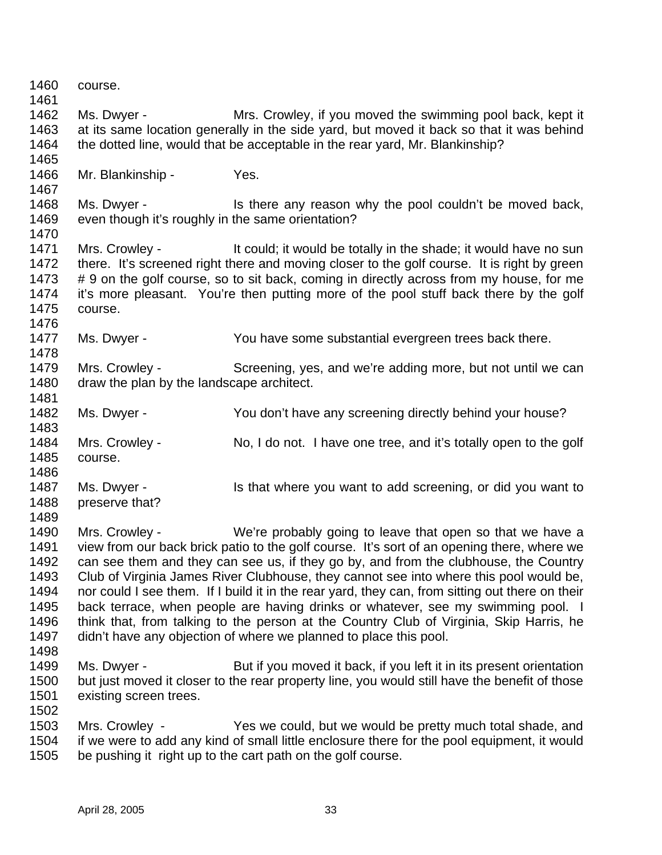| 1460         | course.                                                          |                                                                                                                                                            |
|--------------|------------------------------------------------------------------|------------------------------------------------------------------------------------------------------------------------------------------------------------|
| 1461         |                                                                  |                                                                                                                                                            |
| 1462<br>1463 | Ms. Dwyer -                                                      | Mrs. Crowley, if you moved the swimming pool back, kept it                                                                                                 |
|              |                                                                  | at its same location generally in the side yard, but moved it back so that it was behind                                                                   |
| 1464<br>1465 |                                                                  | the dotted line, would that be acceptable in the rear yard, Mr. Blankinship?                                                                               |
| 1466         | Mr. Blankinship -                                                | Yes.                                                                                                                                                       |
| 1467         |                                                                  |                                                                                                                                                            |
| 1468<br>1469 | Ms. Dwyer -<br>even though it's roughly in the same orientation? | Is there any reason why the pool couldn't be moved back,                                                                                                   |
| 1470         |                                                                  |                                                                                                                                                            |
| 1471         | Mrs. Crowley -                                                   | It could; it would be totally in the shade; it would have no sun                                                                                           |
| 1472         |                                                                  | there. It's screened right there and moving closer to the golf course. It is right by green                                                                |
| 1473         |                                                                  | # 9 on the golf course, so to sit back, coming in directly across from my house, for me                                                                    |
| 1474         |                                                                  | it's more pleasant. You're then putting more of the pool stuff back there by the golf                                                                      |
| 1475         | course.                                                          |                                                                                                                                                            |
| 1476         |                                                                  |                                                                                                                                                            |
| 1477         | Ms. Dwyer -                                                      | You have some substantial evergreen trees back there.                                                                                                      |
| 1478         |                                                                  |                                                                                                                                                            |
| 1479         | Mrs. Crowley -                                                   | Screening, yes, and we're adding more, but not until we can                                                                                                |
| 1480         | draw the plan by the landscape architect.                        |                                                                                                                                                            |
| 1481         |                                                                  |                                                                                                                                                            |
| 1482         | Ms. Dwyer -                                                      | You don't have any screening directly behind your house?                                                                                                   |
| 1483         |                                                                  |                                                                                                                                                            |
| 1484         | Mrs. Crowley -                                                   | No, I do not. I have one tree, and it's totally open to the golf                                                                                           |
| 1485         | course.                                                          |                                                                                                                                                            |
| 1486         |                                                                  |                                                                                                                                                            |
| 1487         | Ms. Dwyer -                                                      | Is that where you want to add screening, or did you want to                                                                                                |
| 1488         | preserve that?                                                   |                                                                                                                                                            |
| 1489         |                                                                  |                                                                                                                                                            |
| 1490         | Mrs. Crowley -                                                   | We're probably going to leave that open so that we have a                                                                                                  |
| 1491         |                                                                  | view from our back brick patio to the golf course. It's sort of an opening there, where we                                                                 |
| 1492         |                                                                  | can see them and they can see us, if they go by, and from the clubhouse, the Country                                                                       |
| 1493         |                                                                  | Club of Virginia James River Clubhouse, they cannot see into where this pool would be,                                                                     |
| 1494         |                                                                  | nor could I see them. If I build it in the rear yard, they can, from sitting out there on their                                                            |
| 1495         |                                                                  | back terrace, when people are having drinks or whatever, see my swimming pool. I                                                                           |
| 1496         |                                                                  | think that, from talking to the person at the Country Club of Virginia, Skip Harris, he                                                                    |
| 1497         |                                                                  | didn't have any objection of where we planned to place this pool.                                                                                          |
| 1498         |                                                                  |                                                                                                                                                            |
| 1499         | Ms. Dwyer -                                                      | But if you moved it back, if you left it in its present orientation                                                                                        |
| 1500         |                                                                  | but just moved it closer to the rear property line, you would still have the benefit of those                                                              |
| 1501         | existing screen trees.                                           |                                                                                                                                                            |
| 1502         |                                                                  |                                                                                                                                                            |
| 1503         | Mrs. Crowley -                                                   | Yes we could, but we would be pretty much total shade, and                                                                                                 |
| 1504<br>1505 |                                                                  | if we were to add any kind of small little enclosure there for the pool equipment, it would<br>be pushing it right up to the cart path on the golf course. |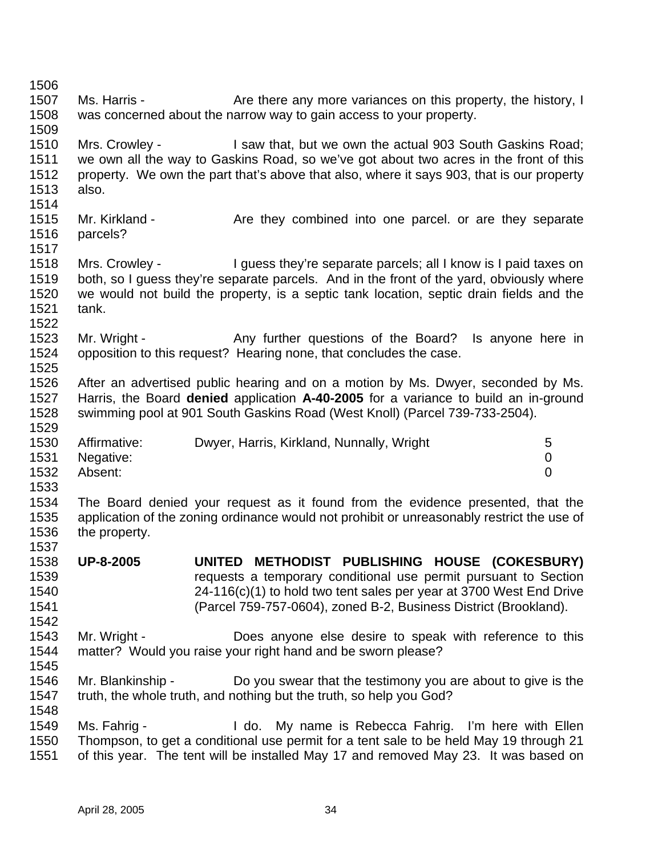1507 Ms. Harris - Are there any more variances on this property, the history, I was concerned about the narrow way to gain access to your property. Mrs. Crowley - I saw that, but we own the actual 903 South Gaskins Road; we own all the way to Gaskins Road, so we've got about two acres in the front of this property. We own the part that's above that also, where it says 903, that is our property also. 1515 Mr. Kirkland - Are they combined into one parcel. or are they separate parcels? Mrs. Crowley - I guess they're separate parcels; all I know is I paid taxes on both, so I guess they're separate parcels. And in the front of the yard, obviously where we would not build the property, is a septic tank location, septic drain fields and the tank. 1523 Mr. Wright - Any further questions of the Board? Is anyone here in opposition to this request? Hearing none, that concludes the case. After an advertised public hearing and on a motion by Ms. Dwyer, seconded by Ms. Harris, the Board **denied** application **A-40-2005** for a variance to build an in-ground swimming pool at 901 South Gaskins Road (West Knoll) (Parcel 739-733-2504). 1530 Affirmative: Dwyer, Harris, Kirkland, Nunnally, Wright 5 Negative: 0 Absent: 0 The Board denied your request as it found from the evidence presented, that the application of the zoning ordinance would not prohibit or unreasonably restrict the use of the property. **UP-8-2005 UNITED METHODIST PUBLISHING HOUSE (COKESBURY)** requests a temporary conditional use permit pursuant to Section 24-116(c)(1) to hold two tent sales per year at 3700 West End Drive (Parcel 759-757-0604), zoned B-2, Business District (Brookland). Mr. Wright - Does anyone else desire to speak with reference to this matter? Would you raise your right hand and be sworn please? Mr. Blankinship - Do you swear that the testimony you are about to give is the truth, the whole truth, and nothing but the truth, so help you God? Ms. Fahrig - I do. My name is Rebecca Fahrig. I'm here with Ellen Thompson, to get a conditional use permit for a tent sale to be held May 19 through 21 of this year. The tent will be installed May 17 and removed May 23. It was based on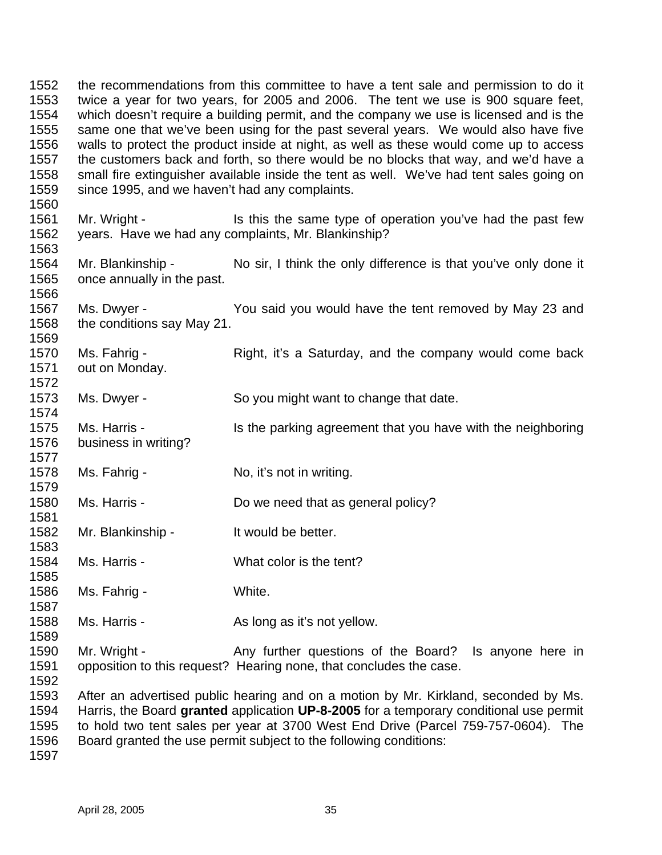the recommendations from this committee to have a tent sale and permission to do it twice a year for two years, for 2005 and 2006. The tent we use is 900 square feet, which doesn't require a building permit, and the company we use is licensed and is the same one that we've been using for the past several years. We would also have five walls to protect the product inside at night, as well as these would come up to access the customers back and forth, so there would be no blocks that way, and we'd have a small fire extinguisher available inside the tent as well. We've had tent sales going on since 1995, and we haven't had any complaints. 1561 Mr. Wright - Is this the same type of operation you've had the past few years. Have we had any complaints, Mr. Blankinship? Mr. Blankinship - No sir, I think the only difference is that you've only done it once annually in the past. Ms. Dwyer - You said you would have the tent removed by May 23 and the conditions say May 21. 1570 Ms. Fahrig - Right, it's a Saturday, and the company would come back out on Monday. Ms. Dwyer - So you might want to change that date. Ms. Harris - Is the parking agreement that you have with the neighboring business in writing? Ms. Fahrig - No, it's not in writing. 1580 Ms. Harris - Do we need that as general policy? Mr. Blankinship - It would be better. Ms. Harris - What color is the tent? Ms. Fahrig - White. Ms. Harris - As long as it's not yellow. Mr. Wright - Any further questions of the Board? Is anyone here in opposition to this request? Hearing none, that concludes the case. After an advertised public hearing and on a motion by Mr. Kirkland, seconded by Ms. Harris, the Board **granted** application **UP-8-2005** for a temporary conditional use permit to hold two tent sales per year at 3700 West End Drive (Parcel 759-757-0604). The

Board granted the use permit subject to the following conditions: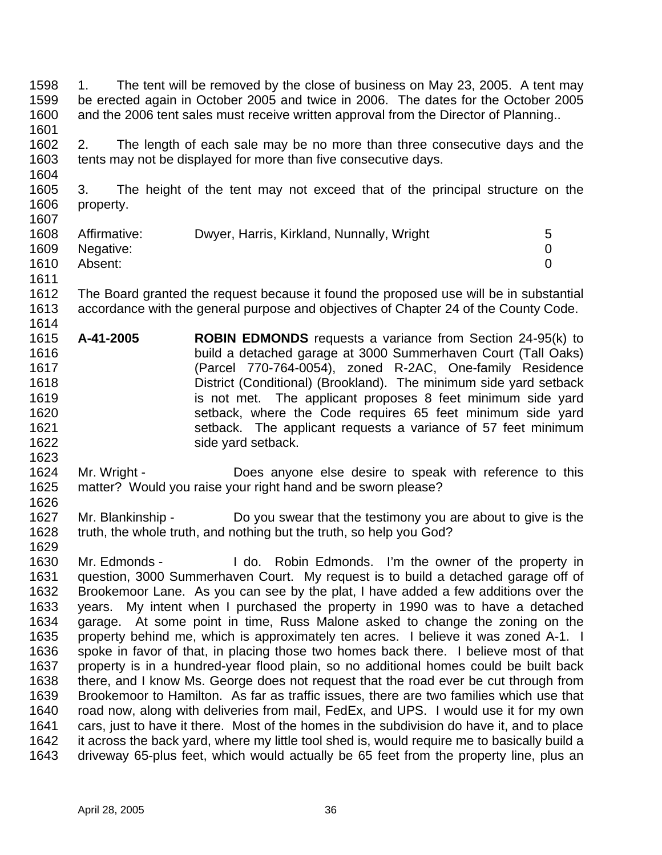1. The tent will be removed by the close of business on May 23, 2005. A tent may be erected again in October 2005 and twice in 2006. The dates for the October 2005 and the 2006 tent sales must receive written approval from the Director of Planning.. 

 2. The length of each sale may be no more than three consecutive days and the tents may not be displayed for more than five consecutive days.

 3. The height of the tent may not exceed that of the principal structure on the property. 

| 1608 | Affirmative: | Dwyer, Harris, Kirkland, Nunnally, Wright | 5 |
|------|--------------|-------------------------------------------|---|
| 1609 | Negative:    |                                           |   |
| 1610 | Absent:      |                                           |   |
| 1611 |              |                                           |   |

 The Board granted the request because it found the proposed use will be in substantial accordance with the general purpose and objectives of Chapter 24 of the County Code. 

- **A-41-2005 ROBIN EDMONDS** requests a variance from Section 24-95(k) to build a detached garage at 3000 Summerhaven Court (Tall Oaks) (Parcel 770-764-0054), zoned R-2AC, One-family Residence District (Conditional) (Brookland). The minimum side yard setback is not met. The applicant proposes 8 feet minimum side yard setback, where the Code requires 65 feet minimum side yard setback. The applicant requests a variance of 57 feet minimum 1622 side yard setback.
- Mr. Wright Does anyone else desire to speak with reference to this matter? Would you raise your right hand and be sworn please?
- Mr. Blankinship Do you swear that the testimony you are about to give is the truth, the whole truth, and nothing but the truth, so help you God?
- Mr. Edmonds I do. Robin Edmonds. I'm the owner of the property in question, 3000 Summerhaven Court. My request is to build a detached garage off of Brookemoor Lane. As you can see by the plat, I have added a few additions over the years. My intent when I purchased the property in 1990 was to have a detached garage. At some point in time, Russ Malone asked to change the zoning on the property behind me, which is approximately ten acres. I believe it was zoned A-1. I spoke in favor of that, in placing those two homes back there. I believe most of that property is in a hundred-year flood plain, so no additional homes could be built back there, and I know Ms. George does not request that the road ever be cut through from Brookemoor to Hamilton. As far as traffic issues, there are two families which use that road now, along with deliveries from mail, FedEx, and UPS. I would use it for my own cars, just to have it there. Most of the homes in the subdivision do have it, and to place it across the back yard, where my little tool shed is, would require me to basically build a driveway 65-plus feet, which would actually be 65 feet from the property line, plus an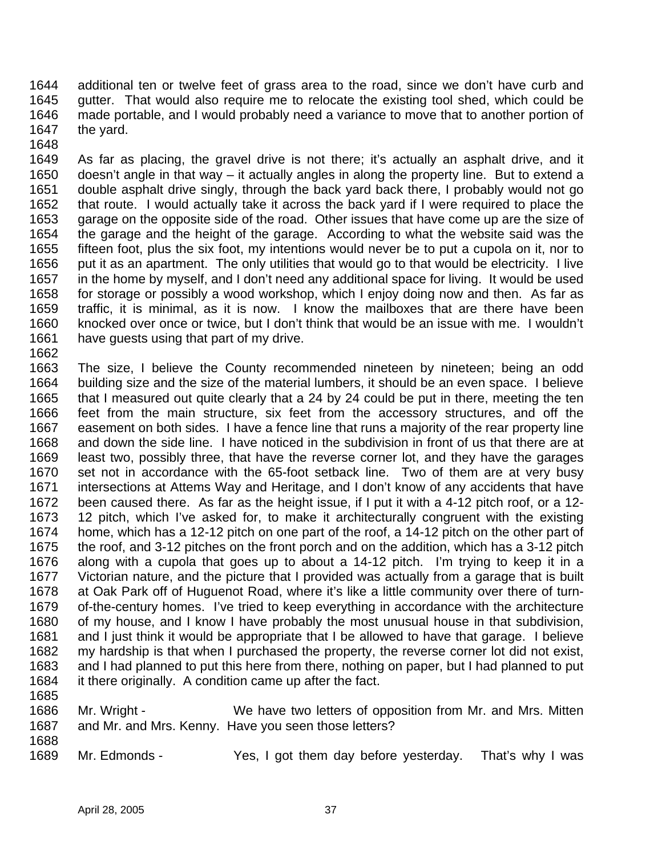additional ten or twelve feet of grass area to the road, since we don't have curb and gutter. That would also require me to relocate the existing tool shed, which could be made portable, and I would probably need a variance to move that to another portion of the yard.

 As far as placing, the gravel drive is not there; it's actually an asphalt drive, and it doesn't angle in that way – it actually angles in along the property line. But to extend a double asphalt drive singly, through the back yard back there, I probably would not go that route. I would actually take it across the back yard if I were required to place the garage on the opposite side of the road. Other issues that have come up are the size of the garage and the height of the garage. According to what the website said was the fifteen foot, plus the six foot, my intentions would never be to put a cupola on it, nor to put it as an apartment. The only utilities that would go to that would be electricity. I live in the home by myself, and I don't need any additional space for living. It would be used for storage or possibly a wood workshop, which I enjoy doing now and then. As far as traffic, it is minimal, as it is now. I know the mailboxes that are there have been knocked over once or twice, but I don't think that would be an issue with me. I wouldn't have guests using that part of my drive.

- The size, I believe the County recommended nineteen by nineteen; being an odd building size and the size of the material lumbers, it should be an even space. I believe that I measured out quite clearly that a 24 by 24 could be put in there, meeting the ten feet from the main structure, six feet from the accessory structures, and off the easement on both sides. I have a fence line that runs a majority of the rear property line and down the side line. I have noticed in the subdivision in front of us that there are at least two, possibly three, that have the reverse corner lot, and they have the garages set not in accordance with the 65-foot setback line. Two of them are at very busy intersections at Attems Way and Heritage, and I don't know of any accidents that have been caused there. As far as the height issue, if I put it with a 4-12 pitch roof, or a 12- 12 pitch, which I've asked for, to make it architecturally congruent with the existing home, which has a 12-12 pitch on one part of the roof, a 14-12 pitch on the other part of the roof, and 3-12 pitches on the front porch and on the addition, which has a 3-12 pitch along with a cupola that goes up to about a 14-12 pitch. I'm trying to keep it in a Victorian nature, and the picture that I provided was actually from a garage that is built at Oak Park off of Huguenot Road, where it's like a little community over there of turn- of-the-century homes. I've tried to keep everything in accordance with the architecture of my house, and I know I have probably the most unusual house in that subdivision, and I just think it would be appropriate that I be allowed to have that garage. I believe my hardship is that when I purchased the property, the reverse corner lot did not exist, and I had planned to put this here from there, nothing on paper, but I had planned to put it there originally. A condition came up after the fact.
- 
- Mr. Wright We have two letters of opposition from Mr. and Mrs. Mitten and Mr. and Mrs. Kenny. Have you seen those letters?
- 

Mr. Edmonds - Yes, I got them day before yesterday. That's why I was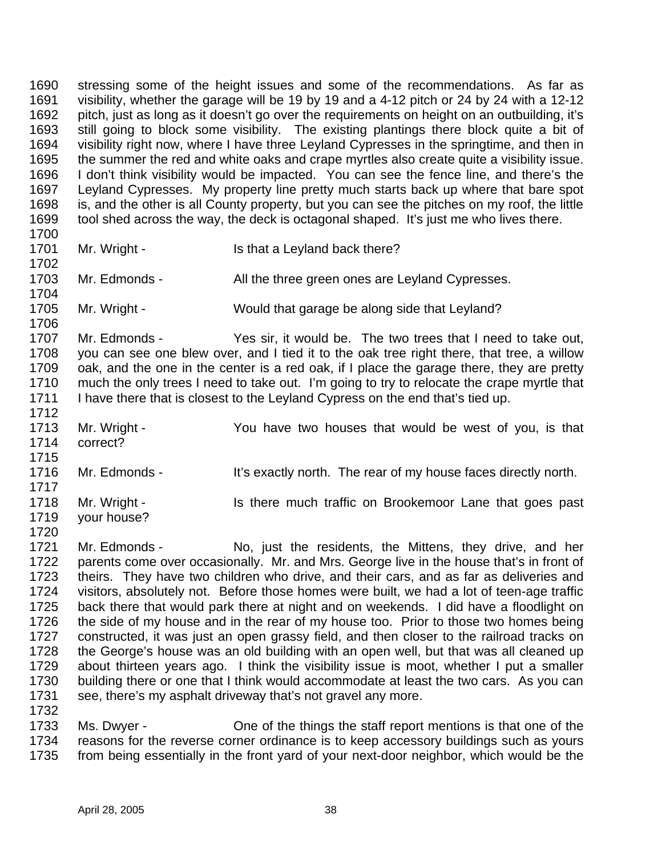stressing some of the height issues and some of the recommendations. As far as visibility, whether the garage will be 19 by 19 and a 4-12 pitch or 24 by 24 with a 12-12 pitch, just as long as it doesn't go over the requirements on height on an outbuilding, it's still going to block some visibility. The existing plantings there block quite a bit of visibility right now, where I have three Leyland Cypresses in the springtime, and then in the summer the red and white oaks and crape myrtles also create quite a visibility issue. I don't think visibility would be impacted. You can see the fence line, and there's the Leyland Cypresses. My property line pretty much starts back up where that bare spot is, and the other is all County property, but you can see the pitches on my roof, the little tool shed across the way, the deck is octagonal shaped. It's just me who lives there. 

1701 Mr. Wright - Is that a Leyland back there?

 1703 Mr. Edmonds - All the three green ones are Leyland Cypresses.

Mr. Wright - Would that garage be along side that Leyland?

 Mr. Edmonds - Yes sir, it would be. The two trees that I need to take out, you can see one blew over, and I tied it to the oak tree right there, that tree, a willow oak, and the one in the center is a red oak, if I place the garage there, they are pretty much the only trees I need to take out. I'm going to try to relocate the crape myrtle that I have there that is closest to the Leyland Cypress on the end that's tied up.

 Mr. Wright - You have two houses that would be west of you, is that correct? 

1716 Mr. Edmonds - It's exactly north. The rear of my house faces directly north. 1718 Mr. Wright - Is there much traffic on Brookemoor Lane that goes past

 your house? 

 Mr. Edmonds - No, just the residents, the Mittens, they drive, and her parents come over occasionally. Mr. and Mrs. George live in the house that's in front of theirs. They have two children who drive, and their cars, and as far as deliveries and visitors, absolutely not. Before those homes were built, we had a lot of teen-age traffic back there that would park there at night and on weekends. I did have a floodlight on the side of my house and in the rear of my house too. Prior to those two homes being constructed, it was just an open grassy field, and then closer to the railroad tracks on the George's house was an old building with an open well, but that was all cleaned up about thirteen years ago. I think the visibility issue is moot, whether I put a smaller building there or one that I think would accommodate at least the two cars. As you can see, there's my asphalt driveway that's not gravel any more. 

 Ms. Dwyer - One of the things the staff report mentions is that one of the reasons for the reverse corner ordinance is to keep accessory buildings such as yours from being essentially in the front yard of your next-door neighbor, which would be the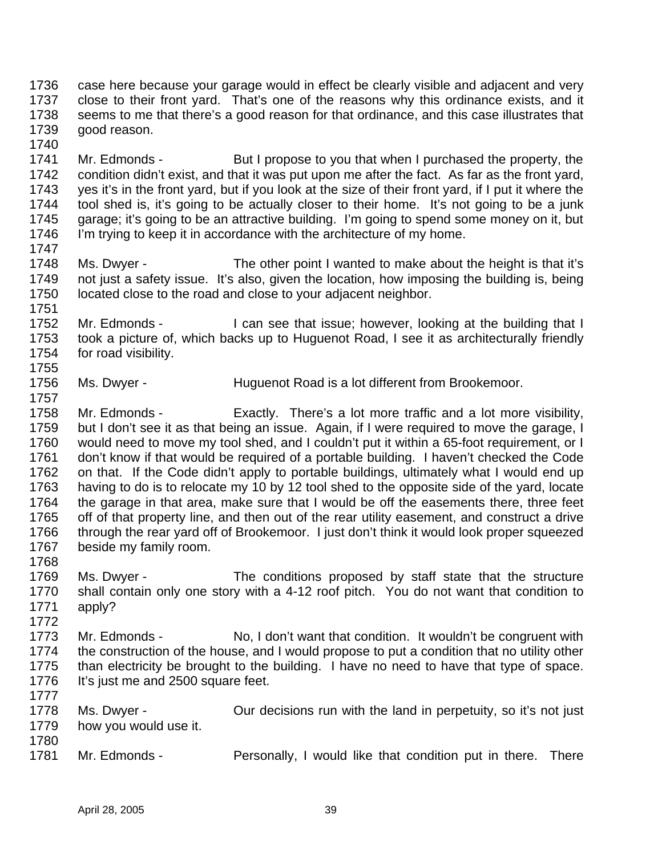case here because your garage would in effect be clearly visible and adjacent and very close to their front yard. That's one of the reasons why this ordinance exists, and it seems to me that there's a good reason for that ordinance, and this case illustrates that good reason.

- 1741 Mr. Edmonds - But I propose to you that when I purchased the property, the condition didn't exist, and that it was put upon me after the fact. As far as the front yard, yes it's in the front yard, but if you look at the size of their front yard, if I put it where the tool shed is, it's going to be actually closer to their home. It's not going to be a junk garage; it's going to be an attractive building. I'm going to spend some money on it, but 1746 I'm trying to keep it in accordance with the architecture of my home.
- Ms. Dwyer The other point I wanted to make about the height is that it's not just a safety issue. It's also, given the location, how imposing the building is, being located close to the road and close to your adjacent neighbor.
- 1752 Mr. Edmonds I can see that issue; however, looking at the building that I took a picture of, which backs up to Huguenot Road, I see it as architecturally friendly for road visibility.
- 1756 Ms. Dwyer Huguenot Road is a lot different from Brookemoor.
- Mr. Edmonds Exactly. There's a lot more traffic and a lot more visibility, but I don't see it as that being an issue. Again, if I were required to move the garage, I would need to move my tool shed, and I couldn't put it within a 65-foot requirement, or I don't know if that would be required of a portable building. I haven't checked the Code on that. If the Code didn't apply to portable buildings, ultimately what I would end up having to do is to relocate my 10 by 12 tool shed to the opposite side of the yard, locate the garage in that area, make sure that I would be off the easements there, three feet off of that property line, and then out of the rear utility easement, and construct a drive through the rear yard off of Brookemoor. I just don't think it would look proper squeezed beside my family room.
- 

- Ms. Dwyer The conditions proposed by staff state that the structure shall contain only one story with a 4-12 roof pitch. You do not want that condition to apply?
- Mr. Edmonds No, I don't want that condition. It wouldn't be congruent with the construction of the house, and I would propose to put a condition that no utility other than electricity be brought to the building. I have no need to have that type of space. 1776 It's just me and 2500 square feet.
- Ms. Dwyer Our decisions run with the land in perpetuity, so it's not just how you would use it.
- Mr. Edmonds Personally, I would like that condition put in there. There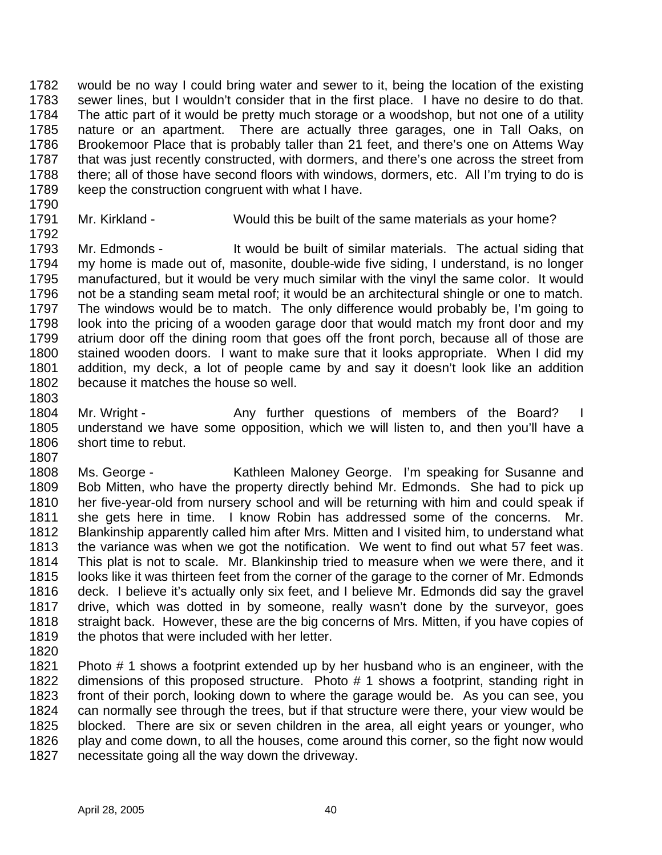would be no way I could bring water and sewer to it, being the location of the existing sewer lines, but I wouldn't consider that in the first place. I have no desire to do that. The attic part of it would be pretty much storage or a woodshop, but not one of a utility nature or an apartment. There are actually three garages, one in Tall Oaks, on Brookemoor Place that is probably taller than 21 feet, and there's one on Attems Way 1787 that was just recently constructed, with dormers, and there's one across the street from there; all of those have second floors with windows, dormers, etc. All I'm trying to do is keep the construction congruent with what I have.

- 
- 

1791 Mr. Kirkland - Would this be built of the same materials as your home?

1793 Mr. Edmonds - It would be built of similar materials. The actual siding that my home is made out of, masonite, double-wide five siding, I understand, is no longer manufactured, but it would be very much similar with the vinyl the same color. It would not be a standing seam metal roof; it would be an architectural shingle or one to match. The windows would be to match. The only difference would probably be, I'm going to look into the pricing of a wooden garage door that would match my front door and my atrium door off the dining room that goes off the front porch, because all of those are stained wooden doors. I want to make sure that it looks appropriate. When I did my addition, my deck, a lot of people came by and say it doesn't look like an addition because it matches the house so well.

- 
- 1804 Mr. Wright Any further questions of members of the Board? I understand we have some opposition, which we will listen to, and then you'll have a short time to rebut.
- Ms. George Kathleen Maloney George. I'm speaking for Susanne and Bob Mitten, who have the property directly behind Mr. Edmonds. She had to pick up her five-year-old from nursery school and will be returning with him and could speak if she gets here in time. I know Robin has addressed some of the concerns. Mr. Blankinship apparently called him after Mrs. Mitten and I visited him, to understand what the variance was when we got the notification. We went to find out what 57 feet was. This plat is not to scale. Mr. Blankinship tried to measure when we were there, and it looks like it was thirteen feet from the corner of the garage to the corner of Mr. Edmonds deck. I believe it's actually only six feet, and I believe Mr. Edmonds did say the gravel drive, which was dotted in by someone, really wasn't done by the surveyor, goes straight back. However, these are the big concerns of Mrs. Mitten, if you have copies of 1819 the photos that were included with her letter.
- 

 Photo # 1 shows a footprint extended up by her husband who is an engineer, with the dimensions of this proposed structure. Photo # 1 shows a footprint, standing right in front of their porch, looking down to where the garage would be. As you can see, you can normally see through the trees, but if that structure were there, your view would be blocked. There are six or seven children in the area, all eight years or younger, who play and come down, to all the houses, come around this corner, so the fight now would necessitate going all the way down the driveway.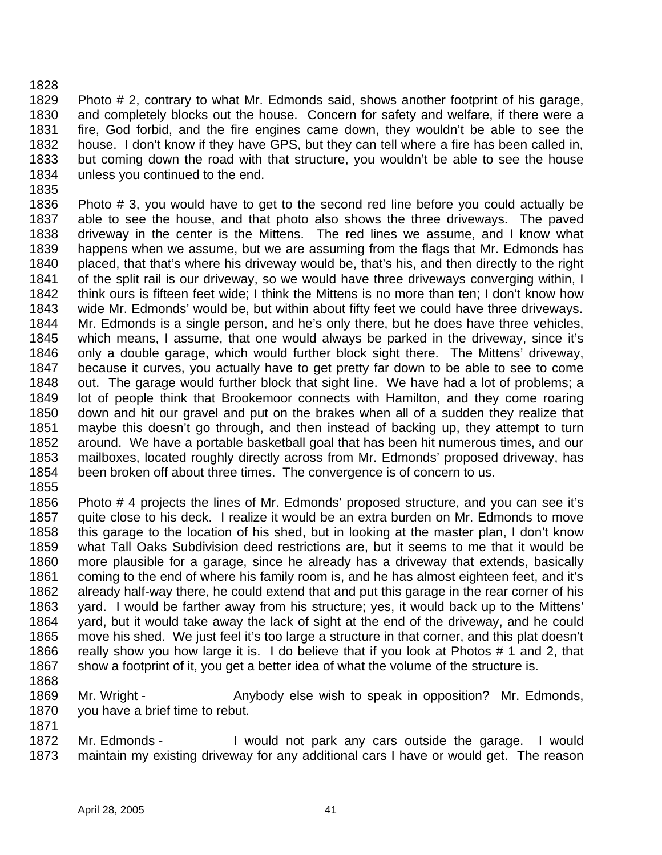Photo # 2, contrary to what Mr. Edmonds said, shows another footprint of his garage, and completely blocks out the house. Concern for safety and welfare, if there were a fire, God forbid, and the fire engines came down, they wouldn't be able to see the house. I don't know if they have GPS, but they can tell where a fire has been called in, but coming down the road with that structure, you wouldn't be able to see the house unless you continued to the end.

 Photo # 3, you would have to get to the second red line before you could actually be able to see the house, and that photo also shows the three driveways. The paved driveway in the center is the Mittens. The red lines we assume, and I know what happens when we assume, but we are assuming from the flags that Mr. Edmonds has placed, that that's where his driveway would be, that's his, and then directly to the right of the split rail is our driveway, so we would have three driveways converging within, I think ours is fifteen feet wide; I think the Mittens is no more than ten; I don't know how wide Mr. Edmonds' would be, but within about fifty feet we could have three driveways. Mr. Edmonds is a single person, and he's only there, but he does have three vehicles, which means, I assume, that one would always be parked in the driveway, since it's only a double garage, which would further block sight there. The Mittens' driveway, because it curves, you actually have to get pretty far down to be able to see to come out. The garage would further block that sight line. We have had a lot of problems; a lot of people think that Brookemoor connects with Hamilton, and they come roaring down and hit our gravel and put on the brakes when all of a sudden they realize that maybe this doesn't go through, and then instead of backing up, they attempt to turn around. We have a portable basketball goal that has been hit numerous times, and our mailboxes, located roughly directly across from Mr. Edmonds' proposed driveway, has been broken off about three times. The convergence is of concern to us.

 Photo # 4 projects the lines of Mr. Edmonds' proposed structure, and you can see it's quite close to his deck. I realize it would be an extra burden on Mr. Edmonds to move this garage to the location of his shed, but in looking at the master plan, I don't know what Tall Oaks Subdivision deed restrictions are, but it seems to me that it would be more plausible for a garage, since he already has a driveway that extends, basically coming to the end of where his family room is, and he has almost eighteen feet, and it's already half-way there, he could extend that and put this garage in the rear corner of his yard. I would be farther away from his structure; yes, it would back up to the Mittens' yard, but it would take away the lack of sight at the end of the driveway, and he could move his shed. We just feel it's too large a structure in that corner, and this plat doesn't really show you how large it is. I do believe that if you look at Photos # 1 and 2, that 1867 show a footprint of it, you get a better idea of what the volume of the structure is.

1869 Mr. Wright - Anybody else wish to speak in opposition? Mr. Edmonds, you have a brief time to rebut. 

1872 Mr. Edmonds - I would not park any cars outside the garage. I would maintain my existing driveway for any additional cars I have or would get. The reason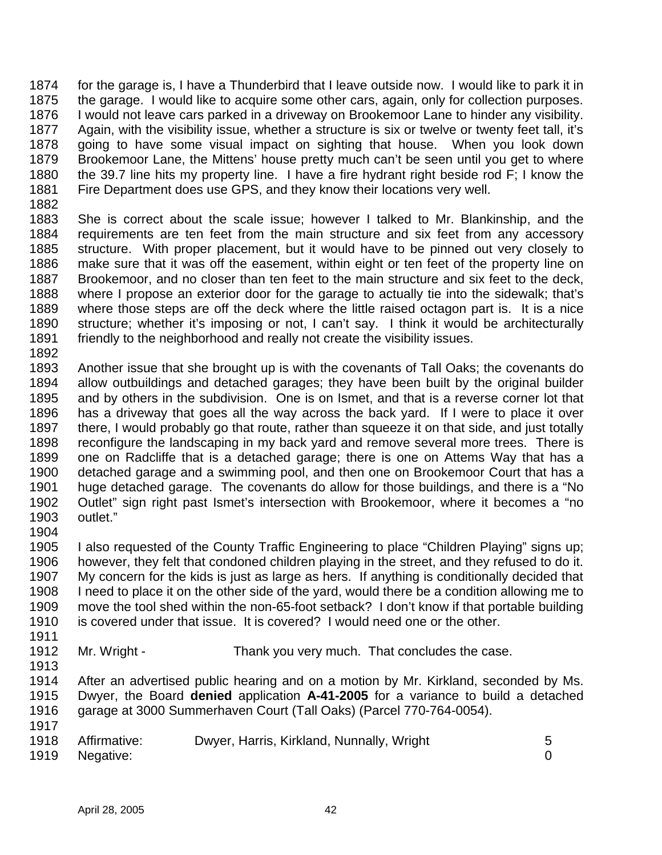for the garage is, I have a Thunderbird that I leave outside now. I would like to park it in the garage. I would like to acquire some other cars, again, only for collection purposes. I would not leave cars parked in a driveway on Brookemoor Lane to hinder any visibility. Again, with the visibility issue, whether a structure is six or twelve or twenty feet tall, it's going to have some visual impact on sighting that house. When you look down 1879 Brookemoor Lane, the Mittens' house pretty much can't be seen until you get to where the 39.7 line hits my property line. I have a fire hydrant right beside rod F; I know the Fire Department does use GPS, and they know their locations very well.

 She is correct about the scale issue; however I talked to Mr. Blankinship, and the requirements are ten feet from the main structure and six feet from any accessory structure. With proper placement, but it would have to be pinned out very closely to make sure that it was off the easement, within eight or ten feet of the property line on Brookemoor, and no closer than ten feet to the main structure and six feet to the deck, where I propose an exterior door for the garage to actually tie into the sidewalk; that's where those steps are off the deck where the little raised octagon part is. It is a nice structure; whether it's imposing or not, I can't say. I think it would be architecturally friendly to the neighborhood and really not create the visibility issues. 

- Another issue that she brought up is with the covenants of Tall Oaks; the covenants do allow outbuildings and detached garages; they have been built by the original builder and by others in the subdivision. One is on Ismet, and that is a reverse corner lot that has a driveway that goes all the way across the back yard. If I were to place it over there, I would probably go that route, rather than squeeze it on that side, and just totally reconfigure the landscaping in my back yard and remove several more trees. There is one on Radcliffe that is a detached garage; there is one on Attems Way that has a detached garage and a swimming pool, and then one on Brookemoor Court that has a huge detached garage. The covenants do allow for those buildings, and there is a "No Outlet" sign right past Ismet's intersection with Brookemoor, where it becomes a "no outlet."
- 

 I also requested of the County Traffic Engineering to place "Children Playing" signs up; however, they felt that condoned children playing in the street, and they refused to do it. My concern for the kids is just as large as hers. If anything is conditionally decided that I need to place it on the other side of the yard, would there be a condition allowing me to move the tool shed within the non-65-foot setback? I don't know if that portable building is covered under that issue. It is covered? I would need one or the other.

1912 Mr. Wright - Thank you very much. That concludes the case. 

 After an advertised public hearing and on a motion by Mr. Kirkland, seconded by Ms. Dwyer, the Board **denied** application **A-41-2005** for a variance to build a detached garage at 3000 Summerhaven Court (Tall Oaks) (Parcel 770-764-0054). 

1918 Affirmative: Dwyer, Harris, Kirkland, Nunnally, Wright 5 Negative: 0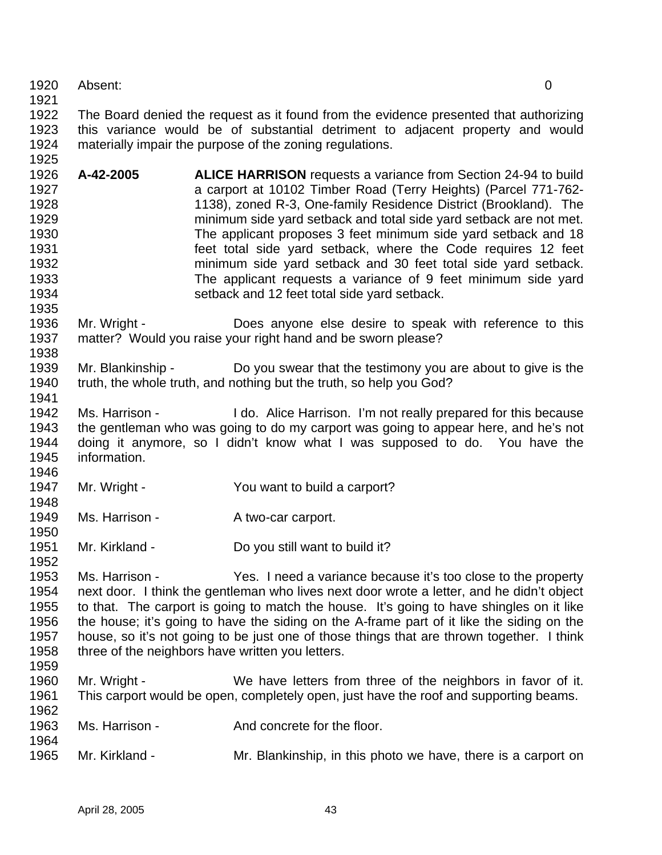- Absent: 0
- 

- **A-42-2005 ALICE HARRISON** requests a variance from Section 24-94 to build a carport at 10102 Timber Road (Terry Heights) (Parcel 771-762- 1138), zoned R-3, One-family Residence District (Brookland). The minimum side yard setback and total side yard setback are not met. The applicant proposes 3 feet minimum side yard setback and 18 feet total side yard setback, where the Code requires 12 feet minimum side yard setback and 30 feet total side yard setback. The applicant requests a variance of 9 feet minimum side yard setback and 12 feet total side yard setback.
- Mr. Wright Does anyone else desire to speak with reference to this matter? Would you raise your right hand and be sworn please?
- Mr. Blankinship Do you swear that the testimony you are about to give is the truth, the whole truth, and nothing but the truth, so help you God?
- 1942 Ms. Harrison I do. Alice Harrison. I'm not really prepared for this because the gentleman who was going to do my carport was going to appear here, and he's not doing it anymore, so I didn't know what I was supposed to do. You have the information.
- Mr. Wright You want to build a carport?
- 1949 Ms. Harrison A two-car carport.
- 1950<br>1951 Mr. Kirkland - Do you still want to build it?
- Ms. Harrison - Yes. I need a variance because it's too close to the property next door. I think the gentleman who lives next door wrote a letter, and he didn't object to that. The carport is going to match the house. It's going to have shingles on it like the house; it's going to have the siding on the A-frame part of it like the siding on the house, so it's not going to be just one of those things that are thrown together. I think 1958 three of the neighbors have written you letters.
- 

- Mr. Wright We have letters from three of the neighbors in favor of it. This carport would be open, completely open, just have the roof and supporting beams.
- 1963 Ms. Harrison And concrete for the floor.
- Mr. Kirkland Mr. Blankinship, in this photo we have, there is a carport on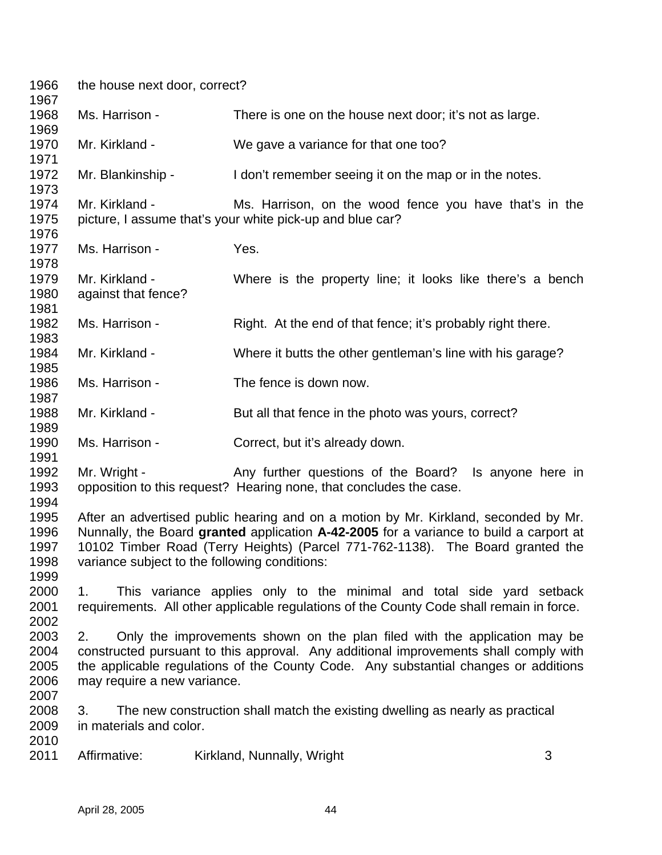| 1966<br>1967                                 | the house next door, correct?                 |                                                                                                                                                                                                                                                                 |   |
|----------------------------------------------|-----------------------------------------------|-----------------------------------------------------------------------------------------------------------------------------------------------------------------------------------------------------------------------------------------------------------------|---|
| 1968<br>1969                                 | Ms. Harrison -                                | There is one on the house next door; it's not as large.                                                                                                                                                                                                         |   |
| 1970<br>1971                                 | Mr. Kirkland -                                | We gave a variance for that one too?                                                                                                                                                                                                                            |   |
| 1972<br>1973                                 | Mr. Blankinship -                             | I don't remember seeing it on the map or in the notes.                                                                                                                                                                                                          |   |
| 1974<br>1975<br>1976                         | Mr. Kirkland -                                | Ms. Harrison, on the wood fence you have that's in the<br>picture, I assume that's your white pick-up and blue car?                                                                                                                                             |   |
| 1977<br>1978                                 | Ms. Harrison -                                | Yes.                                                                                                                                                                                                                                                            |   |
| 1979<br>1980<br>1981                         | Mr. Kirkland -<br>against that fence?         | Where is the property line; it looks like there's a bench                                                                                                                                                                                                       |   |
| 1982<br>1983                                 | Ms. Harrison -                                | Right. At the end of that fence; it's probably right there.                                                                                                                                                                                                     |   |
| 1984<br>1985                                 | Mr. Kirkland -                                | Where it butts the other gentleman's line with his garage?                                                                                                                                                                                                      |   |
| 1986<br>1987                                 | Ms. Harrison -                                | The fence is down now.                                                                                                                                                                                                                                          |   |
| 1988<br>1989                                 | Mr. Kirkland -                                | But all that fence in the photo was yours, correct?                                                                                                                                                                                                             |   |
| 1990<br>1991                                 | Ms. Harrison -                                | Correct, but it's already down.                                                                                                                                                                                                                                 |   |
| 1992<br>1993                                 | Mr. Wright -                                  | Any further questions of the Board? Is anyone here in<br>opposition to this request? Hearing none, that concludes the case.                                                                                                                                     |   |
| 1994<br>1995<br>1996<br>1997<br>1998<br>1999 | variance subject to the following conditions: | After an advertised public hearing and on a motion by Mr. Kirkland, seconded by Mr.<br>Nunnally, the Board granted application A-42-2005 for a variance to build a carport at<br>10102 Timber Road (Terry Heights) (Parcel 771-762-1138). The Board granted the |   |
| 2000<br>2001<br>2002                         | 1.                                            | This variance applies only to the minimal and total side yard setback<br>requirements. All other applicable regulations of the County Code shall remain in force.                                                                                               |   |
| 2003<br>2004<br>2005<br>2006                 | 2.<br>may require a new variance.             | Only the improvements shown on the plan filed with the application may be<br>constructed pursuant to this approval. Any additional improvements shall comply with<br>the applicable regulations of the County Code. Any substantial changes or additions        |   |
| 2007<br>2008<br>2009                         | 3.<br>in materials and color.                 | The new construction shall match the existing dwelling as nearly as practical                                                                                                                                                                                   |   |
| 2010<br>2011                                 | Affirmative:                                  | Kirkland, Nunnally, Wright                                                                                                                                                                                                                                      | 3 |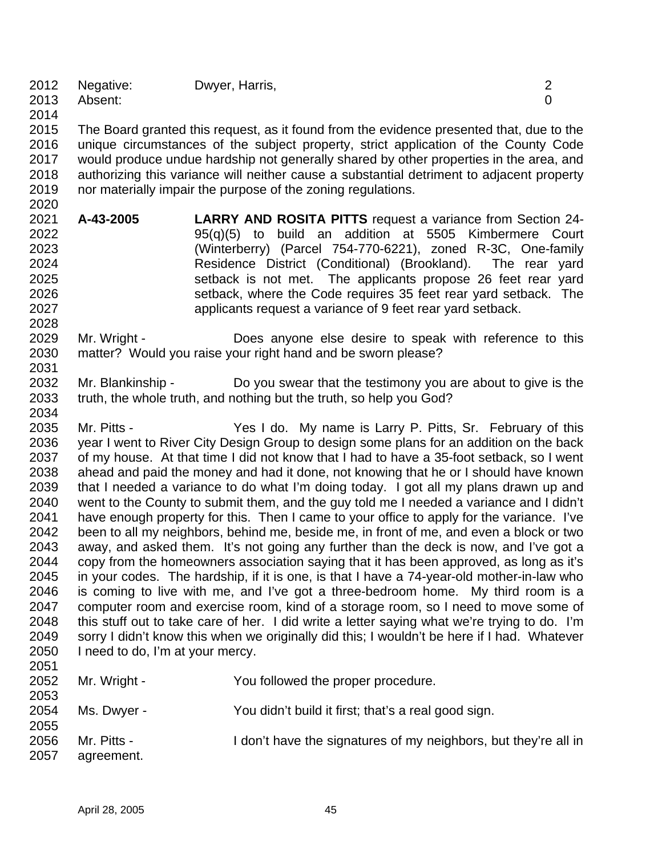|            | 2012 Negative: | Dwyer, Harris, |  |
|------------|----------------|----------------|--|
|            | 2013 Absent:   |                |  |
| . <i>.</i> |                |                |  |

 The Board granted this request, as it found from the evidence presented that, due to the unique circumstances of the subject property, strict application of the County Code would produce undue hardship not generally shared by other properties in the area, and authorizing this variance will neither cause a substantial detriment to adjacent property nor materially impair the purpose of the zoning regulations.

- **A-43-2005 LARRY AND ROSITA PITTS** request a variance from Section 24- 95(q)(5) to build an addition at 5505 Kimbermere Court (Winterberry) (Parcel 754-770-6221), zoned R-3C, One-family Residence District (Conditional) (Brookland). The rear yard setback is not met. The applicants propose 26 feet rear yard setback, where the Code requires 35 feet rear yard setback. The applicants request a variance of 9 feet rear yard setback.
- Mr. Wright Does anyone else desire to speak with reference to this matter? Would you raise your right hand and be sworn please?
- Mr. Blankinship Do you swear that the testimony you are about to give is the truth, the whole truth, and nothing but the truth, so help you God?
- Mr. Pitts Yes I do. My name is Larry P. Pitts, Sr. February of this year I went to River City Design Group to design some plans for an addition on the back of my house. At that time I did not know that I had to have a 35-foot setback, so I went ahead and paid the money and had it done, not knowing that he or I should have known that I needed a variance to do what I'm doing today. I got all my plans drawn up and went to the County to submit them, and the guy told me I needed a variance and I didn't have enough property for this. Then I came to your office to apply for the variance. I've been to all my neighbors, behind me, beside me, in front of me, and even a block or two away, and asked them. It's not going any further than the deck is now, and I've got a copy from the homeowners association saying that it has been approved, as long as it's in your codes. The hardship, if it is one, is that I have a 74-year-old mother-in-law who is coming to live with me, and I've got a three-bedroom home. My third room is a computer room and exercise room, kind of a storage room, so I need to move some of this stuff out to take care of her. I did write a letter saying what we're trying to do. I'm sorry I didn't know this when we originally did this; I wouldn't be here if I had. Whatever I need to do, I'm at your mercy.

| 2053<br>2054         | Ms. Dwyer -               | You didn't build it first; that's a real good sign.             |
|----------------------|---------------------------|-----------------------------------------------------------------|
| 2055<br>2056<br>2057 | Mr. Pitts -<br>agreement. | I don't have the signatures of my neighbors, but they're all in |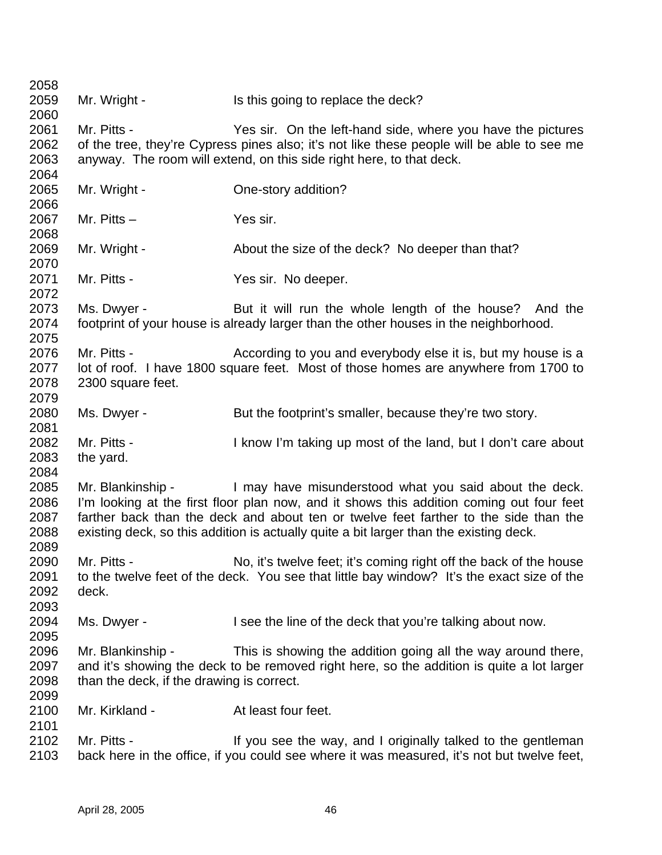2059 Mr. Wright - Is this going to replace the deck? Mr. Pitts - Yes sir. On the left-hand side, where you have the pictures of the tree, they're Cypress pines also; it's not like these people will be able to see me anyway. The room will extend, on this side right here, to that deck. 2065 Mr. Wright - Che-story addition? Mr. Pitts – Yes sir. Mr. Wright - About the size of the deck? No deeper than that? 2071 Mr. Pitts - Yes sir. No deeper. Ms. Dwyer - But it will run the whole length of the house? And the footprint of your house is already larger than the other houses in the neighborhood. 2076 Mr. Pitts - According to you and everybody else it is, but my house is a lot of roof. I have 1800 square feet. Most of those homes are anywhere from 1700 to 2300 square feet. 2080 Ms. Dwyer - But the footprint's smaller, because they're two story. Mr. Pitts - I know I'm taking up most of the land, but I don't care about the yard. Mr. Blankinship - I may have misunderstood what you said about the deck. I'm looking at the first floor plan now, and it shows this addition coming out four feet farther back than the deck and about ten or twelve feet farther to the side than the existing deck, so this addition is actually quite a bit larger than the existing deck. Mr. Pitts - No, it's twelve feet; it's coming right off the back of the house to the twelve feet of the deck. You see that little bay window? It's the exact size of the deck. Ms. Dwyer - I see the line of the deck that you're talking about now. Mr. Blankinship - This is showing the addition going all the way around there, and it's showing the deck to be removed right here, so the addition is quite a lot larger than the deck, if the drawing is correct. 2100 Mr. Kirkland - At least four feet. 2102 Mr. Pitts - If you see the way, and I originally talked to the gentleman back here in the office, if you could see where it was measured, it's not but twelve feet,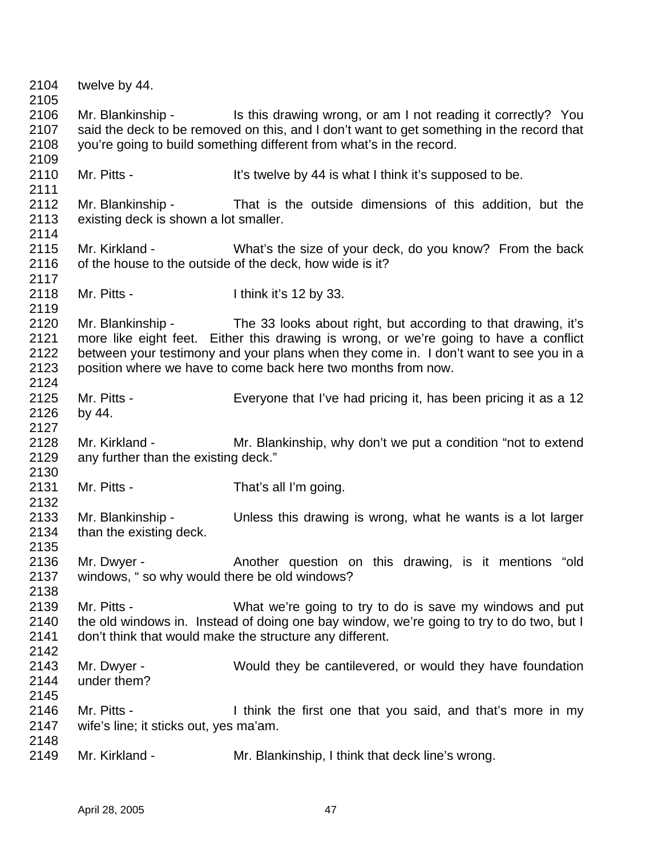| 2104<br>2105                         | twelve by 44.                                                |                                                                                                                                                                                                                                                                                                                                    |
|--------------------------------------|--------------------------------------------------------------|------------------------------------------------------------------------------------------------------------------------------------------------------------------------------------------------------------------------------------------------------------------------------------------------------------------------------------|
| 2106<br>2107<br>2108                 |                                                              | Mr. Blankinship - Is this drawing wrong, or am I not reading it correctly? You<br>said the deck to be removed on this, and I don't want to get something in the record that<br>you're going to build something different from what's in the record.                                                                                |
| 2109<br>2110<br>2111                 | Mr. Pitts -                                                  | It's twelve by 44 is what I think it's supposed to be.                                                                                                                                                                                                                                                                             |
| 2112<br>2113<br>2114                 | Mr. Blankinship -<br>existing deck is shown a lot smaller.   | That is the outside dimensions of this addition, but the                                                                                                                                                                                                                                                                           |
| 2115<br>2116<br>2117                 | Mr. Kirkland -                                               | What's the size of your deck, do you know? From the back<br>of the house to the outside of the deck, how wide is it?                                                                                                                                                                                                               |
| 2118<br>2119                         | Mr. Pitts -                                                  | I think it's 12 by 33.                                                                                                                                                                                                                                                                                                             |
| 2120<br>2121<br>2122<br>2123<br>2124 |                                                              | Mr. Blankinship - The 33 looks about right, but according to that drawing, it's<br>more like eight feet. Either this drawing is wrong, or we're going to have a conflict<br>between your testimony and your plans when they come in. I don't want to see you in a<br>position where we have to come back here two months from now. |
| 2125<br>2126<br>2127                 | Mr. Pitts -<br>by 44.                                        | Everyone that I've had pricing it, has been pricing it as a 12                                                                                                                                                                                                                                                                     |
| 2128<br>2129                         | Mr. Kirkland -<br>any further than the existing deck."       | Mr. Blankinship, why don't we put a condition "not to extend"                                                                                                                                                                                                                                                                      |
| 2130<br>2131<br>2132                 | Mr. Pitts -                                                  | That's all I'm going.                                                                                                                                                                                                                                                                                                              |
| 2133<br>2134<br>2135                 | Mr. Blankinship -<br>than the existing deck.                 | Unless this drawing is wrong, what he wants is a lot larger                                                                                                                                                                                                                                                                        |
| 2136<br>2137<br>2138                 | Mr. Dwyer -<br>windows, " so why would there be old windows? | Another question on this drawing, is it mentions "old                                                                                                                                                                                                                                                                              |
| 2139<br>2140<br>2141<br>2142         | Mr. Pitts -                                                  | What we're going to try to do is save my windows and put<br>the old windows in. Instead of doing one bay window, we're going to try to do two, but I<br>don't think that would make the structure any different.                                                                                                                   |
| 2143<br>2144<br>2145                 | Mr. Dwyer -<br>under them?                                   | Would they be cantilevered, or would they have foundation                                                                                                                                                                                                                                                                          |
| 2146<br>2147                         | Mr. Pitts -<br>wife's line; it sticks out, yes ma'am.        | I think the first one that you said, and that's more in my                                                                                                                                                                                                                                                                         |
| 2148<br>2149                         | Mr. Kirkland -                                               | Mr. Blankinship, I think that deck line's wrong.                                                                                                                                                                                                                                                                                   |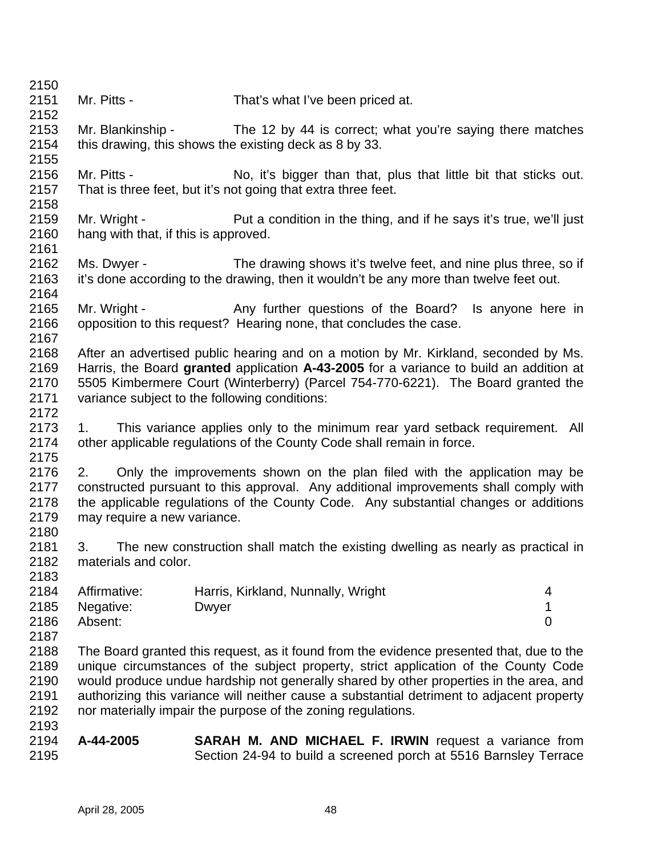| 2150 |                                      |                                                                                           |                |
|------|--------------------------------------|-------------------------------------------------------------------------------------------|----------------|
| 2151 | Mr. Pitts -                          | That's what I've been priced at.                                                          |                |
| 2152 |                                      |                                                                                           |                |
| 2153 | Mr. Blankinship -                    | The 12 by 44 is correct; what you're saying there matches                                 |                |
| 2154 |                                      | this drawing, this shows the existing deck as 8 by 33.                                    |                |
| 2155 |                                      |                                                                                           |                |
| 2156 | Mr. Pitts -                          | No, it's bigger than that, plus that little bit that sticks out.                          |                |
| 2157 |                                      | That is three feet, but it's not going that extra three feet.                             |                |
| 2158 |                                      |                                                                                           |                |
| 2159 | Mr. Wright -                         | Put a condition in the thing, and if he says it's true, we'll just                        |                |
| 2160 | hang with that, if this is approved. |                                                                                           |                |
| 2161 |                                      |                                                                                           |                |
| 2162 | Ms. Dwyer -                          | The drawing shows it's twelve feet, and nine plus three, so if                            |                |
| 2163 |                                      | it's done according to the drawing, then it wouldn't be any more than twelve feet out.    |                |
| 2164 |                                      |                                                                                           |                |
| 2165 | Mr. Wright -                         | Any further questions of the Board? Is anyone here in                                     |                |
| 2166 |                                      | opposition to this request? Hearing none, that concludes the case.                        |                |
| 2167 |                                      |                                                                                           |                |
| 2168 |                                      | After an advertised public hearing and on a motion by Mr. Kirkland, seconded by Ms.       |                |
| 2169 |                                      | Harris, the Board granted application A-43-2005 for a variance to build an addition at    |                |
| 2170 |                                      | 5505 Kimbermere Court (Winterberry) (Parcel 754-770-6221). The Board granted the          |                |
| 2171 |                                      | variance subject to the following conditions:                                             |                |
| 2172 |                                      |                                                                                           |                |
| 2173 | 1.                                   | This variance applies only to the minimum rear yard setback requirement. All              |                |
| 2174 |                                      | other applicable regulations of the County Code shall remain in force.                    |                |
| 2175 |                                      |                                                                                           |                |
| 2176 | 2.                                   | Only the improvements shown on the plan filed with the application may be                 |                |
| 2177 |                                      | constructed pursuant to this approval. Any additional improvements shall comply with      |                |
| 2178 |                                      | the applicable regulations of the County Code. Any substantial changes or additions       |                |
| 2179 | may require a new variance.          |                                                                                           |                |
| 2180 |                                      |                                                                                           |                |
| 2181 | 3.                                   | The new construction shall match the existing dwelling as nearly as practical in          |                |
| 2182 | materials and color.                 |                                                                                           |                |
| 2183 |                                      |                                                                                           |                |
| 2184 | Affirmative:                         | Harris, Kirkland, Nunnally, Wright                                                        | 4              |
| 2185 | Negative:                            | Dwyer                                                                                     | 1              |
| 2186 | Absent:                              |                                                                                           | $\overline{0}$ |
| 2187 |                                      |                                                                                           |                |
| 2188 |                                      | The Board granted this request, as it found from the evidence presented that, due to the  |                |
| 2189 |                                      | unique circumstances of the subject property, strict application of the County Code       |                |
| 2190 |                                      | would produce undue hardship not generally shared by other properties in the area, and    |                |
| 2191 |                                      | authorizing this variance will neither cause a substantial detriment to adjacent property |                |
| 2192 |                                      | nor materially impair the purpose of the zoning regulations.                              |                |
| 2193 |                                      |                                                                                           |                |
| 2194 | A-44-2005                            | <b>SARAH M. AND MICHAEL F. IRWIN</b> request a variance from                              |                |
| 2195 |                                      | Section 24-94 to build a screened porch at 5516 Barnsley Terrace                          |                |
|      |                                      |                                                                                           |                |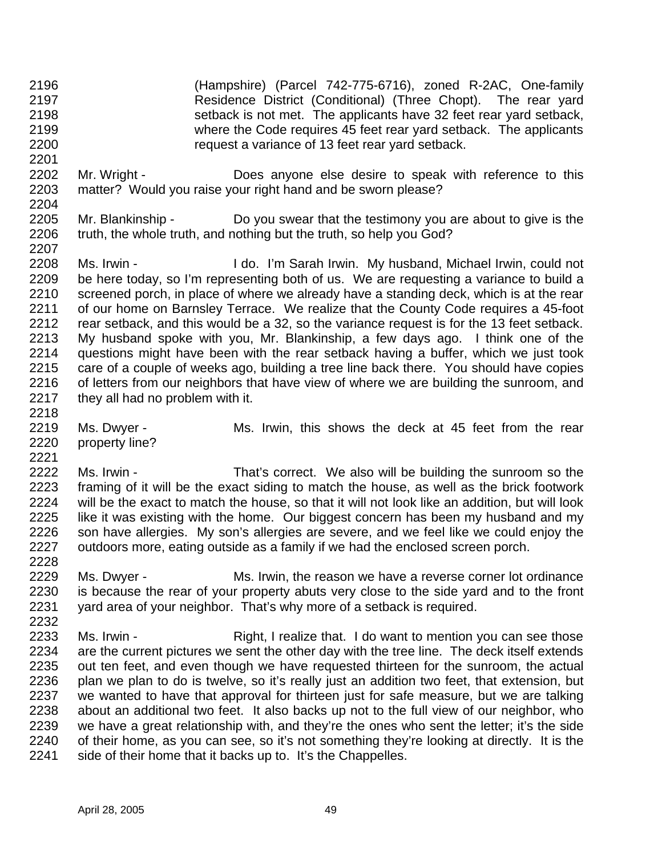- (Hampshire) (Parcel 742-775-6716), zoned R-2AC, One-family Residence District (Conditional) (Three Chopt). The rear yard setback is not met. The applicants have 32 feet rear yard setback, where the Code requires 45 feet rear yard setback. The applicants request a variance of 13 feet rear yard setback.
- Mr. Wright Does anyone else desire to speak with reference to this matter? Would you raise your right hand and be sworn please?
- Mr. Blankinship Do you swear that the testimony you are about to give is the truth, the whole truth, and nothing but the truth, so help you God?
- Ms. Irwin I do. I'm Sarah Irwin. My husband, Michael Irwin, could not be here today, so I'm representing both of us. We are requesting a variance to build a screened porch, in place of where we already have a standing deck, which is at the rear of our home on Barnsley Terrace. We realize that the County Code requires a 45-foot rear setback, and this would be a 32, so the variance request is for the 13 feet setback. My husband spoke with you, Mr. Blankinship, a few days ago. I think one of the questions might have been with the rear setback having a buffer, which we just took care of a couple of weeks ago, building a tree line back there. You should have copies 2216 of letters from our neighbors that have view of where we are building the sunroom, and they all had no problem with it.
- 

- property line?
- 2219 Ms. Dwyer Ms. Irwin, this shows the deck at 45 feet from the rear
- 2222 Ms. Irwin That's correct. We also will be building the sunroom so the framing of it will be the exact siding to match the house, as well as the brick footwork will be the exact to match the house, so that it will not look like an addition, but will look like it was existing with the home. Our biggest concern has been my husband and my son have allergies. My son's allergies are severe, and we feel like we could enjoy the outdoors more, eating outside as a family if we had the enclosed screen porch.
- Ms. Dwyer - Ms. Irwin, the reason we have a reverse corner lot ordinance is because the rear of your property abuts very close to the side yard and to the front yard area of your neighbor. That's why more of a setback is required.
- Ms. Irwin Right, I realize that. I do want to mention you can see those are the current pictures we sent the other day with the tree line. The deck itself extends out ten feet, and even though we have requested thirteen for the sunroom, the actual plan we plan to do is twelve, so it's really just an addition two feet, that extension, but we wanted to have that approval for thirteen just for safe measure, but we are talking about an additional two feet. It also backs up not to the full view of our neighbor, who we have a great relationship with, and they're the ones who sent the letter; it's the side of their home, as you can see, so it's not something they're looking at directly. It is the 2241 side of their home that it backs up to. It's the Chappelles.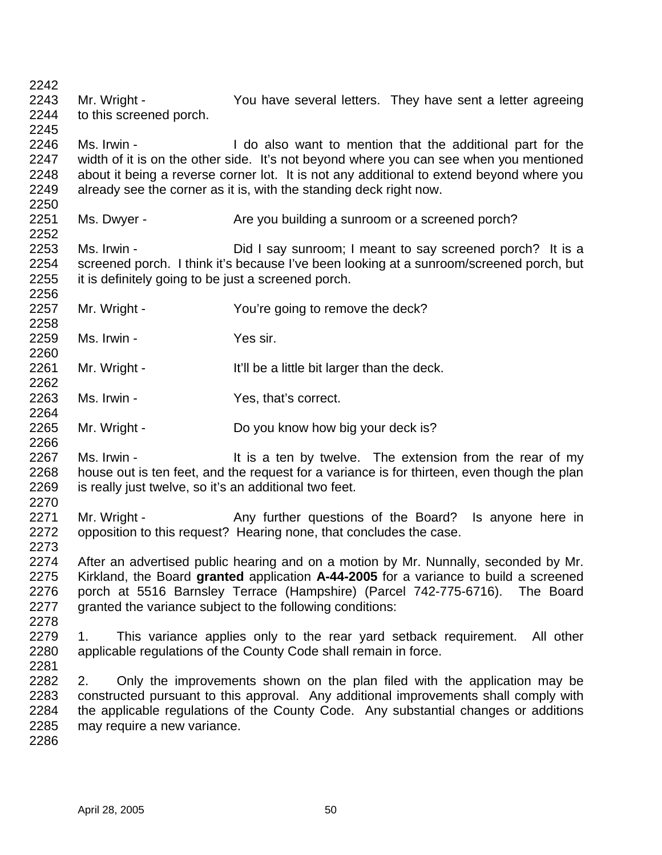Mr. Wright - You have several letters. They have sent a letter agreeing to this screened porch. Ms. Irwin - I do also want to mention that the additional part for the width of it is on the other side. It's not beyond where you can see when you mentioned about it being a reverse corner lot. It is not any additional to extend beyond where you already see the corner as it is, with the standing deck right now. 2251 Ms. Dwyer - Are you building a sunroom or a screened porch? 2253 Ms. Irwin - Did I say sunroom; I meant to say screened porch? It is a screened porch. I think it's because I've been looking at a sunroom/screened porch, but it is definitely going to be just a screened porch. 2257 Mr. Wright - You're going to remove the deck? 2259 Ms. Irwin - Yes sir. 2261 Mr. Wright - It'll be a little bit larger than the deck. Ms. Irwin - Yes, that's correct. Mr. Wright - Do you know how big your deck is? 2267 Ms. Irwin - It is a ten by twelve. The extension from the rear of my house out is ten feet, and the request for a variance is for thirteen, even though the plan is really just twelve, so it's an additional two feet. 2271 Mr. Wright - Any further questions of the Board? Is anyone here in opposition to this request? Hearing none, that concludes the case. After an advertised public hearing and on a motion by Mr. Nunnally, seconded by Mr. Kirkland, the Board **granted** application **A-44-2005** for a variance to build a screened porch at 5516 Barnsley Terrace (Hampshire) (Parcel 742-775-6716). The Board granted the variance subject to the following conditions: 1. This variance applies only to the rear yard setback requirement. All other applicable regulations of the County Code shall remain in force. 2. Only the improvements shown on the plan filed with the application may be constructed pursuant to this approval. Any additional improvements shall comply with the applicable regulations of the County Code. Any substantial changes or additions may require a new variance.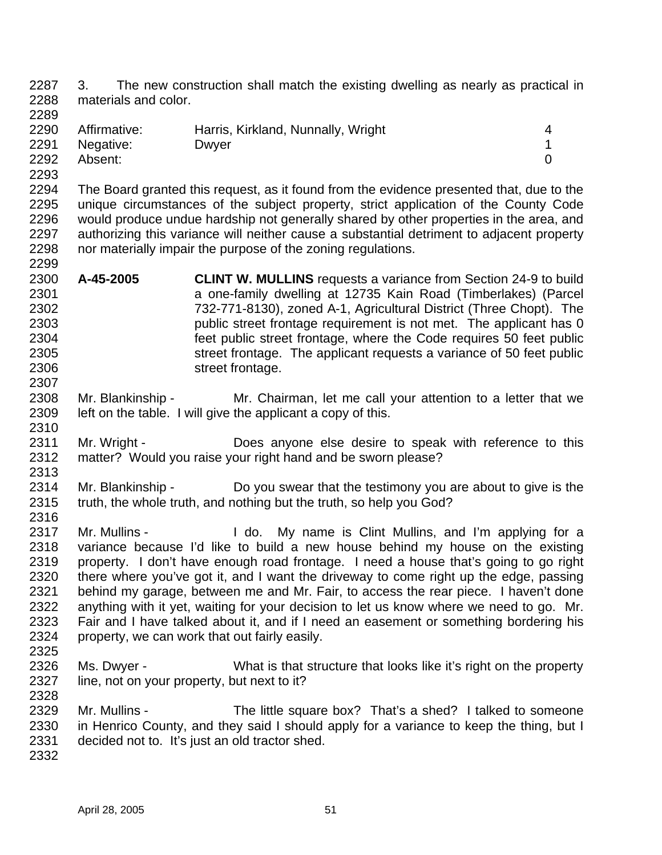3. The new construction shall match the existing dwelling as nearly as practical in materials and color. 

| 2290 | Affirmative: | Harris, Kirkland, Nunnally, Wright |  |
|------|--------------|------------------------------------|--|
| 2291 | Negative:    | Dwyer                              |  |
| 2292 | Absent:      |                                    |  |

 The Board granted this request, as it found from the evidence presented that, due to the unique circumstances of the subject property, strict application of the County Code would produce undue hardship not generally shared by other properties in the area, and authorizing this variance will neither cause a substantial detriment to adjacent property nor materially impair the purpose of the zoning regulations. 

- **A-45-2005 CLINT W. MULLINS** requests a variance from Section 24-9 to build a one-family dwelling at 12735 Kain Road (Timberlakes) (Parcel 732-771-8130), zoned A-1, Agricultural District (Three Chopt). The public street frontage requirement is not met. The applicant has 0 feet public street frontage, where the Code requires 50 feet public street frontage. The applicant requests a variance of 50 feet public street frontage.
- Mr. Blankinship Mr. Chairman, let me call your attention to a letter that we left on the table. I will give the applicant a copy of this.
- 2311 Mr. Wright Does anyone else desire to speak with reference to this matter? Would you raise your right hand and be sworn please?
- 

- Mr. Blankinship Do you swear that the testimony you are about to give is the truth, the whole truth, and nothing but the truth, so help you God?
- 2317 Mr. Mullins I do. My name is Clint Mullins, and I'm applying for a variance because I'd like to build a new house behind my house on the existing property. I don't have enough road frontage. I need a house that's going to go right there where you've got it, and I want the driveway to come right up the edge, passing behind my garage, between me and Mr. Fair, to access the rear piece. I haven't done anything with it yet, waiting for your decision to let us know where we need to go. Mr. Fair and I have talked about it, and if I need an easement or something bordering his property, we can work that out fairly easily.
- 
- Ms. Dwyer What is that structure that looks like it's right on the property 2327 line, not on your property, but next to it?
- Mr. Mullins The little square box? That's a shed? I talked to someone in Henrico County, and they said I should apply for a variance to keep the thing, but I decided not to. It's just an old tractor shed.
-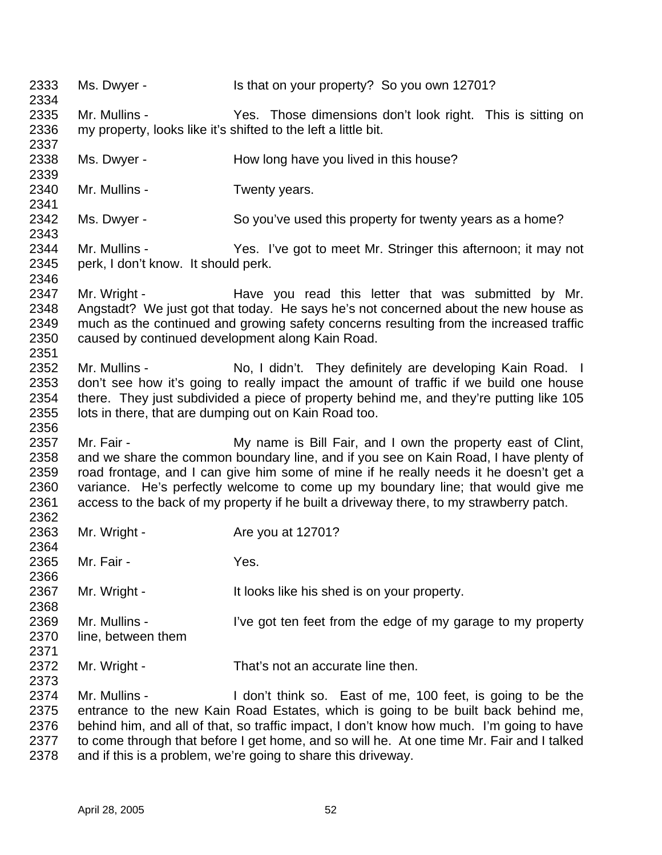2333 Ms. Dwyer - Is that on your property? So you own 12701? Mr. Mullins - Yes. Those dimensions don't look right. This is sitting on my property, looks like it's shifted to the left a little bit. 2338 Ms. Dwyer - How long have you lived in this house? Mr. Mullins - Twenty years. 2342 Ms. Dwyer - So you've used this property for twenty years as a home? Mr. Mullins - Yes. I've got to meet Mr. Stringer this afternoon; it may not perk, I don't know. It should perk. 2347 Mr. Wright - Have you read this letter that was submitted by Mr. Angstadt? We just got that today. He says he's not concerned about the new house as much as the continued and growing safety concerns resulting from the increased traffic caused by continued development along Kain Road. 2352 Mr. Mullins - No, I didn't. They definitely are developing Kain Road. I don't see how it's going to really impact the amount of traffic if we build one house there. They just subdivided a piece of property behind me, and they're putting like 105 lots in there, that are dumping out on Kain Road too. 2357 Mr. Fair - My name is Bill Fair, and I own the property east of Clint, and we share the common boundary line, and if you see on Kain Road, I have plenty of road frontage, and I can give him some of mine if he really needs it he doesn't get a variance. He's perfectly welcome to come up my boundary line; that would give me access to the back of my property if he built a driveway there, to my strawberry patch. 2363 Mr. Wright - Are you at 12701? Mr. Fair - Yes. 2367 Mr. Wright - It looks like his shed is on your property. Mr. Mullins - I've got ten feet from the edge of my garage to my property line, between them 2372 Mr. Wright - That's not an accurate line then. Mr. Mullins - I don't think so. East of me, 100 feet, is going to be the entrance to the new Kain Road Estates, which is going to be built back behind me, behind him, and all of that, so traffic impact, I don't know how much. I'm going to have 2377 to come through that before I get home, and so will he. At one time Mr. Fair and I talked and if this is a problem, we're going to share this driveway.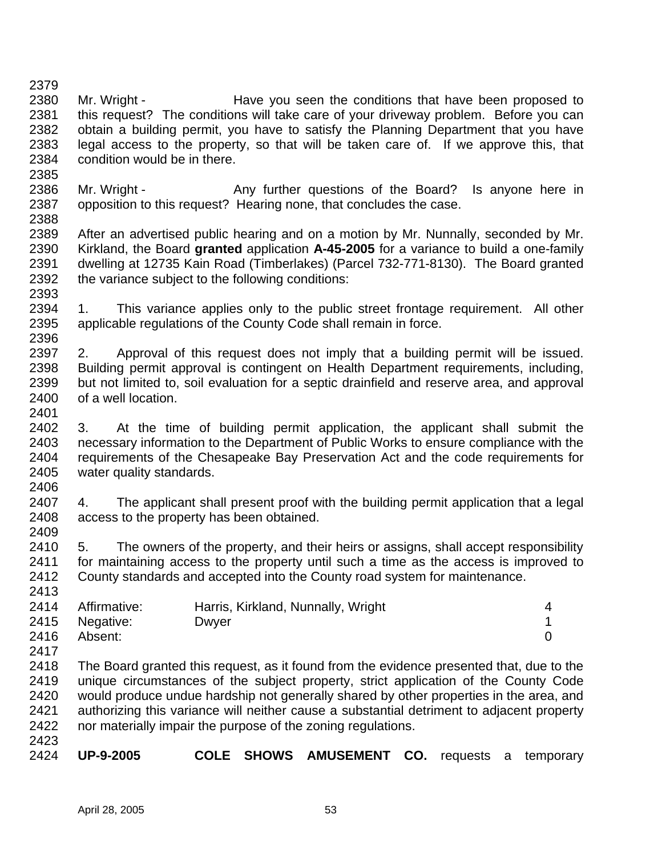2380 Mr. Wright - Have you seen the conditions that have been proposed to this request? The conditions will take care of your driveway problem. Before you can obtain a building permit, you have to satisfy the Planning Department that you have legal access to the property, so that will be taken care of. If we approve this, that condition would be in there. 

- 2386 Mr. Wright Any further questions of the Board? Is anyone here in opposition to this request? Hearing none, that concludes the case.
- After an advertised public hearing and on a motion by Mr. Nunnally, seconded by Mr. Kirkland, the Board **granted** application **A-45-2005** for a variance to build a one-family dwelling at 12735 Kain Road (Timberlakes) (Parcel 732-771-8130). The Board granted the variance subject to the following conditions:
- 2394 1. This variance applies only to the public street frontage requirement. All other applicable regulations of the County Code shall remain in force.
- 2. Approval of this request does not imply that a building permit will be issued. Building permit approval is contingent on Health Department requirements, including, but not limited to, soil evaluation for a septic drainfield and reserve area, and approval of a well location.
- 3. At the time of building permit application, the applicant shall submit the necessary information to the Department of Public Works to ensure compliance with the requirements of the Chesapeake Bay Preservation Act and the code requirements for water quality standards.
- 4. The applicant shall present proof with the building permit application that a legal access to the property has been obtained.
- 5. The owners of the property, and their heirs or assigns, shall accept responsibility for maintaining access to the property until such a time as the access is improved to County standards and accepted into the County road system for maintenance.

|      | 2414 Affirmative: | Harris, Kirkland, Nunnally, Wright | 4 |
|------|-------------------|------------------------------------|---|
|      | 2415 Negative:    | Dwyer                              |   |
| 2416 | Absent:           |                                    |   |

- The Board granted this request, as it found from the evidence presented that, due to the unique circumstances of the subject property, strict application of the County Code would produce undue hardship not generally shared by other properties in the area, and authorizing this variance will neither cause a substantial detriment to adjacent property nor materially impair the purpose of the zoning regulations.
- 

**UP-9-2005 COLE SHOWS AMUSEMENT CO.** requests a temporary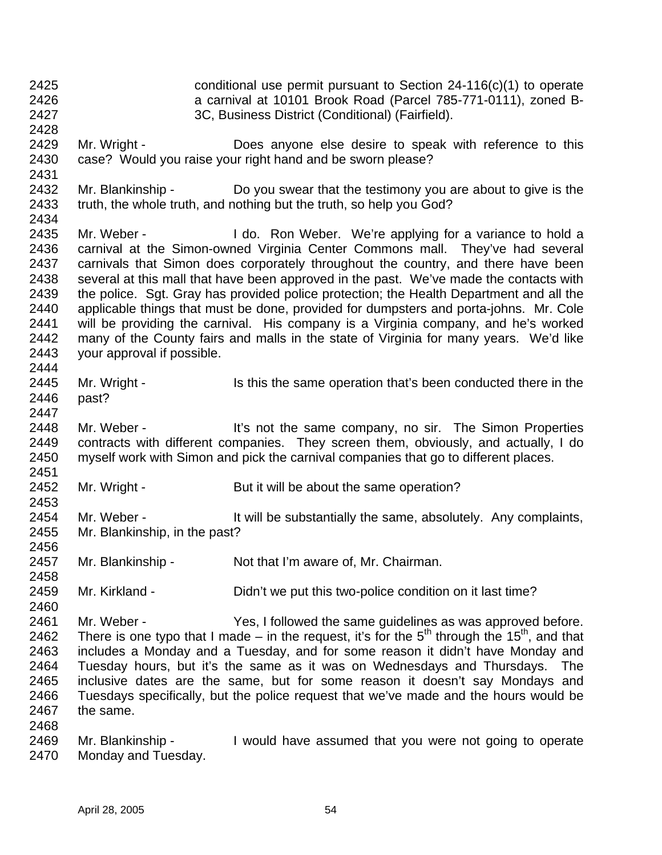conditional use permit pursuant to Section 24-116(c)(1) to operate a carnival at 10101 Brook Road (Parcel 785-771-0111), zoned B- 3C, Business District (Conditional) (Fairfield). 2429 Mr. Wright - Does anyone else desire to speak with reference to this case? Would you raise your right hand and be sworn please? Mr. Blankinship - Do you swear that the testimony you are about to give is the truth, the whole truth, and nothing but the truth, so help you God? 2435 Mr. Weber - I do. Ron Weber. We're applying for a variance to hold a carnival at the Simon-owned Virginia Center Commons mall. They've had several carnivals that Simon does corporately throughout the country, and there have been several at this mall that have been approved in the past. We've made the contacts with the police. Sgt. Gray has provided police protection; the Health Department and all the applicable things that must be done, provided for dumpsters and porta-johns. Mr. Cole will be providing the carnival. His company is a Virginia company, and he's worked many of the County fairs and malls in the state of Virginia for many years. We'd like your approval if possible. 2445 Mr. Wright - Is this the same operation that's been conducted there in the past? 2448 Mr. Weber - It's not the same company, no sir. The Simon Properties contracts with different companies. They screen them, obviously, and actually, I do myself work with Simon and pick the carnival companies that go to different places. 2452 Mr. Wright - But it will be about the same operation? 2454 Mr. Weber - It will be substantially the same, absolutely. Any complaints, Mr. Blankinship, in the past? Mr. Blankinship - Not that I'm aware of, Mr. Chairman. 2459 Mr. Kirkland - Didn't we put this two-police condition on it last time? Mr. Weber - Yes, I followed the same guidelines as was approved before. 2462 There is one typo that I made – in the request, it's for the  $5<sup>th</sup>$  through the 15<sup>th</sup>, and that includes a Monday and a Tuesday, and for some reason it didn't have Monday and Tuesday hours, but it's the same as it was on Wednesdays and Thursdays. The inclusive dates are the same, but for some reason it doesn't say Mondays and Tuesdays specifically, but the police request that we've made and the hours would be the same. Mr. Blankinship - I would have assumed that you were not going to operate Monday and Tuesday.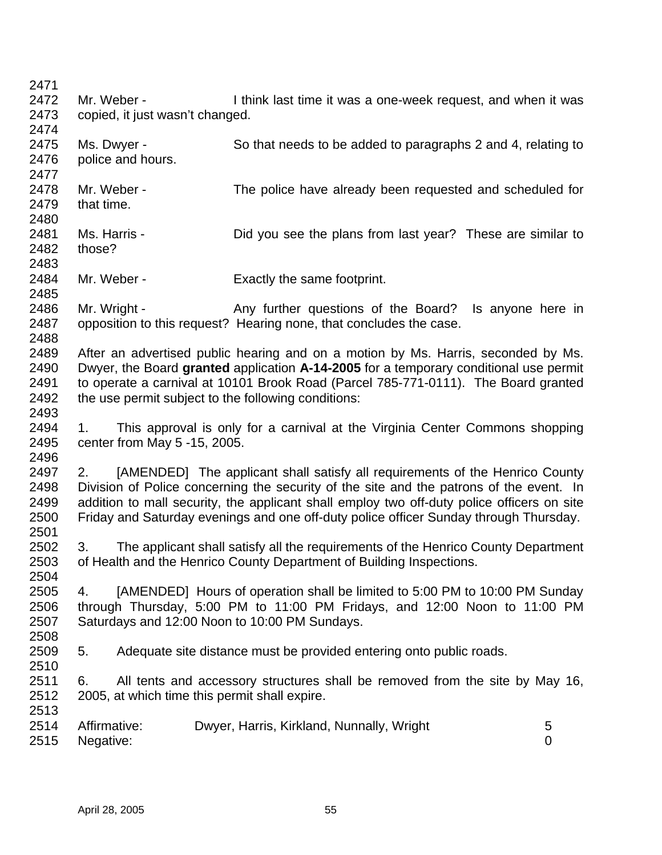2472 Mr. Weber - I think last time it was a one-week request, and when it was copied, it just wasn't changed.

- Ms. Dwyer - So that needs to be added to paragraphs 2 and 4, relating to police and hours. Mr. Weber - The police have already been requested and scheduled for that time. Ms. Harris - Did you see the plans from last year? These are similar to those? Mr. Weber - Exactly the same footprint. 2486 Mr. Wright - Any further questions of the Board? Is anyone here in opposition to this request? Hearing none, that concludes the case. After an advertised public hearing and on a motion by Ms. Harris, seconded by Ms. Dwyer, the Board **granted** application **A-14-2005** for a temporary conditional use permit to operate a carnival at 10101 Brook Road (Parcel 785-771-0111). The Board granted 2492 the use permit subject to the following conditions:
- 1. This approval is only for a carnival at the Virginia Center Commons shopping center from May 5 -15, 2005.

2497 2. [AMENDED] The applicant shall satisfy all requirements of the Henrico County Division of Police concerning the security of the site and the patrons of the event. In addition to mall security, the applicant shall employ two off-duty police officers on site Friday and Saturday evenings and one off-duty police officer Sunday through Thursday. 

 3. The applicant shall satisfy all the requirements of the Henrico County Department of Health and the Henrico County Department of Building Inspections. 

 4. [AMENDED] Hours of operation shall be limited to 5:00 PM to 10:00 PM Sunday through Thursday, 5:00 PM to 11:00 PM Fridays, and 12:00 Noon to 11:00 PM Saturdays and 12:00 Noon to 10:00 PM Sundays. 

 5. Adequate site distance must be provided entering onto public roads. 

 6. All tents and accessory structures shall be removed from the site by May 16, 2005, at which time this permit shall expire.

| 2514 Affirmative: | Dwyer, Harris, Kirkland, Nunnally, Wright |  |
|-------------------|-------------------------------------------|--|
| 2515 Negative:    |                                           |  |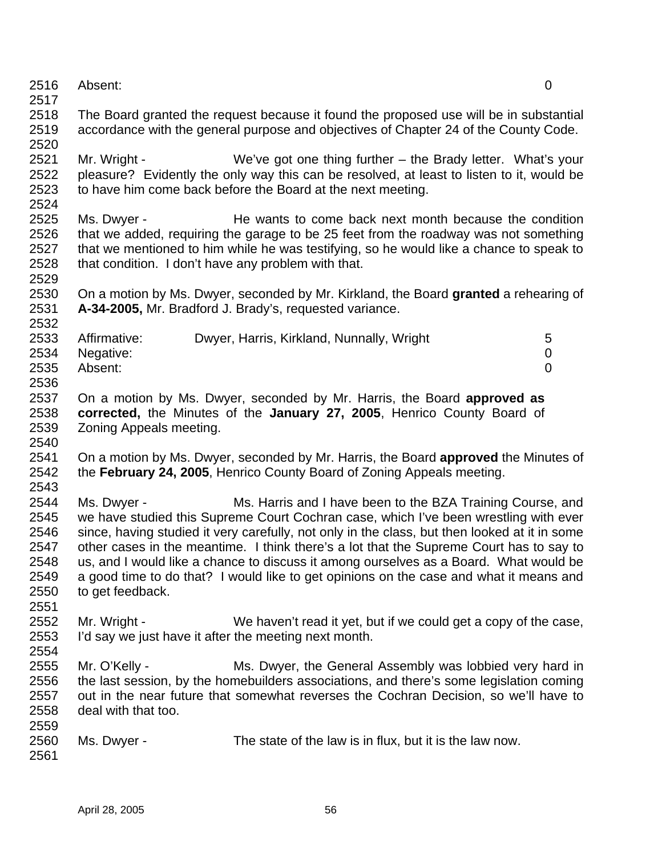- Absent: 0
- 

 The Board granted the request because it found the proposed use will be in substantial accordance with the general purpose and objectives of Chapter 24 of the County Code. 

- Mr. Wright We've got one thing further the Brady letter. What's your pleasure? Evidently the only way this can be resolved, at least to listen to it, would be to have him come back before the Board at the next meeting.
- Ms. Dwyer He wants to come back next month because the condition that we added, requiring the garage to be 25 feet from the roadway was not something that we mentioned to him while he was testifying, so he would like a chance to speak to that condition. I don't have any problem with that.
- On a motion by Ms. Dwyer, seconded by Mr. Kirkland, the Board **granted** a rehearing of **A-34-2005,** Mr. Bradford J. Brady's, requested variance.

| 2533 | Affirmative:   | Dwyer, Harris, Kirkland, Nunnally, Wright | 5 |
|------|----------------|-------------------------------------------|---|
|      | 2534 Negative: |                                           |   |
| 2535 | Absent:        |                                           |   |
| 2536 |                |                                           |   |

- On a motion by Ms. Dwyer, seconded by Mr. Harris, the Board **approved as corrected,** the Minutes of the **January 27, 2005**, Henrico County Board of Zoning Appeals meeting.
- 
- On a motion by Ms. Dwyer, seconded by Mr. Harris, the Board **approved** the Minutes of the **February 24, 2005**, Henrico County Board of Zoning Appeals meeting.
- 2543<br>2544 Ms. Dwyer - The Ms. Harris and I have been to the BZA Training Course, and we have studied this Supreme Court Cochran case, which I've been wrestling with ever since, having studied it very carefully, not only in the class, but then looked at it in some other cases in the meantime. I think there's a lot that the Supreme Court has to say to us, and I would like a chance to discuss it among ourselves as a Board. What would be a good time to do that? I would like to get opinions on the case and what it means and to get feedback.
- Mr. Wright - We haven't read it yet, but if we could get a copy of the case, I'd say we just have it after the meeting next month.
- 
- 2555 Mr. O'Kelly Ms. Dwyer, the General Assembly was lobbied very hard in the last session, by the homebuilders associations, and there's some legislation coming out in the near future that somewhat reverses the Cochran Decision, so we'll have to deal with that too.
- Ms. Dwyer The state of the law is in flux, but it is the law now.